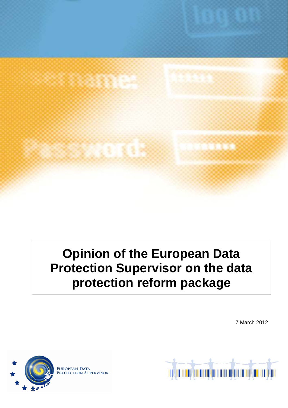

# **Opinion of the European Data Protection Supervisor on the data protection reform package**

7 March 2012



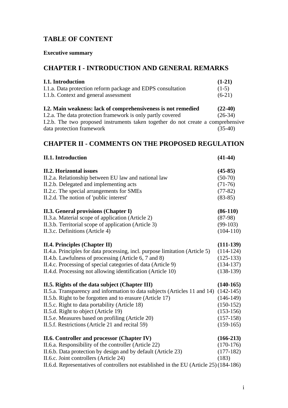# **TABLE OF CONTENT**

# **Executive summary**

# **CHAPTER I - INTRODUCTION AND GENERAL REMARKS**

| I.1. Introduction                                                                | $(1-21)$  |
|----------------------------------------------------------------------------------|-----------|
| I.1.a. Data protection reform package and EDPS consultation                      | $(1-5)$   |
| I.1.b. Context and general assessment                                            | $(6-21)$  |
| I.2. Main weakness: lack of comprehensiveness is not remedied                    | $(22-40)$ |
| I.2.a. The data protection framework is only partly covered                      | $(26-34)$ |
| I.2.b. The two proposed instruments taken together do not create a comprehensive |           |
| data protection framework                                                        | $(35-40)$ |

# **CHAPTER II - COMMENTS ON THE PROPOSED REGULATION**

| <b>II.1. Introduction</b>                                                               | $(41-44)$   |
|-----------------------------------------------------------------------------------------|-------------|
| <b>II.2. Horizontal issues</b>                                                          | $(45-85)$   |
| II.2.a. Relationship between EU law and national law                                    | $(50-70)$   |
| II.2.b. Delegated and implementing acts                                                 | $(71-76)$   |
| II.2.c. The special arrangements for SMEs                                               | $(77-82)$   |
| II.2.d. The notion of 'public interest'                                                 | $(83-85)$   |
| II.3. General provisions (Chapter I)                                                    | $(86-110)$  |
| II.3.a. Material scope of application (Article 2)                                       | $(87-98)$   |
| II.3.b. Territorial scope of application (Article 3)                                    | $(99-103)$  |
| II.3.c. Definitions (Article 4)                                                         | $(104-110)$ |
| <b>II.4. Principles (Chapter II)</b>                                                    | $(111-139)$ |
| II.4.a. Principles for data processing, incl. purpose limitation (Article 5)            | $(114-124)$ |
| II.4.b. Lawfulness of processing (Article 6, 7 and 8)                                   | $(125-133)$ |
| II.4.c. Processing of special categories of data (Article 9)                            | $(134-137)$ |
| II.4.d. Processing not allowing identification (Article 10)                             | $(138-139)$ |
| II.5. Rights of the data subject (Chapter III)                                          | $(140-165)$ |
| II.5.a. Transparency and information to data subjects (Articles 11 and 14)              | $(142-145)$ |
| II.5.b. Right to be forgotten and to erasure (Article 17)                               | $(146-149)$ |
| II.5.c. Right to data portability (Article 18)                                          | $(150-152)$ |
| II.5.d. Right to object (Article 19)                                                    | $(153-156)$ |
| II.5.e. Measures based on profiling (Article 20)                                        | $(157-158)$ |
| II.5.f. Restrictions (Article 21 and recital 59)                                        | $(159-165)$ |
| II.6. Controller and processor (Chapter IV)                                             | $(166-213)$ |
| II.6.a. Responsibility of the controller (Article 22)                                   | $(170-176)$ |
| II.6.b. Data protection by design and by default (Article 23)                           | $(177-182)$ |
| II.6.c. Joint controllers (Article 24)                                                  | (183)       |
| II.6.d. Representatives of controllers not established in the EU (Article 25) (184-186) |             |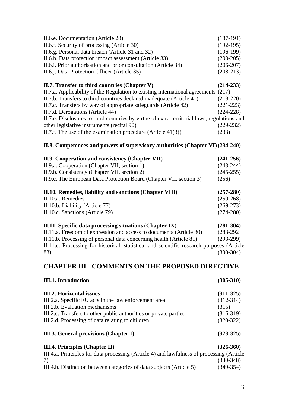| II.0. Cooperation and consistency (Chapter VII)                                             | (241.25)    |
|---------------------------------------------------------------------------------------------|-------------|
| II.8. Competences and powers of supervisory authorities (Chapter VI) (234-240)              |             |
| II.7.f. The use of the examination procedure (Article $41(3)$ )                             | (233)       |
| other legislative instruments (recital 90)                                                  | $(229-232)$ |
| II.7.e. Disclosures to third countries by virtue of extra-territorial laws, regulations and |             |
| II.7.d. Derogations (Article 44)                                                            | $(224-228)$ |
| II.7.c. Transfers by way of appropriate safeguards (Article 42)                             | $(221-223)$ |
| II.7.b. Transfers to third countries declared inadequate (Article 41)                       | $(218-220)$ |
| II.7.a. Applicability of the Regulation to existing international agreements (217)          |             |
| II.7. Transfer to third countries (Chapter V)                                               | $(214-233)$ |
| II.6.j. Data Protection Officer (Article 35)                                                | $(208-213)$ |
| II.6.i. Prior authorisation and prior consultation (Article 34)                             | $(206-207)$ |
| II.6.h. Data protection impact assessment (Article 33)                                      | $(200-205)$ |
| II.6.g. Personal data breach (Article 31 and 32)                                            | $(196-199)$ |
| II.6.f. Security of processing (Article 30)                                                 | $(192-195)$ |
| II.6.e. Documentation (Article 28)                                                          | $(187-191)$ |

| 11.9. Cooperation and consistency (Chapter VII)                               | $(241 - 250)$ |
|-------------------------------------------------------------------------------|---------------|
| II.9.a. Cooperation (Chapter VII, section 1)                                  | $(243-244)$   |
| II.9.b. Consistency (Chapter VII, section 2)                                  | $(245-255)$   |
| II.9.c. The European Data Protection Board (Chapter VII, section 3)           | (256)         |
| II.10. Remedies, liability and sanctions (Chapter VIII)                       | $(257 - 280)$ |
| II.10.a. Remedies                                                             | $(259-268)$   |
| II.10.b. Liability (Article 77)                                               | $(269-273)$   |
| II.10.c. Sanctions (Article 79)                                               | $(274-280)$   |
| II.11. Specific data processing situations (Chapter IX)                       | $(281-304)$   |
| II 11.3 Freedom of expression and access to documents $(A \text{ triol } 80)$ | (283, 207)    |

II.11.a. Freedom of expression and access to documents (Article 80) (283-292 II.11.b. Processing of personal data concerning health (Article 81) (293-299) II.11.c. Processing for historical, statistical and scientific research purposes (Article 83) (300-304)

# **CHAPTER III - COMMENTS ON THE PROPOSED DIRECTIVE**

| <b>III.1.</b> Introduction                                                                | $(305-310)$ |
|-------------------------------------------------------------------------------------------|-------------|
| <b>III.2. Horizontal issues</b>                                                           | $(311-325)$ |
| III.2.a. Specific EU acts in the law enforcement area                                     | $(312-314)$ |
| III.2.b. Evaluation mechanisms                                                            | (315)       |
| III.2.c. Transfers to other public authorities or private parties                         | $(316-319)$ |
| III.2.d. Processing of data relating to children                                          | $(320-322)$ |
| III.3. General provisions (Chapter I)                                                     | $(323-325)$ |
| <b>III.4. Principles (Chapter II)</b>                                                     | $(326-360)$ |
| III.4.a. Principles for data processing (Article 4) and lawfulness of processing (Article |             |
| 7)                                                                                        | $(330-348)$ |
| III.4.b. Distinction between categories of data subjects (Article 5)                      | $(349-354)$ |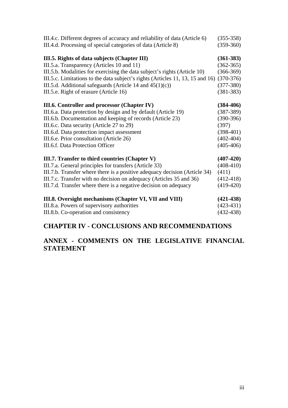| III.4.c. Different degrees of accuracy and reliability of data (Article 6)               | $(355-358)$   |
|------------------------------------------------------------------------------------------|---------------|
| III.4.d. Processing of special categories of data (Article 8)                            | $(359-360)$   |
| III.5. Rights of data subjects (Chapter III)                                             | $(361-383)$   |
| III.5.a. Transparency (Articles 10 and 11)                                               | $(362 - 365)$ |
| III.5.b. Modalities for exercising the data subject's rights (Article 10)                | $(366-369)$   |
| III.5.c. Limitations to the data subject's rights (Articles 11, 13, 15 and 16) (370-376) |               |
| III.5.d. Additional safeguards (Article 14 and $45(1)(c)$ )                              | $(377-380)$   |
| III.5.e. Right of erasure (Article 16)                                                   | $(381 - 383)$ |
| III.6. Controller and processor (Chapter IV)                                             | $(384-406)$   |
| III.6.a. Data protection by design and by default (Article 19)                           | $(387-389)$   |
| III.6.b. Documentation and keeping of records (Article 23)                               | $(390-396)$   |
| III.6.c. Data security (Article 27 to 29)                                                | (397)         |
| III.6.d. Data protection impact assessment                                               | $(398-401)$   |
| III.6.e. Prior consultation (Article 26)                                                 | $(402-404)$   |
| III.6.f. Data Protection Officer                                                         | $(405-406)$   |
| III.7. Transfer to third countries (Chapter V)                                           | $(407-420)$   |
| III.7.a. General principles for transfers (Article 33)                                   | $(408-410)$   |
| III.7.b. Transfer where there is a positive adequacy decision (Article 34)               | (411)         |
| III.7.c. Transfer with no decision on adequacy (Articles 35 and 36)                      | $(412-418)$   |
| III.7.d. Transfer where there is a negative decision on adequacy                         | $(419-420)$   |
| III.8. Oversight mechanisms (Chapter VI, VII and VIII)                                   | $(421-438)$   |
| III.8.a. Powers of supervisory authorities                                               | $(423-431)$   |
| III.8.b. Co-operation and consistency                                                    | $(432 - 438)$ |

# **CHAPTER IV - CONCLUSIONS AND RECOMMENDATIONS**

# **ANNEX - COMMENTS ON THE LEGISLATIVE FINANCIAL STATEMENT**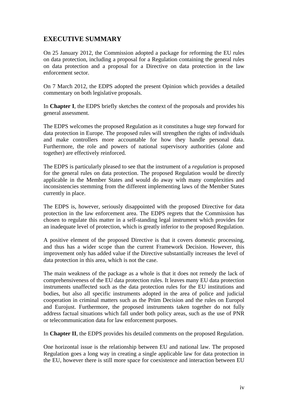# **EXECUTIVE SUMMARY**

On 25 January 2012, the Commission adopted a package for reforming the EU rules on data protection, including a proposal for a Regulation containing the general rules on data protection and a proposal for a Directive on data protection in the law enforcement sector.

On 7 March 2012, the EDPS adopted the present Opinion which provides a detailed commentary on both legislative proposals.

In **Chapter I**, the EDPS briefly sketches the context of the proposals and provides his general assessment.

The EDPS welcomes the proposed Regulation as it constitutes a huge step forward for data protection in Europe. The proposed rules will strengthen the rights of individuals and make controllers more accountable for how they handle personal data. Furthermore, the role and powers of national supervisory authorities (alone and together) are effectively reinforced.

The EDPS is particularly pleased to see that the instrument of a *regulation* is proposed for the general rules on data protection. The proposed Regulation would be directly applicable in the Member States and would do away with many complexities and inconsistencies stemming from the different implementing laws of the Member States currently in place.

The EDPS is, however, seriously disappointed with the proposed Directive for data protection in the law enforcement area. The EDPS regrets that the Commission has chosen to regulate this matter in a self-standing legal instrument which provides for an inadequate level of protection, which is greatly inferior to the proposed Regulation.

A positive element of the proposed Directive is that it covers domestic processing, and thus has a wider scope than the current Framework Decision. However, this improvement only has added value if the Directive substantially increases the level of data protection in this area, which is not the case.

The main weakness of the package as a whole is that it does not remedy the lack of comprehensiveness of the EU data protection rules. It leaves many EU data protection instruments unaffected such as the data protection rules for the EU institutions and bodies, but also all specific instruments adopted in the area of police and judicial cooperation in criminal matters such as the Prüm Decision and the rules on Europol and Eurojust. Furthermore, the proposed instruments taken together do not fully address factual situations which fall under both policy areas, such as the use of PNR or telecommunication data for law enforcement purposes.

In **Chapter II**, the EDPS provides his detailed comments on the proposed Regulation.

One horizontal issue is the relationship between EU and national law. The proposed Regulation goes a long way in creating a single applicable law for data protection in the EU, however there is still more space for coexistence and interaction between EU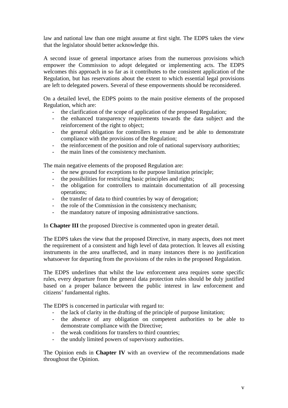law and national law than one might assume at first sight. The EDPS takes the view that the legislator should better acknowledge this.

A second issue of general importance arises from the numerous provisions which empower the Commission to adopt delegated or implementing acts. The EDPS welcomes this approach in so far as it contributes to the consistent application of the Regulation, but has reservations about the extent to which essential legal provisions are left to delegated powers. Several of these empowerments should be reconsidered.

On a detailed level, the EDPS points to the main positive elements of the proposed Regulation, which are:

- the clarification of the scope of application of the proposed Regulation;
- the enhanced transparency requirements towards the data subject and the reinforcement of the right to object;
- the general obligation for controllers to ensure and be able to demonstrate compliance with the provisions of the Regulation;
- the reinforcement of the position and role of national supervisory authorities;
- the main lines of the consistency mechanism.

The main negative elements of the proposed Regulation are:

- the new ground for exceptions to the purpose limitation principle;
- the possibilities for restricting basic principles and rights;
- the obligation for controllers to maintain documentation of all processing operations;
- the transfer of data to third countries by way of derogation;
- the role of the Commission in the consistency mechanism;
- the mandatory nature of imposing administrative sanctions.

In **Chapter III** the proposed Directive is commented upon in greater detail.

The EDPS takes the view that the proposed Directive, in many aspects, does not meet the requirement of a consistent and high level of data protection. It leaves all existing instruments in the area unaffected, and in many instances there is no justification whatsoever for departing from the provisions of the rules in the proposed Regulation.

The EDPS underlines that whilst the law enforcement area requires some specific rules, every departure from the general data protection rules should be duly justified based on a proper balance between the public interest in law enforcement and citizens' fundamental rights.

The EDPS is concerned in particular with regard to:

- the lack of clarity in the drafting of the principle of purpose limitation;
- the absence of any obligation on competent authorities to be able to demonstrate compliance with the Directive;
- the weak conditions for transfers to third countries;
- the unduly limited powers of supervisory authorities.

The Opinion ends in **Chapter IV** with an overview of the recommendations made throughout the Opinion.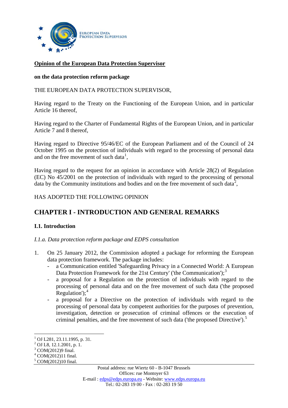

#### **Opinion of the European Data Protection Supervisor**

#### **on the data protection reform package**

#### THE EUROPEAN DATA PROTECTION SUPERVISOR,

Having regard to the Treaty on the Functioning of the European Union, and in particular Article 16 thereof,

Having regard to the Charter of Fundamental Rights of the European Union, and in particular Article 7 and 8 thereof,

Having regard to Directive 95/46/EC of the European Parliament and of the Council of 24 October 1995 on the protection of individuals with regard to the processing of personal data and on the free movement of such data<sup>[1](#page-6-0)</sup>,

Having regard to the request for an opinion in accordance with Article 28(2) of Regulation (EC) No 45/2001 on the protection of individuals with regard to the processing of personal data by the Community institutions and bodies and on the free movement of such data<sup>[2](#page-6-1)</sup>,

HAS ADOPTED THE FOLLOWING OPINION

# **CHAPTER I - INTRODUCTION AND GENERAL REMARKS**

## **I.1. Introduction**

*I.1.a. Data protection reform package and EDPS consultation* 

- 1. On 25 January 2012, the Commission adopted a package for reforming the European data protection framework. The package includes:
	- a Communication entitled 'Safeguarding Privacy in a Connected World: A European Data Protection Framework for the 21st Century' ('the Communication');<sup>[3](#page-6-2)</sup>
	- a proposal for a Regulation on the protection of individuals with regard to the processing of personal data and on the free movement of such data ('the proposed Regulation'); $<sup>4</sup>$  $<sup>4</sup>$  $<sup>4</sup>$ </sup>
	- a proposal for a Directive on the protection of individuals with regard to the processing of personal data by competent authorities for the purposes of prevention, investigation, detection or prosecution of criminal offences or the execution of criminal penalties, and the free movement of such data ('the proposed Directive').<sup>[5](#page-6-4)</sup>

<u>.</u>

<span id="page-6-0"></span> $1$  OJ L281, 23.11.1995, p. 31.

<span id="page-6-1"></span><sup>&</sup>lt;sup>2</sup> OJ L8, 12.1.2001, p. 1.

<sup>&</sup>lt;sup>3</sup> COM(2012)9 final.

<span id="page-6-3"></span><span id="page-6-2"></span><sup>4</sup> COM(2012)11 final.

<span id="page-6-4"></span><sup>5</sup> COM(2012)10 final.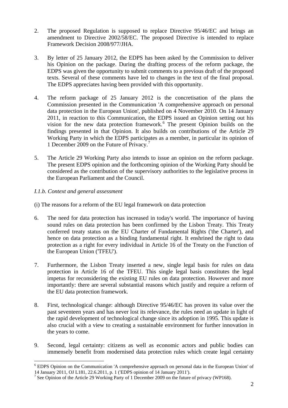- 2. The proposed Regulation is supposed to replace Directive 95/46/EC and brings an amendment to Directive 2002/58/EC. The proposed Directive is intended to replace Framework Decision 2008/977/JHA.
- 3. By letter of 25 January 2012, the EDPS has been asked by the Commission to deliver his Opinion on the package. During the drafting process of the reform package, the EDPS was given the opportunity to submit comments to a previous draft of the proposed texts. Several of these comments have led to changes in the text of the final proposal. The EDPS appreciates having been provided with this opportunity.
- 4. The reform package of 25 January 2012 is the concretisation of the plans the Commission presented in the Communication 'A comprehensive approach on personal data protection in the European Union', published on 4 November 2010. On 14 January 2011, in reaction to this Communication, the EDPS issued an Opinion setting out his vision for the new data protection framework.<sup>[6](#page-7-0)</sup> The present Opinion builds on the findings presented in that Opinion. It also builds on contributions of the Article 29 Working Party in which the EDPS participates as a member, in particular its opinion of 1 December 2009 on the Future of Privacy.<sup>[7](#page-7-1)</sup>
- 5. The Article 29 Working Party also intends to issue an opinion on the reform package. The present EDPS opinion and the forthcoming opinion of the Working Party should be considered as the contribution of the supervisory authorities to the legislative process in the European Parliament and the Council.

# *I.1.b. Context and general assessment*

- (i) The reasons for a reform of the EU legal framework on data protection
- 6. The need for data protection has increased in today's world. The importance of having sound rules on data protection has been confirmed by the Lisbon Treaty. This Treaty conferred treaty status on the EU Charter of Fundamental Rights ('the Charter'), and hence on data protection as a binding fundamental right. It enshrined the right to data protection as a right for every individual in Article 16 of the Treaty on the Function of the European Union ('TFEU').
- 7. Furthermore, the Lisbon Treaty inserted a new, single legal basis for rules on data protection in Article 16 of the TFEU. This single legal basis constitutes the legal impetus for reconsidering the existing EU rules on data protection. However and more importantly: there are several substantial reasons which justify and require a reform of the EU data protection framework.
- 8. First, technological change: although Directive 95/46/EC has proven its value over the past seventeen years and has never lost its relevance, the rules need an update in light of the rapid development of technological change since its adoption in 1995. This update is also crucial with a view to creating a sustainable environment for further innovation in the years to come.
- 9. Second, legal certainty: citizens as well as economic actors and public bodies can immensely benefit from modernised data protection rules which create legal certainty

<span id="page-7-0"></span><sup>&</sup>lt;sup>6</sup> EDPS Opinion on the Communication 'A comprehensive approach on personal data in the European Union' of 14 January 2011, OJ L181, 22.6.2011, p. 1 ('EDPS opinion of 14 January 2011').

<span id="page-7-1"></span><sup>&</sup>lt;sup>7</sup> See Opinion of the Article 29 Working Party of 1 December 2009 on the future of privacy (WP168).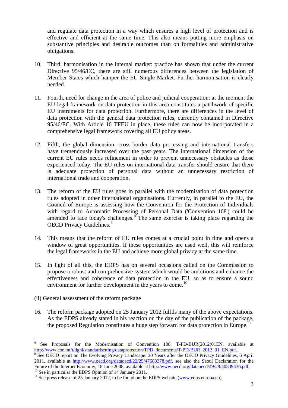and regulate data protection in a way which ensures a high level of protection and is effective and efficient at the same time. This also means putting more emphasis on substantive principles and desirable outcomes than on formalities and administrative obligations.

- 10. Third, harmonisation in the internal market: practice has shown that under the current Directive 95/46/EC, there are still numerous differences between the legislation of Member States which hamper the EU Single Market. Further harmonisation is clearly needed.
- 11. Fourth, need for change in the area of police and judicial cooperation: at the moment the EU legal framework on data protection in this area constitutes a patchwork of specific EU instruments for data protection. Furthermore, there are differences in the level of data protection with the general data protection rules, currently contained in Directive 95/46/EC. With Article 16 TFEU in place, these rules can now be incorporated in a comprehensive legal framework covering all EU policy areas.
- 12. Fifth, the global dimension: cross-border data processing and international transfers have tremendously increased over the past years. The international dimension of the current EU rules needs refinement in order to prevent unnecessary obstacles as those experienced today. The EU rules on international data transfer should ensure that there is adequate protection of personal data without an unnecessary restriction of international trade and cooperation.
- 13. The reform of the EU rules goes in parallel with the modernisation of data protection rules adopted in other international organisations. Currently, in parallel to the EU, the Council of Europe is assessing how the Convention for the Protection of Individuals with regard to Automatic Processing of Personal Data ('Convention 108') could be amended to face today's challenges. $8^{\circ}$  $8^{\circ}$  The same exercise is taking place regarding the OECD Privacy Guidelines.<sup>[9](#page-8-1)</sup>
- 14. This means that the reform of EU rules comes at a crucial point in time and opens a window of great opportunities. If these opportunities are used well, this will reinforce the legal frameworks in the EU and achieve more global privacy at the same time.
- 15. In light of all this, the EDPS has on several occasions called on the Commission to propose a robust and comprehensive system which would be ambitious and enhance the effectiveness and coherence of data protection in the EU, so as to ensure a sound environment for further development in the years to come.<sup>[10](#page-8-2)</sup>
- (ii) General assessment of the reform package
- 16. The reform package adopted on 25 January 2012 fulfils many of the above expectations. As the EDPS already stated in his reaction on the day of the publication of the package, the proposed Regulation constitutes a huge step forward for data protection in Europe.<sup>11</sup>

<span id="page-8-0"></span><sup>1</sup> 8 See Proposals for the Modernisation of Convention 108, T-PD-BUR(2012)01EN, available at http://www.coe.int/t/dghl/standardsetting/dataprotection/TPD\_documents/T-PD-BUR\_2012\_01\_EN.pdf.

<span id="page-8-1"></span><sup>&</sup>lt;sup>9</sup> See OECD report on The Evolving Privacy Landscape: 30 Years after the OECD Privacy Guidelines, 6 April 2011, available at http://www.oecd.org/dataoecd/22/25/47683378.pdf, see also the Seoul Declaration for the Future of the Internet Economy, 18 June 2008, available at http://www.oecd.org/dataoecd/49/28/40839436.pdf.<br><sup>10</sup> See in particular the EDPS Opinion of 14 January 2011.

<span id="page-8-2"></span>

<span id="page-8-3"></span><sup>&</sup>lt;sup>11</sup> See press release of 25 January 2012, to be found on the EDPS website (www.edps.europa.eu).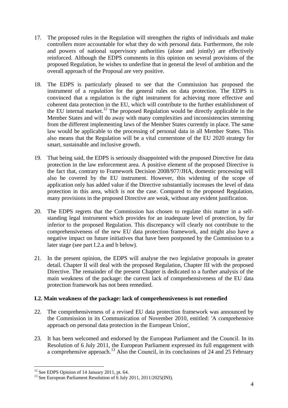- 17. The proposed rules in the Regulation will strengthen the rights of individuals and make controllers more accountable for what they do with personal data. Furthermore, the role and powers of national supervisory authorities (alone and jointly) are effectively reinforced. Although the EDPS comments in this opinion on several provisions of the proposed Regulation, he wishes to underline that in general the level of ambition and the overall approach of the Proposal are very positive.
- 18. The EDPS is particularly pleased to see that the Commission has proposed the instrument of a *regulation* for the general rules on data protection. The EDPS is convinced that a regulation is the right instrument for achieving more effective and coherent data protection in the EU, which will contribute to the further establishment of the EU internal market.<sup>[12](#page-9-0)</sup> The proposed Regulation would be directly applicable in the Member States and will do away with many complexities and inconsistencies stemming from the different implementing laws of the Member States currently in place. The same law would be applicable to the processing of personal data in all Member States. This also means that the Regulation will be a vital cornerstone of the EU 2020 strategy for smart, sustainable and inclusive growth.
- 19. That being said, the EDPS is seriously disappointed with the proposed Directive for data protection in the law enforcement area. A positive element of the proposed Directive is the fact that, contrary to Framework Decision 2008/977/JHA, domestic processing will also be covered by the EU instrument. However, this widening of the scope of application only has added value if the Directive substantially increases the level of data protection in this area, which is not the case. Compared to the proposed Regulation, many provisions in the proposed Directive are weak, without any evident justification.
- 20. The EDPS regrets that the Commission has chosen to regulate this matter in a selfstanding legal instrument which provides for an inadequate level of protection, by far inferior to the proposed Regulation. This discrepancy will clearly not contribute to the comprehensiveness of the new EU data protection framework, and might also have a negative impact on future initiatives that have been postponed by the Commission to a later stage (see part I.2.a and b below).
- 21. In the present opinion, the EDPS will analyse the two legislative proposals in greater detail. Chapter II will deal with the proposed Regulation, Chapter III with the proposed Directive. The remainder of the present Chapter is dedicated to a further analysis of the main weakness of the package: the current lack of comprehensiveness of the EU data protection framework has not been remedied.

## **I.2. Main weakness of the package: lack of comprehensiveness is not remedied**

- 22. The comprehensiveness of a revised EU data protection framework was announced by the Commission in its Communication of November 2010, entitled: 'A comprehensive approach on personal data protection in the European Union',
- 23. It has been welcomed and endorsed by the European Parliament and the Council. In its Resolution of 6 July 2011, the European Parliament expressed its full engagement with a comprehensive approach.<sup>13</sup> Also the Council, in its conclusions of 24 and 25 February

<span id="page-9-0"></span><sup>&</sup>lt;sup>12</sup> See EDPS Opinion of 14 January 2011, pt. 64.

<span id="page-9-1"></span><sup>&</sup>lt;sup>13</sup> See European Parliament Resolution of 6 July 2011, 2011/2025(INI).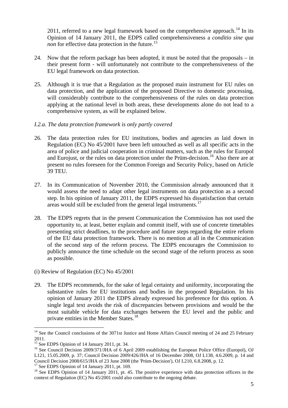2011, referred to a new legal framework based on the comprehensive approach.<sup>14</sup> In its Opinion of 14 January 2011, the EDPS called comprehensiveness a *conditio sine qua non* for effective data protection in the future.<sup>15</sup>

- 24. Now that the reform package has been adopted, it must be noted that the proposals in their present form - will unfortunately not contribute to the comprehensiveness of the EU legal framework on data protection.
- 25. Although it is true that a Regulation as the proposed main instrument for EU rules on data protection, and the application of the proposed Directive to domestic processing, will considerably contribute to the comprehensiveness of the rules on data protection applying at the national level in both areas, these developments alone do not lead to a comprehensive system, as will be explained below.

#### *I.2.a. The data protection framework is only partly covered*

- 26. The data protection rules for EU institutions, bodies and agencies as laid down in Regulation (EC) No 45/2001 have been left untouched as well as all specific acts in the area of police and judicial cooperation in criminal matters, such as the rules for Europol and Eurojust, or the rules on data protection under the Prüm-decision.<sup>[16](#page-10-2)</sup> Also there are at present no rules foreseen for the Common Foreign and Security Policy, based on Article 39 TEU.
- 27. In its Communication of November 2010, the Commission already announced that it would assess the need to adapt other legal instruments on data protection as a second step. In his opinion of January 2011, the EDPS expressed his dissatisfaction that certain areas would still be excluded from the general legal instruments.[17](#page-10-3)
- 28. The EDPS regrets that in the present Communication the Commission has not used the opportunity to, at least, better explain and commit itself, with use of concrete timetables presenting strict deadlines, to the procedure and future steps regarding the entire reform of the EU data protection framework. There is no mention at all in the Communication of the second step of the reform process. The EDPS encourages the Commission to publicly announce the time schedule on the second stage of the reform process as soon as possible.
- (i) Review of Regulation (EC) No 45/2001
- 29. The EDPS recommends, for the sake of legal certainty and uniformity, incorporating the substantive rules for EU institutions and bodies in the proposed Regulation. In his opinion of January 2011 the EDPS already expressed his preference for this option. A single legal text avoids the risk of discrepancies between provisions and would be the most suitable vehicle for data exchanges between the EU level and the public and private entities in the Member States.[18](#page-10-4)

<span id="page-10-0"></span><sup>&</sup>lt;sup>14</sup> See the Council conclusions of the 3071st Justice and Home Affairs Council meeting of 24 and 25 February 2011.

<sup>&</sup>lt;sup>15</sup> See EDPS Opinion of 14 January 2011, pt. 34.

<span id="page-10-2"></span><span id="page-10-1"></span><sup>&</sup>lt;sup>16</sup> See Council Decision 2009/371/JHA of 6 April 2009 establishing the European Police Office (Europol), OJ L121, 15.05.2009, p. 37; Council Decision 2009/426/JHA of 16 December 2008, OJ L138, 4.6.2009, p. 14 and Council Decision 2008/615/JHA of 23 June 2008 (the 'Prüm-Decision'), OJ L210, 6.8.2008, p. 12.

<sup>&</sup>lt;sup>17</sup> See EDPS Opinion of 14 January 2011, pt. 169.

<span id="page-10-4"></span><span id="page-10-3"></span><sup>&</sup>lt;sup>18</sup> See EDPS Opinion of 14 January 2011, pt. 45. The positive experience with data protection officers in the context of Regulation (EC) No 45/2001 could also contribute to the ongoing debate.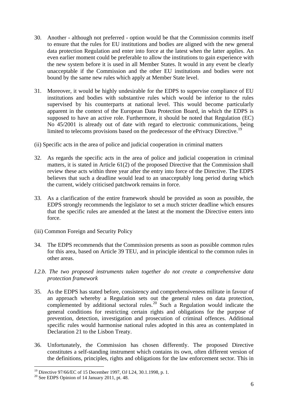- 30. Another although not preferred option would be that the Commission commits itself to ensure that the rules for EU institutions and bodies are aligned with the new general data protection Regulation and enter into force at the latest when the latter applies. An even earlier moment could be preferable to allow the institutions to gain experience with the new system before it is used in all Member States. It would in any event be clearly unacceptable if the Commission and the other EU institutions and bodies were not bound by the same new rules which apply at Member State level.
- 31. Moreover, it would be highly undesirable for the EDPS to supervise compliance of EU institutions and bodies with substantive rules which would be inferior to the rules supervised by his counterparts at national level. This would become particularly apparent in the context of the European Data Protection Board, in which the EDPS is supposed to have an active role. Furthermore, it should be noted that Regulation (EC) No 45/2001 is already out of date with regard to electronic communications, being limited to telecoms provisions based on the predecessor of the ePrivacy Directive.<sup>[19](#page-11-0)</sup>
- (ii) Specific acts in the area of police and judicial cooperation in criminal matters
- 32. As regards the specific acts in the area of police and judicial cooperation in criminal matters, it is stated in Article 61(2) of the proposed Directive that the Commission shall review these acts within three year after the entry into force of the Directive. The EDPS believes that such a deadline would lead to an unacceptably long period during which the current, widely criticised patchwork remains in force.
- 33. As a clarification of the entire framework should be provided as soon as possible, the EDPS strongly recommends the legislator to set a much stricter deadline which ensures that the specific rules are amended at the latest at the moment the Directive enters into force.
- (iii) Common Foreign and Security Policy
- 34. The EDPS recommends that the Commission presents as soon as possible common rules for this area, based on Article 39 TEU, and in principle identical to the common rules in other areas.
- *I.2.b. The two proposed instruments taken together do not create a comprehensive data protection framework*
- 35. As the EDPS has stated before, consistency and comprehensiveness militate in favour of an approach whereby a Regulation sets out the general rules on data protection, complemented by additional sectoral rules.<sup>[20](#page-11-1)</sup> Such a Regulation would indicate the general conditions for restricting certain rights and obligations for the purpose of prevention, detection, investigation and prosecution of criminal offences. Additional specific rules would harmonise national rules adopted in this area as contemplated in Declaration 21 to the Lisbon Treaty.
- 36. Unfortunately, the Commission has chosen differently. The proposed Directive constitutes a self-standing instrument which contains its own, often different version of the definitions, principles, rights and obligations for the law enforcement sector. This in

<span id="page-11-0"></span><sup>19</sup> Directive 97/66/EC of 15 December 1997, OJ L24, 30.1.1998, p. 1.

<span id="page-11-1"></span> $20$  See EDPS Opinion of 14 January 2011, pt. 48.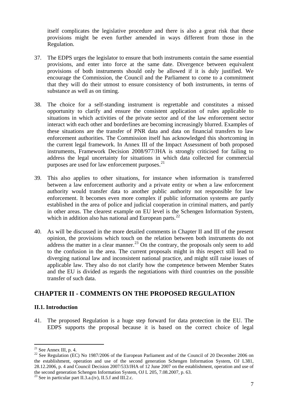itself complicates the legislative procedure and there is also a great risk that these provisions might be even further amended in ways different from those in the Regulation.

- 37. The EDPS urges the legislator to ensure that both instruments contain the same essential provisions, and enter into force at the same date. Divergence between equivalent provisions of both instruments should only be allowed if it is duly justified. We encourage the Commission, the Council and the Parliament to come to a commitment that they will do their utmost to ensure consistency of both instruments, in terms of substance as well as on timing.
- 38. The choice for a self-standing instrument is regrettable and constitutes a missed opportunity to clarify and ensure the consistent application of rules applicable to situations in which activities of the private sector and of the law enforcement sector interact with each other and borderlines are becoming increasingly blurred. Examples of these situations are the transfer of PNR data and data on financial transfers to law enforcement authorities. The Commission itself has acknowledged this shortcoming in the current legal framework. In Annex III of the Impact Assessment of both proposed instruments, Framework Decision 2008/977/JHA is strongly criticised for failing to address the legal uncertainty for situations in which data collected for commercial purposes are used for law enforcement purposes.<sup>21</sup>
- 39. This also applies to other situations, for instance when information is transferred between a law enforcement authority and a private entity or when a law enforcement authority would transfer data to another public authority not responsible for law enforcement. It becomes even more complex if public information systems are partly established in the area of police and judicial cooperation in criminal matters, and partly in other areas. The clearest example on EU level is the Schengen Information System, which in addition also has national and European parts.<sup>[22](#page-12-1)</sup>
- 40. As will be discussed in the more detailed comments in Chapter II and III of the present opinion, the provisions which touch on the relation between both instruments do not  $\frac{1}{4}$  address the matter in a clear manner.<sup>[23](#page-12-2)</sup> On the contrary, the proposals only seem to add to the confusion in the area. The current proposals might in this respect still lead to diverging national law and inconsistent national practice, and might still raise issues of applicable law. They also do not clarify how the competence between Member States and the EU is divided as regards the negotiations with third countries on the possible transfer of such data.

# **CHAPTER II - COMMENTS ON THE PROPOSED REGULATION**

## **II.1. Introduction**

41. The proposed Regulation is a huge step forward for data protection in the EU. The EDPS supports the proposal because it is based on the correct choice of legal

<sup>1</sup>  $21$  See Annex III, p. 4.

<span id="page-12-1"></span><span id="page-12-0"></span><sup>&</sup>lt;sup>22</sup> See Regulation (EC) No 1987/2006 of the European Parliament and of the Council of 20 December 2006 on the establishment, operation and use of the second generation Schengen Information System, OJ L381, 28.12.2006, p. 4 and Council Decision 2007/533/JHA of 12 June 2007 on the establishment, operation and use of the second generation Schengen Information System, OJ L 205, 7.08.2007, p. 63.

<span id="page-12-2"></span><sup>&</sup>lt;sup>23</sup> See in particular part II.3.a.(iv), II.5.f and III.2.c.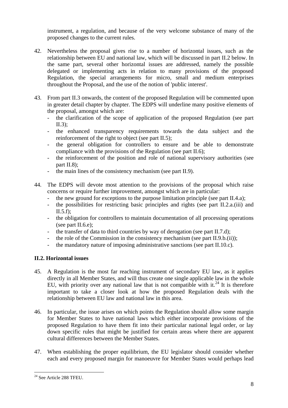instrument, a regulation, and because of the very welcome substance of many of the proposed changes to the current rules.

- 42. Nevertheless the proposal gives rise to a number of horizontal issues, such as the relationship between EU and national law, which will be discussed in part II.2 below. In the same part, several other horizontal issues are addressed, namely the possible delegated or implementing acts in relation to many provisions of the proposed Regulation, the special arrangements for micro, small and medium enterprises throughout the Proposal, and the use of the notion of 'public interest'.
- 43. From part II.3 onwards, the content of the proposed Regulation will be commented upon in greater detail chapter by chapter. The EDPS will underline many positive elements of the proposal, amongst which are:
	- the clarification of the scope of application of the proposed Regulation (see part II.3);
	- the enhanced transparency requirements towards the data subject and the reinforcement of the right to object (see part II.5);
	- the general obligation for controllers to ensure and be able to demonstrate compliance with the provisions of the Regulation (see part II.6);
	- the reinforcement of the position and role of national supervisory authorities (see part II.8);
	- the main lines of the consistency mechanism (see part II.9).
- 44. The EDPS will devote most attention to the provisions of the proposal which raise concerns or require further improvement, amongst which are in particular:
	- the new ground for exceptions to the purpose limitation principle (see part II.4.a);
	- the possibilities for restricting basic principles and rights (see part II.2.a.(iii) and  $II.5.f$ :
	- the obligation for controllers to maintain documentation of all processing operations (see part II.6.e);
	- the transfer of data to third countries by way of derogation (see part II.7.d);
	- the role of the Commission in the consistency mechanism (see part  $II.9.b.(ii)$ );
	- the mandatory nature of imposing administrative sanctions (see part II.10.c).

# **II.2. Horizontal issues**

- 45. A Regulation is the most far reaching instrument of secondary EU law, as it applies directly in all Member States, and will thus create one single applicable law in the whole EU, with priority over any national law that is not compatible with it.<sup>[24](#page-13-0)</sup> It is therefore important to take a closer look at how the proposed Regulation deals with the relationship between EU law and national law in this area.
- 46. In particular, the issue arises on which points the Regulation should allow some margin for Member States to have national laws which either incorporate provisions of the proposed Regulation to have them fit into their particular national legal order, or lay down specific rules that might be justified for certain areas where there are apparent cultural differences between the Member States.
- 47. When establishing the proper equilibrium, the EU legislator should consider whether each and every proposed margin for manoeuvre for Member States would perhaps lead

<span id="page-13-0"></span><sup>&</sup>lt;sup>24</sup> See Article 288 TFEU.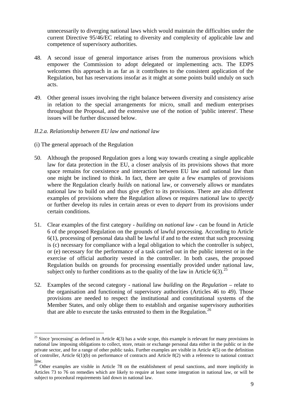unnecessarily to diverging national laws which would maintain the difficulties under the current Directive 95/46/EC relating to diversity and complexity of applicable law and competence of supervisory authorities.

- 48. A second issue of general importance arises from the numerous provisions which empower the Commission to adopt delegated or implementing acts. The EDPS welcomes this approach in as far as it contributes to the consistent application of the Regulation, but has reservations insofar as it might at some points build unduly on such acts.
- 49. Other general issues involving the right balance between diversity and consistency arise in relation to the special arrangements for micro, small and medium enterprises throughout the Proposal, and the extensive use of the notion of 'public interest'. These issues will be further discussed below.

#### *II.2.a. Relationship between EU law and national law*

(i) The general approach of the Regulation

- 50. Although the proposed Regulation goes a long way towards creating a single applicable law for data protection in the EU, a closer analysis of its provisions shows that more space remains for coexistence and interaction between EU law and national law than one might be inclined to think. In fact, there are quite a few examples of provisions where the Regulation clearly *builds* on national law, or conversely allows or mandates national law to build on and thus give *effect* to its provisions. There are also different examples of provisions where the Regulation allows or requires national law to *specify* or further develop its rules in certain areas or even to *depart* from its provisions under certain conditions.
- 51. Clear examples of the first category *building* on *national law* can be found in Article 6 of the proposed Regulation on the grounds of lawful processing. According to Article 6(1), processing of personal data shall be lawful if and to the extent that such processing is (c) necessary for compliance with a legal obligation to which the controller is subject, or (e) necessary for the performance of a task carried out in the public interest or in the exercise of official authority vested in the controller. In both cases, the proposed Regulation builds on grounds for processing essentially provided under national law, subject only to further conditions as to the quality of the law in Article 6(3).<sup>25</sup>
- 52. Examples of the second category national law *building* on the *Regulation* relate to the organisation and functioning of supervisory authorities (Articles 46 to 49). Those provisions are needed to respect the institutional and constitutional systems of the Member States, and only oblige them to establish and organise supervisory authorities that are able to execute the tasks entrusted to them in the Regulation.<sup>[26](#page-14-1)</sup>

<span id="page-14-0"></span><sup>&</sup>lt;sup>25</sup> Since 'processing' as defined in Article  $4(3)$  has a wide scope, this example is relevant for many provisions in national law imposing obligations to collect, store, retain or exchange personal data either in the public or in the private sector, and for a range of other public tasks. Further examples are visible in Article 4(5) on the definition of controller, Article 6(1)(b) on performance of contracts and Article 8(2) with a reference to national contract law.

<span id="page-14-1"></span><sup>&</sup>lt;sup>26</sup> Other examples are visible in Article 78 on the establishment of penal sanctions, and more implicitly in Articles 73 to 76 on remedies which are likely to require at least some integration in national law, or will be subject to procedural requirements laid down in national law.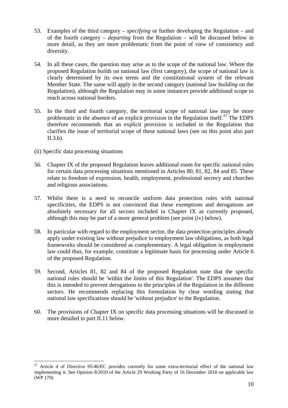- 53. Examples of the third category *specifying* or further developing the Regulation and of the fourth category – *departing* from the Regulation – will be discussed below in more detail, as they are more problematic from the point of view of consistency and diversity.
- 54. In all these cases, the question may arise as to the scope of the national law. Where the proposed Regulation *builds* on national law (first category), the scope of national law is clearly determined by its own terms and the constitutional system of the relevant Member State. The same will apply in the second category (national law *building* on the Regulation), although the Regulation may in some instances provide additional scope to reach across national borders.
- 55. In the third and fourth category, the territorial scope of national law may be more problematic in the absence of an explicit provision in the Regulation itself.<sup>27</sup> The EDPS therefore recommends that an explicit provision is included in the Regulation that clarifies the issue of territorial scope of these national laws (see on this point also part II.3.b).
- (ii) Specific data processing situations

- 56. Chapter IX of the proposed Regulation leaves additional room for specific national rules for certain data processing situations mentioned in Articles 80, 81, 82, 84 and 85. These relate to freedom of expression, health, employment, professional secrecy and churches and religious associations.
- 57. Whilst there is a need to reconcile uniform data protection rules with national specificities, the EDPS is not convinced that these exemptions and derogations are absolutely necessary for all sectors included in Chapter IX as currently proposed, although this may be part of a more general problem (see point (iv) below).
- 58. In particular with regard to the employment sector, the data protection principles already apply under existing law without prejudice to employment law obligations, as both legal frameworks should be considered as complementary. A legal obligation in employment law could thus, for example, constitute a legitimate basis for processing under Article 6 of the proposed Regulation.
- 59. Second, Articles 81, 82 and 84 of the proposed Regulation state that the specific national rules should be 'within the limits of this Regulation'. The EDPS assumes that this is intended to prevent derogations to the principles of the Regulation in the different sectors. He recommends replacing this formulation by clear wording stating that national law specifications should be 'without prejudice' to the Regulation.
- 60. The provisions of Chapter IX on specific data processing situations will be discussed in more detailed in part II.11 below.

<span id="page-15-0"></span><sup>&</sup>lt;sup>27</sup> Article 4 of Directive  $95/46/EC$  provides currently for some extra-territorial effect of the national law implementing it. See Opinion 8/2010 of the Article 29 Working Party of 16 December 2010 on applicable law (WP 179).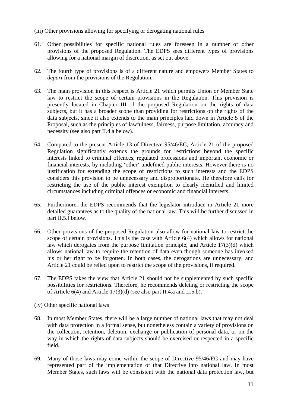- (iii) Other provisions allowing for specifying or derogating national rules
- 61. Other possibilities for specific national rules are foreseen in a number of other provisions of the proposed Regulation. The EDPS sees different types of provisions allowing for a national margin of discretion, as set out above.
- 62. The fourth type of provisions is of a different nature and empowers Member States to *depart* from the provisions of the Regulation.
- 63. The main provision in this respect is Article 21 which permits Union or Member State law to restrict the scope of certain provisions in the Regulation. This provision is presently located in Chapter III of the proposed Regulation on the rights of data subjects, but it has a broader scope than providing for restrictions on the rights of the data subjects, since it also extends to the main principles laid down in Article 5 of the Proposal, such as the principles of lawfulness, fairness, purpose limitation, accuracy and necessity (see also part II.4.a below).
- 64. Compared to the present Article 13 of Directive 95/46/EC, Article 21 of the proposed Regulation significantly extends the grounds for restrictions beyond the specific interests linked to criminal offences, regulated professions and important economic or financial interests, by including 'other' undefined public interests. However there is no justification for extending the scope of restrictions to such interests and the EDPS considers this provision to be unnecessary and disproportionate. He therefore calls for restricting the use of the public interest exemption to clearly identified and limited circumstances including criminal offences or economic and financial interests.
- 65. Furthermore, the EDPS recommends that the legislator introduce in Article 21 more detailed guarantees as to the quality of the national law. This will be further discussed in part II.5.f below.
- 66. Other provisions of the proposed Regulation also allow for national law to restrict the scope of certain provisions. This is the case with Article 6(4) which allows for national law which derogates from the purpose limitation principle, and Article 17(3)(d) which allows national law to require the retention of data even though someone has invoked his or her right to be forgotten. In both cases, the derogations are unnecessary, and Article 21 could be relied upon to restrict the scope of the provisions, if required.
- 67. The EDPS takes the view that Article 21 should not be supplemented by such specific possibilities for restrictions. Therefore, he recommends deleting or restricting the scope of Article 6(4) and Article 17(3)(d) (see also part II.4.a and II.5.b).
- (iv) Other specific national laws
- 68. In most Member States, there will be a large number of national laws that may not deal with data protection in a formal sense, but nonetheless contain a variety of provisions on the collection, retention, deletion, exchange or publication of personal data, or on the way in which the rights of data subjects should be exercised or respected in a specific field.
- 69. Many of those laws may come within the scope of Directive 95/46/EC and may have represented part of the implementation of that Directive into national law. In most Member States, such laws will be consistent with the national data protection law, but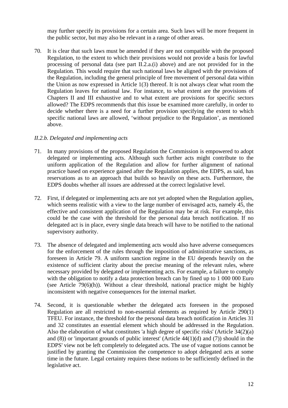may further specify its provisions for a certain area. Such laws will be more frequent in the public sector, but may also be relevant in a range of other areas.

70. It is clear that such laws must be amended if they are not compatible with the proposed Regulation, to the extent to which their provisions would not provide a basis for lawful processing of personal data (see part II.2.a.(i) above) and are not provided for in the Regulation. This would require that such national laws be aligned with the provisions of the Regulation, including the general principle of free movement of personal data within the Union as now expressed in Article 1(3) thereof. It is not always clear what room the Regulation leaves for national law. For instance, to what extent are the provisions of Chapters II and III exhaustive and to what extent are provisions for specific sectors allowed? The EDPS recommends that this issue be examined more carefully, in order to decide whether there is a need for a further provision specifying the extent to which specific national laws are allowed, 'without prejudice to the Regulation', as mentioned above.

#### *II.2.b. Delegated and implementing acts*

- 71. In many provisions of the proposed Regulation the Commission is empowered to adopt delegated or implementing acts. Although such further acts might contribute to the uniform application of the Regulation and allow for further alignment of national practice based on experience gained after the Regulation applies, the EDPS, as said, has reservations as to an approach that builds so heavily on these acts. Furthermore, the EDPS doubts whether all issues are addressed at the correct legislative level.
- 72. First, if delegated or implementing acts are not yet adopted when the Regulation applies, which seems realistic with a view to the large number of envisaged acts, namely 45, the effective and consistent application of the Regulation may be at risk. For example, this could be the case with the threshold for the personal data breach notification. If no delegated act is in place, every single data breach will have to be notified to the national supervisory authority.
- 73. The absence of delegated and implementing acts would also have adverse consequences for the enforcement of the rules through the imposition of administrative sanctions, as foreseen in Article 79. A uniform sanction regime in the EU depends heavily on the existence of sufficient clarity about the precise meaning of the relevant rules, where necessary provided by delegated or implementing acts. For example, a failure to comply with the obligation to notify a data protection breach can by fined up to 1 000 000 Euro (see Article  $79(6)(h)$ ). Without a clear threshold, national practice might be highly inconsistent with negative consequences for the internal market.
- 74. Second, it is questionable whether the delegated acts foreseen in the proposed Regulation are all restricted to non-essential elements as required by Article 290(1) TFEU. For instance, the threshold for the personal data breach notification in Articles 31 and 32 constitutes an essential element which should be addressed in the Regulation. Also the elaboration of what constitutes 'a high degree of specific risks' (Article 34(2)(a) and (8)) or 'important grounds of public interest' (Article 44(1)(d) and (7)) should in the EDPS' view not be left completely to delegated acts. The use of vague notions cannot be justified by granting the Commission the competence to adopt delegated acts at some time in the future. Legal certainty requires these notions to be sufficiently defined in the legislative act.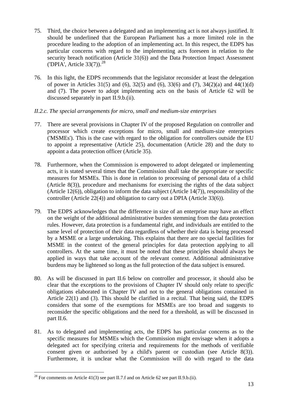- 75. Third, the choice between a delegated and an implementing act is not always justified. It should be underlined that the European Parliament has a more limited role in the procedure leading to the adoption of an implementing act. In this respect, the EDPS has particular concerns with regard to the implementing acts foreseen in relation to the security breach notification (Article 31(6)) and the Data Protection Impact Assessment ('DPIA', Article  $33(7)$ ).<sup>[28](#page-18-0)</sup>
- 76. In this light, the EDPS recommends that the legislator reconsider at least the delegation of power in Articles 31(5) and (6), 32(5) and (6), 33(6) and (7), 34(2)(a) and 44(1)(d) and (7). The power to adopt implementing acts on the basis of Article 62 will be discussed separately in part II.9.b.(ii).

## *II.2.c. The special arrangements for micro, small and medium-size enterprises*

- 77. There are several provisions in Chapter IV of the proposed Regulation on controller and processor which create exceptions for micro, small and medium-size enterprises ('MSMEs'). This is the case with regard to the obligation for controllers outside the EU to appoint a representative (Article 25), documentation (Article 28) and the duty to appoint a data protection officer (Article 35).
- 78. Furthermore, when the Commission is empowered to adopt delegated or implementing acts, it is stated several times that the Commission shall take the appropriate or specific measures for MSMEs. This is done in relation to processing of personal data of a child (Article 8(3)), procedure and mechanisms for exercising the rights of the data subject (Article 12(6)), obligation to inform the data subject (Article 14(7)), responsibility of the controller (Article 22(4)) and obligation to carry out a DPIA (Article 33(6)).
- 79. The EDPS acknowledges that the difference in size of an enterprise may have an effect on the weight of the additional administrative burden stemming from the data protection rules. However, data protection is a fundamental right, and individuals are entitled to the same level of protection of their data regardless of whether their data is being processed by a MSME or a large undertaking. This explains that there are no special facilities for MSME in the context of the general principles for data protection applying to all controllers. At the same time, it must be noted that these principles should always be applied in ways that take account of the relevant context. Additional administrative burdens may be lightened so long as the full protection of the data subject is ensured.
- 80. As will be discussed in part II.6 below on controller and processor, it should also be clear that the exceptions to the provisions of Chapter IV should only relate to *specific* obligations elaborated in Chapter IV and not to the general obligations contained in Article 22(1) and (3). This should be clarified in a recital. That being said, the EDPS considers that some of the exemptions for MSMEs are too broad and suggests to reconsider the specific obligations and the need for a threshold, as will be discussed in part II.6.
- 81. As to delegated and implementing acts, the EDPS has particular concerns as to the specific measures for MSMEs which the Commission might envisage when it adopts a delegated act for specifying criteria and requirements for the methods of verifiable consent given or authorised by a child's parent or custodian (see Article 8(3)). Furthermore, it is unclear what the Commission will do with regard to the data

<span id="page-18-0"></span><sup>&</sup>lt;sup>28</sup> For comments on Article 41(3) see part II.7.f and on Article 62 see part II.9.b.(ii).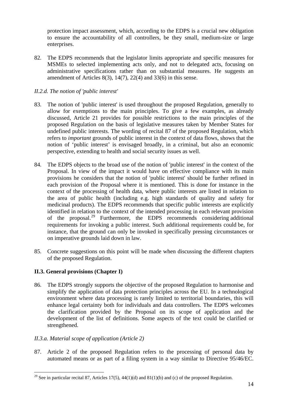protection impact assessment, which, according to the EDPS is a crucial new obligation to ensure the accountability of all controllers, be they small, medium-size or large enterprises.

82. The EDPS recommends that the legislator limits appropriate and specific measures for MSMEs to selected implementing acts only, and not to delegated acts, focusing on administrative specifications rather than on substantial measures. He suggests an amendment of Articles 8(3),  $14(7)$ ,  $22(4)$  and  $33(6)$  in this sense.

## *II.2.d. The notion of 'public interest'*

- 83. The notion of 'public interest' is used throughout the proposed Regulation, generally to allow for exemptions to the main principles. To give a few examples, as already discussed, Article 21 provides for possible restrictions to the main principles of the proposed Regulation on the basis of legislative measures taken by Member States for undefined public interests. The wording of recital 87 of the proposed Regulation, which refers to *important* grounds of public interest in the context of data flows, shows that the notion of 'public interest' is envisaged broadly, in a criminal, but also an economic perspective, extending to health and social security issues as well.
- 84. The EDPS objects to the broad use of the notion of 'public interest' in the context of the Proposal. In view of the impact it would have on effective compliance with its main provisions he considers that the notion of 'public interest' should be further refined in each provision of the Proposal where it is mentioned. This is done for instance in the context of the processing of health data, where public interests are listed in relation to the area of public health (including e.g. high standards of quality and safety for medicinal products). The EDPS recommends that specific public interests are explicitly identified in relation to the context of the intended processing in each relevant provision of the proposal.[29](#page-19-0) Furthermore, the EDPS recommends considering additional requirements for invoking a public interest. Such additional requirements could be, for instance, that the ground can only be invoked in specifically pressing circumstances or on imperative grounds laid down in law.
- 85. Concrete suggestions on this point will be made when discussing the different chapters of the proposed Regulation.

## **II.3. General provisions (Chapter I)**

86. The EDPS strongly supports the objective of the proposed Regulation to harmonise and simplify the application of data protection principles across the EU. In a technological environment where data processing is rarely limited to territorial boundaries, this will enhance legal certainty both for individuals and data controllers. The EDPS welcomes the clarification provided by the Proposal on its scope of application and the development of the list of definitions. Some aspects of the text could be clarified or strengthened.

## *II.3.a. Material scope of application (Article 2)*

1

87. Article 2 of the proposed Regulation refers to the processing of personal data by automated means or as part of a filing system in a way similar to Directive 95/46/EC.

<span id="page-19-0"></span><sup>&</sup>lt;sup>29</sup> See in particular recital 87, Articles 17(5), 44(1)(d) and 81(1)(b) and (c) of the proposed Regulation.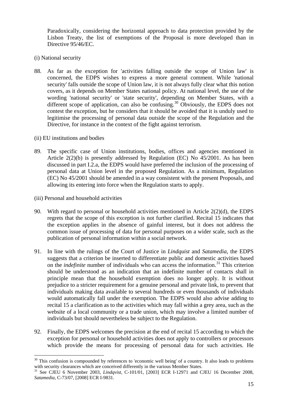Paradoxically, considering the horizontal approach to data protection provided by the Lisbon Treaty, the list of exemptions of the Proposal is more developed than in Directive 95/46/EC.

- (i) National security
- 88. As far as the exception for 'activities falling outside the scope of Union law' is concerned, the EDPS wishes to express a more general comment. While 'national security' falls outside the scope of Union law, it is not always fully clear what this notion covers, as it depends on Member States national policy. At national level, the use of the wording 'national security' or 'state security', depending on Member States, with a different scope of application, can also be confusing.<sup>30</sup> Obviously, the EDPS does not contest the exception, but he considers that it should be avoided that it is unduly used to legitimise the processing of personal data outside the scope of the Regulation and the Directive, for instance in the context of the fight against terrorism.
- (ii) EU institutions and bodies
- 89. The specific case of Union institutions, bodies, offices and agencies mentioned in Article  $2(2)(b)$  is presently addressed by Regulation (EC) No  $45/2001$ . As has been discussed in part I.2.a, the EDPS would have preferred the inclusion of the processing of personal data at Union level in the proposed Regulation. As a minimum, Regulation (EC) No 45/2001 should be amended in a way consistent with the present Proposals, and allowing its entering into force when the Regulation starts to apply.
- (iii) Personal and household activities

- 90. With regard to personal or household activities mentioned in Article 2(2)(d), the EDPS regrets that the scope of this exception is not further clarified. Recital 15 indicates that the exception applies in the absence of gainful interest, but it does not address the common issue of processing of data for personal purposes on a wider scale, such as the publication of personal information within a social network.
- 91. In line with the rulings of the Court of Justice in *Lindquist* and *Satamedia*, the EDPS suggests that a criterion be inserted to differentiate public and domestic activities based on the *indefinite* number of individuals who can access the information.<sup>31</sup> This criterion should be understood as an indication that an indefinite number of contacts shall in principle mean that the household exemption does no longer apply. It is without prejudice to a stricter requirement for a genuine personal and private link, to prevent that individuals making data available to several hundreds or even thousands of individuals would automatically fall under the exemption. The EDPS would also advise adding to recital 15 a clarification as to the activities which may fall within a grey area, such as the website of a local community or a trade union, which may involve a limited number of individuals but should nevertheless be subject to the Regulation.
- 92. Finally, the EDPS welcomes the precision at the end of recital 15 according to which the exception for personal or household activities does not apply to controllers or processors which provide the means for processing of personal data for such activities. He

<span id="page-20-0"></span><sup>&</sup>lt;sup>30</sup> This confusion is compounded by references to 'economic well being' of a country. It also leads to problems with security clearances which are conceived differently in the various Member States.<br><sup>31</sup> See CJEU 6 November 2003, *Lindqvist*, C-101/01, [2003] ECR I-12971 and CJEU 16 December 2008,

<span id="page-20-1"></span>*Satamedia*, C-73/07, [2008] ECR I-9831.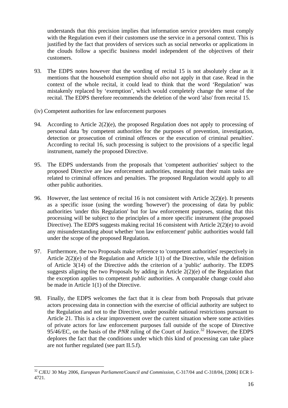understands that this precision implies that information service providers must comply with the Regulation even if their customers use the service in a personal context. This is justified by the fact that providers of services such as social networks or applications in the clouds follow a specific business model independent of the objectives of their customers.

- 93. The EDPS notes however that the wording of recital 15 is not absolutely clear as it mentions that the household exemption should *also* not apply in that case. Read in the context of the whole recital, it could lead to think that the word 'Regulation' was mistakenly replaced by 'exemption', which would completely change the sense of the recital. The EDPS therefore recommends the deletion of the word 'also' from recital 15.
- (iv) Competent authorities for law enforcement purposes
- 94. According to Article 2(2)(e), the proposed Regulation does not apply to processing of personal data 'by competent authorities for the purposes of prevention, investigation, detection or prosecution of criminal offences or the execution of criminal penalties'. According to recital 16, such processing is subject to the provisions of a specific legal instrument, namely the proposed Directive.
- 95. The EDPS understands from the proposals that 'competent authorities' subject to the proposed Directive are law enforcement authorities, meaning that their main tasks are related to criminal offences and penalties. The proposed Regulation would apply to all other public authorities.
- 96. However, the last sentence of recital 16 is not consistent with Article 2(2)(e). It presents as a specific issue (using the wording 'however') the processing of data by public authorities 'under this Regulation' but for law enforcement purposes, stating that this processing will be subject to the principles of a more specific instrument (the proposed Directive). The EDPS suggests making recital 16 consistent with Article 2(2)(e) to avoid any misunderstanding about whether 'non law enforcement' public authorities would fall under the scope of the proposed Regulation.
- 97. Furthermore, the two Proposals make reference to 'competent authorities' respectively in Article 2(2)(e) of the Regulation and Article 1(1) of the Directive, while the definition of Article 3(14) of the Directive adds the criterion of a 'public' authority. The EDPS suggests aligning the two Proposals by adding in Article 2(2)(e) of the Regulation that the exception applies to competent *public* authorities. A comparable change could also be made in Article 1(1) of the Directive.
- 98. Finally, the EDPS welcomes the fact that it is clear from both Proposals that private actors processing data in connection with the exercise of official authority are subject to the Regulation and not to the Directive, under possible national restrictions pursuant to Article 21. This is a clear improvement over the current situation where some activities of private actors for law enforcement purposes fall outside of the scope of Directive 95/46/EC, on the basis of the *PNR* ruling of the Court of Justice.<sup>32</sup> However, the EDPS deplores the fact that the conditions under which this kind of processing can take place are not further regulated (see part II.5.f).

<span id="page-21-0"></span><sup>32</sup> CJEU 30 May 2006, *European Parliament/Council and Commission*, C-317/04 and C-318/04, [2006] ECR I-4721.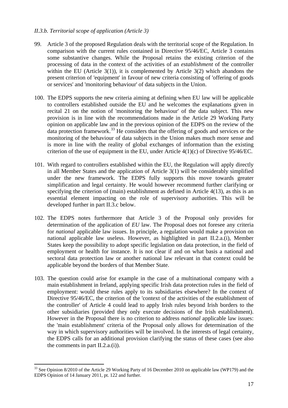#### *II.3.b. Territorial scope of application (Article 3)*

- 99. Article 3 of the proposed Regulation deals with the territorial scope of the Regulation. In comparison with the current rules contained in Directive 95/46/EC, Article 3 contains some substantive changes. While the Proposal retains the existing criterion of the processing of data in the context of the activities of an *establishment* of the controller within the EU (Article  $3(1)$ ), it is complemented by Article  $3(2)$  which abandons the present criterion of 'equipment' in favour of new criteria consisting of 'offering of goods or services' and 'monitoring behaviour' of data subjects in the Union.
- 100. The EDPS supports the new criteria aiming at defining when EU law will be applicable to controllers established outside the EU and he welcomes the explanations given in recital 21 on the notion of 'monitoring the behaviour' of the data subject. This new provision is in line with the recommendations made in the Article 29 Working Party opinion on applicable law and in the previous opinion of the EDPS on the review of the  $\frac{1}{2}$  data protection framework.<sup>[33](#page-22-0)</sup> He considers that the offering of goods and services or the monitoring of the behaviour of data subjects in the Union makes much more sense and is more in line with the reality of global exchanges of information than the existing criterion of the use of equipment in the EU, under Article 4(1)(c) of Directive 95/46/EC.
- 101. With regard to controllers established within the EU, the Regulation will apply directly in all Member States and the application of Article 3(1) will be considerably simplified under the new framework. The EDPS fully supports this move towards greater simplification and legal certainty. He would however recommend further clarifying or specifying the criterion of (main) establishment as defined in Article 4(13), as this is an essential element impacting on the role of supervisory authorities. This will be developed further in part II.3.c below.
- 102. The EDPS notes furthermore that Article 3 of the Proposal only provides for determination of the application of *EU* law. The Proposal does not foresee any criteria for *national* applicable law issues. In principle, a regulation would make a provision on national applicable law useless. However, as highlighted in part II.2.a.(i), Member States keep the possibility to adopt specific legislation on data protection, in the field of employment or health for instance. It is not clear if and on what basis a national and sectoral data protection law or another national law relevant in that context could be applicable beyond the borders of that Member State.
- 103. The question could arise for example in the case of a multinational company with a main establishment in Ireland, applying specific Irish data protection rules in the field of employment: would these rules apply to its subsidiaries elsewhere? In the context of Directive 95/46/EC, the criterion of the 'context of the activities of the establishment of the controller' of Article 4 could lead to apply Irish rules beyond Irish borders to the other subsidiaries (provided they only execute decisions of the Irish establishment). However in the Proposal there is no criterion to address *national* applicable law issues: the 'main establishment' criteria of the Proposal only allows for determination of the way in which supervisory authorities will be involved. In the interests of legal certainty, the EDPS calls for an additional provision clarifying the status of these cases (see also the comments in part  $II.2.a.(i)$ ).

<span id="page-22-0"></span><sup>&</sup>lt;sup>33</sup> See Opinion 8/2010 of the Article 29 Working Party of 16 December 2010 on applicable law (WP179) and the EDPS Opinion of 14 January 2011, pt. 122 and further.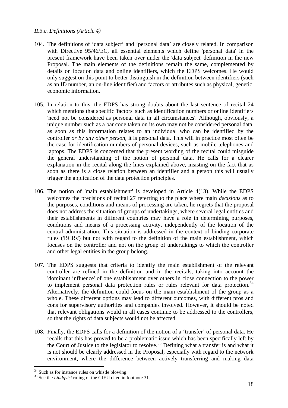#### *II.3.c. Definitions (Article 4)*

- 104. The definitions of 'data subject' and 'personal data' are closely related. In comparison with Directive 95/46/EC, all essential elements which define 'personal data' in the present framework have been taken over under the 'data subject' definition in the new Proposal. The main elements of the definitions remain the same, complemented by details on location data and online identifiers, which the EDPS welcomes. He would only suggest on this point to better distinguish in the definition between identifiers (such as an ID number, an on-line identifier) and factors or attributes such as physical, genetic, economic information.
- 105. In relation to this, the EDPS has strong doubts about the last sentence of recital 24 which mentions that specific 'factors' such as identification numbers or online identifiers 'need not be considered as personal data in all circumstances'. Although, obviously, a unique number such as a bar code taken on its own may not be considered personal data, as soon as this information relates to an individual who can be identified by the controller *or by any other person*, it is personal data. This will in practice most often be the case for identification numbers of personal devices, such as mobile telephones and laptops. The EDPS is concerned that the present wording of the recital could misguide the general understanding of the notion of personal data. He calls for a clearer explanation in the recital along the lines explained above, insisting on the fact that as soon as there is a close relation between an identifier and a person this will usually trigger the application of the data protection principles.
- 106. The notion of 'main establishment' is developed in Article 4(13). While the EDPS welcomes the precisions of recital 27 referring to the place where main *decisions* as to the purposes, conditions and means of processing are taken, he regrets that the proposal does not address the situation of groups of undertakings, where several legal entities and their establishments in different countries may have a role in determining purposes, conditions and means of a processing activity, independently of the location of the central administration. This situation is addressed in the context of binding corporate rules ('BCRs') but not with regard to the definition of the main establishment, which focuses on the controller and not on the group of undertakings to which the controller and other legal entities in the group belong.
- 107. The EDPS suggests that criteria to identify the main establishment of the relevant controller are refined in the definition and in the recitals, taking into account the 'dominant influence' of one establishment over others in close connection to the power to implement personal data protection rules or rules relevant for data protection.<sup>[34](#page-23-0)</sup> Alternatively, the definition could focus on the main establishment of the group as a whole. These different options may lead to different outcomes, with different pros and cons for supervisory authorities and companies involved. However, it should be noted that relevant obligations would in all cases continue to be addressed to the controllers, so that the rights of data subjects would not be affected.
- 108. Finally, the EDPS calls for a definition of the notion of a 'transfer' of personal data. He recalls that this has proved to be a problematic issue which has been specifically left by the Court of Justice to the legislator to resolve.<sup>[35](#page-23-1)</sup> Defining what a transfer is and what it is not should be clearly addressed in the Proposal, especially with regard to the network environment, where the difference between actively transferring and making data

<span id="page-23-0"></span> $34$  Such as for instance rules on whistle blowing.

<span id="page-23-1"></span><sup>&</sup>lt;sup>35</sup> See the *Lindqvist* ruling of the CJEU cited in footnote 31.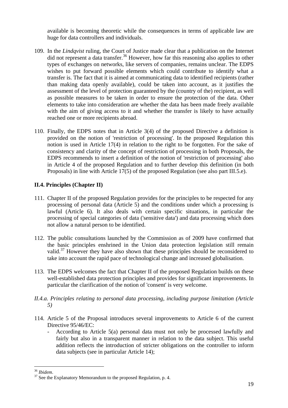available is becoming theoretic while the consequences in terms of applicable law are huge for data controllers and individuals.

- 109. In the *Lindqvist* ruling, the Court of Justice made clear that a publication on the Internet did not represent a data transfer.<sup>36</sup> However, how far this reasoning also applies to other types of exchanges on networks, like servers of companies, remains unclear. The EDPS wishes to put forward possible elements which could contribute to identify what a transfer is. The fact that it is aimed at communicating data to identified recipients (rather than making data openly available), could be taken into account, as it justifies the assessment of the level of protection guaranteed by the (country of the) recipient, as well as possible measures to be taken in order to ensure the protection of the data. Other elements to take into consideration are whether the data has been made freely available with the aim of giving access to it and whether the transfer is likely to have actually reached one or more recipients abroad.
- 110. Finally, the EDPS notes that in Article 3(4) of the proposed Directive a definition is provided on the notion of 'restriction of processing'. In the proposed Regulation this notion is used in Article 17(4) in relation to the right to be forgotten. For the sake of consistency and clarity of the concept of restriction of processing in both Proposals, the EDPS recommends to insert a definition of the notion of 'restriction of processing' also in Article 4 of the proposed Regulation and to further develop this definition (in both Proposals) in line with Article 17(5) of the proposed Regulation (see also part III.5.e).

# **II.4. Principles (Chapter II)**

- 111. Chapter II of the proposed Regulation provides for the principles to be respected for any processing of personal data (Article 5) and the conditions under which a processing is lawful (Article 6). It also deals with certain specific situations, in particular the processing of special categories of data ('sensitive data') and data processing which does not allow a natural person to be identified.
- 112. The public consultations launched by the Commission as of 2009 have confirmed that the basic principles enshrined in the Union data protection legislation still remain valid.<sup>[37](#page-24-1)</sup> However they have also shown that these principles should be reconsidered to take into account the rapid pace of technological change and increased globalisation.
- 113. The EDPS welcomes the fact that Chapter II of the proposed Regulation builds on these well-established data protection principles and provides for significant improvements. In particular the clarification of the notion of 'consent' is very welcome.
- *II.4.a. Principles relating to personal data processing, including purpose limitation (Article 5)*
- 114. Article 5 of the Proposal introduces several improvements to Article 6 of the current Directive 95/46/EC:
	- According to Article 5(a) personal data must not only be processed lawfully and fairly but also in a transparent manner in relation to the data subject. This useful addition reflects the introduction of stricter obligations on the controller to inform data subjects (see in particular Article 14);

<span id="page-24-1"></span><span id="page-24-0"></span><sup>&</sup>lt;sup>36</sup> *Ibidem*.<br><sup>37</sup> See the Explanatory Memorandum to the proposed Regulation, p. 4.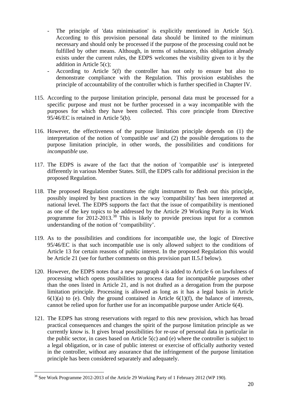- The principle of 'data minimisation' is explicitly mentioned in Article 5(c). According to this provision personal data should be limited to the minimum necessary and should only be processed if the purpose of the processing could not be fulfilled by other means. Although, in terms of substance, this obligation already exists under the current rules, the EDPS welcomes the visibility given to it by the addition in Article 5(c);
- According to Article 5(f) the controller has not only to ensure but also to demonstrate compliance with the Regulation. This provision establishes the principle of accountability of the controller which is further specified in Chapter IV.
- 115. According to the purpose limitation principle, personal data must be processed for a specific purpose and must not be further processed in a way incompatible with the purposes for which they have been collected. This core principle from Directive 95/46/EC is retained in Article 5(b).
- 116. However, the effectiveness of the purpose limitation principle depends on (1) the interpretation of the notion of 'compatible use' and (2) the possible derogations to the purpose limitation principle, in other words, the possibilities and conditions for *incompatible* use.
- 117. The EDPS is aware of the fact that the notion of 'compatible use' is interpreted differently in various Member States. Still, the EDPS calls for additional precision in the proposed Regulation.
- 118. The proposed Regulation constitutes the right instrument to flesh out this principle, possibly inspired by best practices in the way 'compatibility' has been interpreted at national level. The EDPS supports the fact that the issue of compatibility is mentioned as one of the key topics to be addressed by the Article 29 Working Party in its Work programme for  $2012$ -2013.<sup>38</sup> This is likely to provide precious input for a common understanding of the notion of 'compatibility'.
- 119. As to the possibilities and conditions for incompatible use, the logic of Directive 95/46/EC is that such incompatible use is only allowed subject to the conditions of Article 13 for certain reasons of public interest. In the proposed Regulation this would be Article 21 (see for further comments on this provision part II.5.f below).
- 120. However, the EDPS notes that a new paragraph 4 is added to Article 6 on lawfulness of processing which opens possibilities to process data for incompatible purposes other than the ones listed in Article 21, and is not drafted as a derogation from the purpose limitation principle. Processing is allowed as long as it has a legal basis in Article  $6(1)(a)$  to (e). Only the ground contained in Article  $6(1)(f)$ , the balance of interests, cannot be relied upon for further use for an incompatible purpose under Article 6(4).
- 121. The EDPS has strong reservations with regard to this new provision, which has broad practical consequences and changes the spirit of the purpose limitation principle as we currently know is. It gives broad possibilities for re-use of personal data in particular in the public sector, in cases based on Article 5(c) and (e) where the controller is subject to a legal obligation, or in case of public interest or exercise of officially authority vested in the controller, without any assurance that the infringement of the purpose limitation principle has been considered separately and adequately.

<span id="page-25-0"></span><sup>&</sup>lt;sup>38</sup> See Work Programme 2012-2013 of the Article 29 Working Party of 1 February 2012 (WP 190).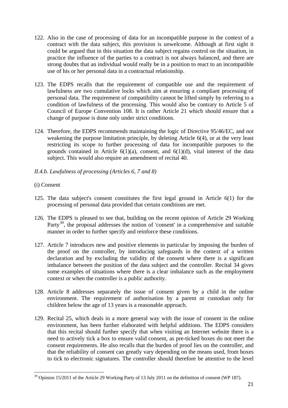- 122. Also in the case of processing of data for an incompatible purpose in the context of a contract with the data subject, this provision is unwelcome. Although at first sight it could be argued that in this situation the data subject regains control on the situation, in practice the influence of the parties to a contract is not always balanced, and there are strong doubts that an individual would really be in a position to react to an incompatible use of his or her personal data in a contractual relationship.
- 123. The EDPS recalls that the requirement of compatible use and the requirement of lawfulness are two cumulative locks which aim at ensuring a compliant processing of personal data. The requirement of compatibility cannot be lifted simply by referring to a condition of lawfulness of the processing. This would also be contrary to Article 5 of Council of Europe Convention 108. It is rather Article 21 which should ensure that a change of purpose is done only under strict conditions.
- 124. Therefore, the EDPS recommends maintaining the logic of Directive 95/46/EC, and not weakening the purpose limitation principle, by deleting Article 6(4), or at the very least restricting its scope to further processing of data for incompatible purposes to the grounds contained in Article  $6(1)(a)$ , consent, and  $6(1)(d)$ , vital interest of the data subject. This would also require an amendment of recital 40.
- *II.4.b. Lawfulness of processing (Articles 6, 7 and 8)*
- (i) Consent

- 125. The data subject's consent constitutes the first legal ground in Article 6(1) for the processing of personal data provided that certain conditions are met.
- 126. The EDPS is pleased to see that, building on the recent opinion of Article 29 Working Party<sup>39</sup>, the proposal addresses the notion of 'consent' in a comprehensive and suitable manner in order to further specify and reinforce these conditions.
- 127. Article 7 introduces new and positive elements in particular by imposing the burden of the proof on the controller, by introducing safeguards in the context of a written declaration and by excluding the validity of the consent where there is a significant imbalance between the position of the data subject and the controller. Recital 34 gives some examples of situations where there is a clear imbalance such as the employment context or when the controller is a public authority.
- 128. Article 8 addresses separately the issue of consent given by a child in the online environment. The requirement of authorisation by a parent or custodian only for children below the age of 13 years is a reasonable approach.
- 129. Recital 25, which deals in a more general way with the issue of consent in the online environment, has been further elaborated with helpful additions. The EDPS considers that this recital should further specify that when visiting an Internet website there is a need to actively tick a box to ensure valid consent, as pre-ticked boxes do not meet the consent requirements. He also recalls that the burden of proof lies on the controller, and that the reliability of consent can greatly vary depending on the means used, from boxes to tick to electronic signatures. The controller should therefore be attentive to the level

<span id="page-26-0"></span><sup>&</sup>lt;sup>39</sup> Opinion 15/2011 of the Article 29 Working Party of 13 July 2011 on the definition of consent (WP 187).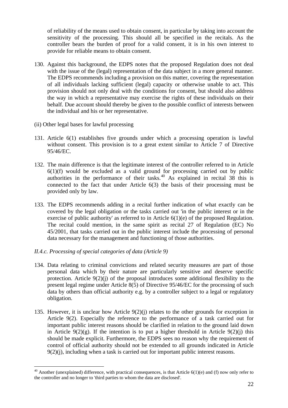of reliability of the means used to obtain consent, in particular by taking into account the sensitivity of the processing. This should all be specified in the recitals. As the controller bears the burden of proof for a valid consent, it is in his own interest to provide for reliable means to obtain consent.

- 130. Against this background, the EDPS notes that the proposed Regulation does not deal with the issue of the (legal) representation of the data subject in a more general manner. The EDPS recommends including a provision on this matter, covering the representation of all individuals lacking sufficient (legal) capacity or otherwise unable to act. This provision should not only deal with the conditions for consent, but should also address the way in which a representative may exercise the rights of these individuals on their behalf. Due account should thereby be given to the possible conflict of interests between the individual and his or her representative.
- (ii) Other legal bases for lawful processing
- 131. Article 6(1) establishes five grounds under which a processing operation is lawful without consent. This provision is to a great extent similar to Article 7 of Directive 95/46/EC.
- 132. The main difference is that the legitimate interest of the controller referred to in Article  $6(1)(f)$  would be excluded as a valid ground for processing carried out by public authorities in the performance of their tasks.<sup>40</sup> As explained in recital  $38$  this is connected to the fact that under Article 6(3) the basis of their processing must be provided only by law.
- 133. The EDPS recommends adding in a recital further indication of what exactly can be covered by the legal obligation or the tasks carried out 'in the public interest or in the exercise of public authority' as referred to in Article 6(1)(e) of the proposed Regulation. The recital could mention, in the same spirit as recital 27 of Regulation (EC) No 45/2001, that tasks carried out in the public interest include the processing of personal data necessary for the management and functioning of those authorities.
- *II.4.c. Processing of special categories of data (Article 9)*

- 134. Data relating to criminal convictions and related security measures are part of those personal data which by their nature are particularly sensitive and deserve specific protection. Article 9(2)(j) of the proposal introduces some additional flexibility to the present legal regime under Article 8(5) of Directive 95/46/EC for the processing of such data by others than official authority e.g. by a controller subject to a legal or regulatory obligation.
- 135. However, it is unclear how Article 9(2)(j) relates to the other grounds for exception in Article 9(2). Especially the reference to the performance of a task carried out for important public interest reasons should be clarified in relation to the ground laid down in Article  $9(2)(g)$ . If the intention is to put a higher threshold in Article  $9(2)(i)$  this should be made explicit. Furthermore, the EDPS sees no reason why the requirement of control of official authority should not be extended to all grounds indicated in Article 9(2)(j), including when a task is carried out for important public interest reasons.

<span id="page-27-0"></span> $40$  Another (unexplained) difference, with practical consequences, is that Article 6(1)(e) and (f) now only refer to the controller and no longer to 'third parties to whom the data are disclosed'.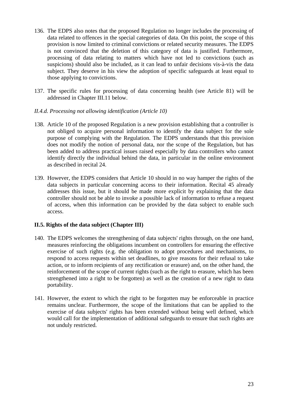- 136. The EDPS also notes that the proposed Regulation no longer includes the processing of data related to offences in the special categories of data. On this point, the scope of this provision is now limited to criminal convictions or related security measures. The EDPS is not convinced that the deletion of this category of data is justified. Furthermore, processing of data relating to matters which have not led to convictions (such as suspicions) should also be included, as it can lead to unfair decisions vis-à-vis the data subject. They deserve in his view the adoption of specific safeguards at least equal to those applying to convictions.
- 137. The specific rules for processing of data concerning health (see Article 81) will be addressed in Chapter III.11 below.

## *II.4.d. Processing not allowing identification (Article 10)*

- 138. Article 10 of the proposed Regulation is a new provision establishing that a controller is not obliged to acquire personal information to identify the data subject for the sole purpose of complying with the Regulation. The EDPS understands that this provision does not modify the notion of personal data, nor the scope of the Regulation, but has been added to address practical issues raised especially by data controllers who cannot identify directly the individual behind the data, in particular in the online environment as described in recital 24.
- 139. However, the EDPS considers that Article 10 should in no way hamper the rights of the data subjects in particular concerning access to their information. Recital 45 already addresses this issue, but it should be made more explicit by explaining that the data controller should not be able to invoke a possible lack of information to refuse a request of access, when this information can be provided by the data subject to enable such access.

## **II.5. Rights of the data subject (Chapter III)**

- 140. The EDPS welcomes the strengthening of data subjects' rights through, on the one hand, measures reinforcing the obligations incumbent on controllers for ensuring the effective exercise of such rights (e.g. the obligation to adopt procedures and mechanisms, to respond to access requests within set deadlines, to give reasons for their refusal to take action, or to inform recipients of any rectification or erasure) and, on the other hand, the reinforcement of the scope of current rights (such as the right to erasure, which has been strengthened into a right to be forgotten) as well as the creation of a new right to data portability.
- 141. However, the extent to which the right to be forgotten may be enforceable in practice remains unclear. Furthermore, the scope of the limitations that can be applied to the exercise of data subjects' rights has been extended without being well defined, which would call for the implementation of additional safeguards to ensure that such rights are not unduly restricted.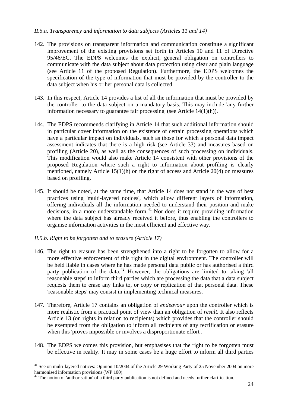#### *II.5.a. Transparency and information to data subjects (Articles 11 and 14)*

- 142. The provisions on transparent information and communication constitute a significant improvement of the existing provisions set forth in Articles 10 and 11 of Directive 95/46/EC. The EDPS welcomes the explicit, general obligation on controllers to communicate with the data subject about data protection using clear and plain language (see Article 11 of the proposed Regulation). Furthermore, the EDPS welcomes the specification of the type of information that must be provided by the controller to the data subject when his or her personal data is collected.
- 143. In this respect, Article 14 provides a list of all the information that must be provided by the controller to the data subject on a mandatory basis. This may include 'any further information necessary to guarantee fair processing' (see Article 14(1)(h)).
- 144. The EDPS recommends clarifying in Article 14 that such additional information should in particular cover information on the existence of certain processing operations which have a particular impact on individuals, such as those for which a personal data impact assessment indicates that there is a high risk (see Article 33) and measures based on profiling (Article 20), as well as the consequences of such processing on individuals. This modification would also make Article 14 consistent with other provisions of the proposed Regulation where such a right to information about profiling is clearly mentioned, namely Article 15(1)(h) on the right of access and Article 20(4) on measures based on profiling.
- 145. It should be noted, at the same time, that Article 14 does not stand in the way of best practices using 'multi-layered notices', which allow different layers of information, offering individuals all the information needed to understand their position and make decisions, in a more understandable form.<sup>41</sup> Nor does it require providing information where the data subject has already received it before, thus enabling the controllers to organise information activities in the most efficient and effective way.

#### *II.5.b. Right to be forgotten and to erasure (Article 17)*

- 146. The right to erasure has been strengthened into a right to be forgotten to allow for a more effective enforcement of this right in the digital environment. The controller will be held liable in cases where he has made personal data public or has authorised a third party publication of the data.<sup>42</sup> However, the obligations are limited to taking 'all reasonable steps' to inform third parties which are processing the data that a data subject requests them to erase any links to, or copy or replication of that personal data. These 'reasonable steps' may consist in implementing technical measures.
- 147. Therefore, Article 17 contains an obligation of *endeavour* upon the controller which is more realistic from a practical point of view than an obligation of *result*. It also reflects Article 13 (on rights in relation to recipients) which provides that the controller should be exempted from the obligation to inform all recipients of any rectification or erasure when this 'proves impossible or involves a disproportionate effort'.
- 148. The EDPS welcomes this provision, but emphasises that the right to be forgotten must be effective in reality. It may in some cases be a huge effort to inform all third parties

<span id="page-29-0"></span><sup>&</sup>lt;sup>41</sup> See on multi-layered notices: Opinion 10/2004 of the Article 29 Working Party of 25 November 2004 on more harmonised information provisions (WP 100).

<span id="page-29-1"></span><sup>&</sup>lt;sup>42</sup> The notion of 'authorisation' of a third party publication is not defined and needs further clarification.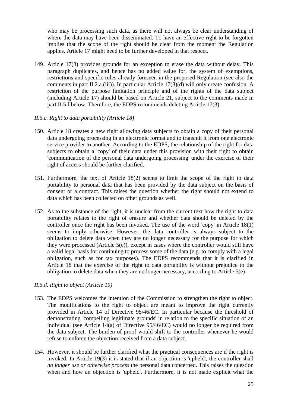who may be processing such data, as there will not always be clear understanding of where the data may have been disseminated. To have an effective right to be forgotten implies that the scope of the right should be clear from the moment the Regulation applies. Article 17 might need to be further developed in that respect.

149. Article 17(3) provides grounds for an exception to erase the data without delay. This paragraph duplicates, and hence has no added value for, the system of exemptions, restrictions and specific rules already foreseen in the proposed Regulation (see also the comments in part II.2.a.(iii)). In particular Article 17(3)(d) will only create confusion. A restriction of the purpose limitation principle and of the rights of the data subject (including Article 17) should be based on Article 21, subject to the comments made in part II.5.f below. Therefore, the EDPS recommends deleting Article 17(3).

#### *II.5.c. Right to data portability (Article 18)*

- 150. Article 18 creates a new right allowing data subjects to obtain a copy of their personal data undergoing processing in an electronic format and to transmit it from one electronic service provider to another. According to the EDPS, the relationship of the right for data subjects to obtain a 'copy' of their data under this provision with their right to obtain 'communication of the personal data undergoing processing' under the exercise of their right of access should be further clarified.
- 151. Furthermore, the text of Article 18(2) seems to limit the scope of the right to data portability to personal data that has been provided by the data subject on the basis of consent or a contract. This raises the question whether the right should not extend to data which has been collected on other grounds as well.
- 152. As to the substance of the right, it is unclear from the current text how the right to data portability relates to the right of erasure and whether data should be deleted by the controller once the right has been invoked. The use of the word 'copy' in Article 18(1) seems to imply otherwise. However, the data controller is always subject to the obligation to delete data when they are no longer necessary for the purpose for which they were processed (Article 5(e)), except in cases where the controller would still have a valid legal basis for continuing to process some of the data (e.g. to comply with a legal obligation, such as for tax purposes). The EDPS recommends that it is clarified in Article 18 that the exercise of the right to data portability is without prejudice to the obligation to delete data when they are no longer necessary, according to Article 5(e).

## *II.5.d. Right to object (Article 19)*

- 153. The EDPS welcomes the intention of the Commission to strengthen the right to object. The modifications to the right to object are meant to improve the right currently provided in Article 14 of Directive 95/46/EC. In particular because the threshold of demonstrating 'compelling legitimate grounds' in relation to the specific situation of an individual (see Article 14(a) of Directive 95/46/EC) would no longer be required from the data subject. The burden of proof would shift to the controller whenever he would refuse to enforce the objection received from a data subject.
- 154. However, it should be further clarified what the practical consequences are if the right is invoked. In Article 19(3) it is stated that if an objection is 'upheld', the controller shall *no longer use or otherwise process* the personal data concerned. This raises the question when and how an objection is 'upheld'. Furthermore, it is not made explicit what the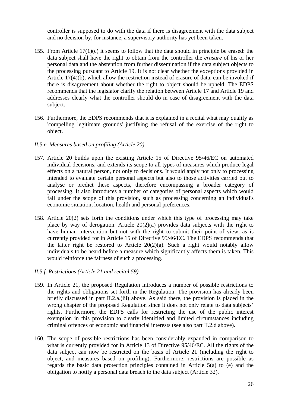controller is supposed to do with the data if there is disagreement with the data subject and no decision by, for instance, a supervisory authority has yet been taken.

- 155. From Article 17(1)(c) it seems to follow that the data should in principle be erased: the data subject shall have the right to obtain from the controller the *erasure* of his or her personal data and the abstention from further dissemination if the data subject objects to the processing pursuant to Article 19. It is not clear whether the exceptions provided in Article 17(4)(b), which allow the restriction instead of erasure of data, can be invoked if there is disagreement about whether the right to object should be upheld. The EDPS recommends that the legislator clarify the relation between Article 17 and Article 19 and addresses clearly what the controller should do in case of disagreement with the data subject.
- 156. Furthermore, the EDPS recommends that it is explained in a recital what may qualify as 'compelling legitimate grounds' justifying the refusal of the exercise of the right to object.

## *II.5.e. Measures based on profiling (Article 20)*

- 157. Article 20 builds upon the existing Article 15 of Directive 95/46/EC on automated individual decisions, and extends its scope to all types of measures which produce legal effects on a natural person, not only to decisions. It would apply not only to processing intended to evaluate certain personal aspects but also to those activities carried out to analyse or predict these aspects, therefore encompassing a broader category of processing. It also introduces a number of categories of personal aspects which would fall under the scope of this provision, such as processing concerning an individual's economic situation, location, health and personal preferences.
- 158. Article 20(2) sets forth the conditions under which this type of processing may take place by way of derogation. Article 20(2)(a) provides data subjects with the right to have human intervention but not with the right to submit their point of view, as is currently provided for in Article 15 of Directive 95/46/EC. The EDPS recommends that the latter right be restored to Article  $20(2)(a)$ . Such a right would notably allow individuals to be heard before a measure which significantly affects them is taken. This would reinforce the fairness of such a processing.

#### *II.5.f. Restrictions (Article 21 and recital 59)*

- 159. In Article 21, the proposed Regulation introduces a number of possible restrictions to the rights and obligations set forth in the Regulation. The provision has already been briefly discussed in part II.2.a.(iii) above. As said there, the provision is placed in the wrong chapter of the proposed Regulation since it does not only relate to data subjects' rights. Furthermore, the EDPS calls for restricting the use of the public interest exemption in this provision to clearly identified and limited circumstances including criminal offences or economic and financial interests (see also part II.2.d above).
- 160. The scope of possible restrictions has been considerably expanded in comparison to what is currently provided for in Article 13 of Directive 95/46/EC. All the rights of the data subject can now be restricted on the basis of Article 21 (including the right to object, and measures based on profiling). Furthermore, restrictions are possible as regards the basic data protection principles contained in Article 5(a) to (e) and the obligation to notify a personal data breach to the data subject (Article 32).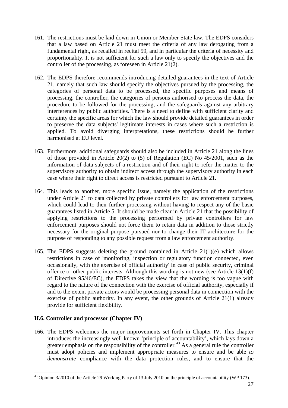- 161. The restrictions must be laid down in Union or Member State law. The EDPS considers that a law based on Article 21 must meet the criteria of any law derogating from a fundamental right, as recalled in recital 59, and in particular the criteria of necessity and proportionality. It is not sufficient for such a law only to specify the objectives and the controller of the processing, as foreseen in Article 21(2).
- 162. The EDPS therefore recommends introducing detailed guarantees in the text of Article 21, namely that such law should specify the objectives pursued by the processing, the categories of personal data to be processed, the specific purposes and means of processing, the controller, the categories of persons authorised to process the data, the procedure to be followed for the processing, and the safeguards against any arbitrary interferences by public authorities. There is a need to define with sufficient clarity and certainty the specific areas for which the law should provide detailed guarantees in order to preserve the data subjects' legitimate interests in cases where such a restriction is applied. To avoid diverging interpretations, these restrictions should be further harmonised at EU level.
- 163. Furthermore, additional safeguards should also be included in Article 21 along the lines of those provided in Article 20(2) to (5) of Regulation (EC) No 45/2001, such as the information of data subjects of a restriction and of their right to refer the matter to the supervisory authority to obtain indirect access through the supervisory authority in each case where their right to direct access is restricted pursuant to Article 21.
- 164. This leads to another, more specific issue, namely the application of the restrictions under Article 21 to data collected by private controllers for law enforcement purposes, which could lead to their further processing without having to respect any of the basic guarantees listed in Article 5. It should be made clear in Article 21 that the possibility of applying restrictions to the processing performed by private controllers for law enforcement purposes should not force them to retain data in addition to those strictly necessary for the original purpose pursued nor to change their IT architecture for the purpose of responding to any possible request from a law enforcement authority.
- 165. The EDPS suggests deleting the ground contained in Article 21(1)(e) which allows restrictions in case of 'monitoring, inspection or regulatory function connected, even occasionally, with the exercise of official authority' in case of public security, criminal offence or other public interests. Although this wording is not new (see Article 13(1)(f) of Directive 95/46/EC), the EDPS takes the view that the wording is too vague with regard to the nature of the connection with the exercise of official authority, especially if and to the extent private actors would be processing personal data in connection with the exercise of public authority. In any event, the other grounds of Article 21(1) already provide for sufficient flexibility.

## **II.6. Controller and processor (Chapter IV)**

1

166. The EDPS welcomes the major improvements set forth in Chapter IV. This chapter introduces the increasingly well-known 'principle of accountability', which lays down a greater emphasis on the responsibility of the controller.<sup>[43](#page-32-0)</sup> As a general rule the controller must adopt policies and implement appropriate measures to ensure and be able *to demonstrate* compliance with the data protection rules, and to ensure that the

<span id="page-32-0"></span><sup>&</sup>lt;sup>43</sup> Opinion 3/2010 of the Article 29 Working Party of 13 July 2010 on the principle of accountability (WP 173).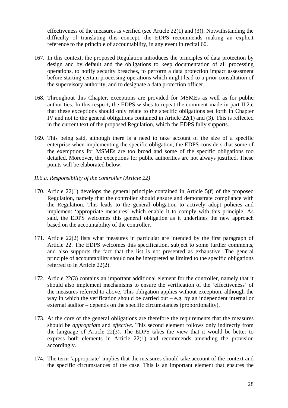effectiveness of the measures is verified (see Article 22(1) and (3)). Notwithstanding the difficulty of translating this concept, the EDPS recommends making an explicit reference to the principle of accountability, in any event in recital 60.

- 167. In this context, the proposed Regulation introduces the principles of data protection by design and by default and the obligations to keep documentation of all processing operations, to notify security breaches, to perform a data protection impact assessment before starting certain processing operations which might lead to a prior consultation of the supervisory authority, and to designate a data protection officer.
- 168. Throughout this Chapter, exceptions are provided for MSMEs as well as for public authorities. In this respect, the EDPS wishes to repeat the comment made in part II.2.c that these exceptions should only relate to the specific obligations set forth in Chapter IV and not to the general obligations contained in Article 22(1) and (3). This is reflected in the current text of the proposed Regulation, which the EDPS fully supports.
- 169. This being said, although there is a need to take account of the size of a specific enterprise when implementing the specific obligation, the EDPS considers that some of the exemptions for MSMEs are too broad and some of the specific obligations too detailed. Moreover, the exceptions for public authorities are not always justified. These points will be elaborated below.
- *II.6.a. Responsibility of the controller (Article 22)*
- 170. Article 22(1) develops the general principle contained in Article 5(f) of the proposed Regulation, namely that the controller should ensure and demonstrate compliance with the Regulation. This leads to the general obligation to actively adopt policies and implement 'appropriate measures' which enable it to comply with this principle. As said, the EDPS welcomes this general obligation as it underlines the new approach based on the accountability of the controller.
- 171. Article 22(2) lists what measures in particular are intended by the first paragraph of Article 22. The EDPS welcomes this specification, subject to some further comments, and also supports the fact that the list is not presented as exhaustive. The general principle of accountability should not be interpreted as limited to the specific obligations referred to in Article 22(2).
- 172. Article 22(3) contains an important additional element for the controller, namely that it should also implement mechanisms to ensure the verification of the 'effectiveness' of the measures referred to above. This obligation applies without exception, although the way in which the verification should be carried out – e.g. by an independent internal or external auditor – depends on the specific circumstances (proportionality).
- 173. At the core of the general obligations are therefore the requirements that the measures should be *appropriate* and *effective*. This second element follows only indirectly from the language of Article 22(3). The EDPS takes the view that it would be better to express both elements in Article 22(1) and recommends amending the provision accordingly.
- 174. The term 'appropriate' implies that the measures should take account of the context and the specific circumstances of the case. This is an important element that ensures the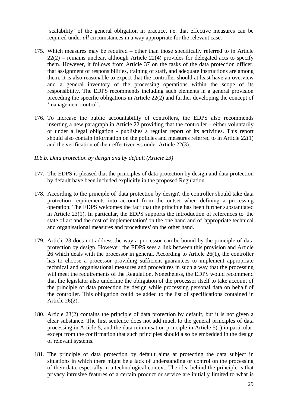'scalability' of the general obligation in practice, i.e. that effective measures can be required under *all* circumstances in a way appropriate for the relevant case.

- 175. Which measures may be required other than those specifically referred to in Article  $22(2)$  – remains unclear, although Article 22(4) provides for delegated acts to specify them. However, it follows from Article 37 on the tasks of the data protection officer, that assignment of responsibilities, training of staff, and adequate instructions are among them. It is also reasonable to expect that the controller should at least have an overview and a general inventory of the processing operations within the scope of its responsibility. The EDPS recommends including such elements in a general provision preceding the specific obligations in Article 22(2) and further developing the concept of 'management control'.
- 176. To increase the public accountability of controllers, the EDPS also recommends inserting a new paragraph in Article 22 providing that the controller – either voluntarily or under a legal obligation - publishes a regular report of its activities. This report should also contain information on the policies and measures referred to in Article 22(1) and the verification of their effectiveness under Article 22(3).

## *II.6.b. Data protection by design and by default (Article 23)*

- 177. The EDPS is pleased that the principles of data protection by design and data protection by default have been included explicitly in the proposed Regulation.
- 178. According to the principle of 'data protection by design', the controller should take data protection requirements into account from the outset when defining a processing operation. The EDPS welcomes the fact that the principle has been further substantiated in Article 23(1). In particular, the EDPS supports the introduction of references to 'the state of art and the cost of implementation' on the one hand and of 'appropriate technical and organisational measures and procedures' on the other hand.
- 179. Article 23 does not address the way a processor can be bound by the principle of data protection by design. However, the EDPS sees a link between this provision and Article 26 which deals with the processor in general. According to Article 26(1), the controller has to choose a processor providing sufficient guarantees to implement appropriate technical and organisational measures and procedures in such a way that the processing will meet the requirements of the Regulation. Nonetheless, the EDPS would recommend that the legislator also underline the obligation of the processor itself to take account of the principle of data protection by design while processing personal data on behalf of the controller. This obligation could be added to the list of specifications contained in Article 26(2).
- 180. Article 23(2) contains the principle of data protection by default, but it is not given a clear substance. The first sentence does not add much to the general principles of data processing in Article 5, and the data minimisation principle in Article 5(c) in particular, except from the confirmation that such principles should also be embedded in the design of relevant systems.
- 181. The principle of data protection by default aims at protecting the data subject in situations in which there might be a lack of understanding or control on the processing of their data, especially in a technological context. The idea behind the principle is that privacy intrusive features of a certain product or service are initially limited to what is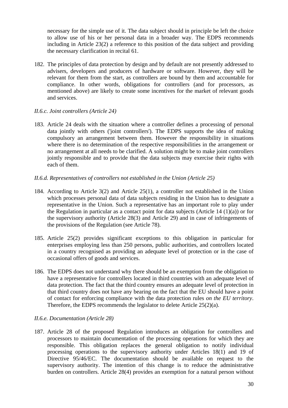necessary for the simple use of it. The data subject should in principle be left the choice to allow use of his or her personal data in a broader way. The EDPS recommends including in Article 23(2) a reference to this position of the data subject and providing the necessary clarification in recital 61.

182. The principles of data protection by design and by default are not presently addressed to advisers, developers and producers of hardware or software. However, they will be relevant for them from the start, as controllers are bound by them and accountable for compliance. In other words, obligations for controllers (and for processors, as mentioned above) are likely to create some incentives for the market of relevant goods and services.

## *II.6.c. Joint controllers (Article 24)*

183. Article 24 deals with the situation where a controller defines a processing of personal data jointly with others ('joint controllers'). The EDPS supports the idea of making compulsory an arrangement between them. However the responsibility in situations where there is no determination of the respective responsibilities in the arrangement or no arrangement at all needs to be clarified. A solution might be to make joint controllers jointly responsible and to provide that the data subjects may exercise their rights with each of them.

#### *II.6.d. Representatives of controllers not established in the Union (Article 25)*

- 184. According to Article 3(2) and Article 25(1), a controller not established in the Union which processes personal data of data subjects residing in the Union has to designate a representative in the Union. Such a representative has an important role to play under the Regulation in particular as a contact point for data subjects (Article 14  $(1)(a)$ ) or for the supervisory authority (Article 28(3) and Article 29) and in case of infringements of the provisions of the Regulation (see Article 78).
- 185. Article 25(2) provides significant exceptions to this obligation in particular for enterprises employing less than 250 persons, public authorities, and controllers located in a country recognised as providing an adequate level of protection or in the case of occasional offers of goods and services.
- 186. The EDPS does not understand why there should be an exemption from the obligation to have a representative for controllers located in third countries with an adequate level of data protection. The fact that the third country ensures an adequate level of protection in that third country does not have any bearing on the fact that the EU should have a point of contact for enforcing compliance with the data protection rules *on the EU territory*. Therefore, the EDPS recommends the legislator to delete Article 25(2)(a).

#### *II.6.e. Documentation (Article 28)*

187. Article 28 of the proposed Regulation introduces an obligation for controllers and processors to maintain documentation of the processing operations for which they are responsible. This obligation replaces the general obligation to notify individual processing operations to the supervisory authority under Articles 18(1) and 19 of Directive 95/46/EC. The documentation should be available on request to the supervisory authority. The intention of this change is to reduce the administrative burden on controllers. Article 28(4) provides an exemption for a natural person without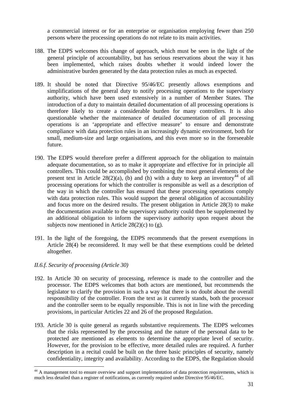a commercial interest or for an enterprise or organisation employing fewer than 250 persons where the processing operations do not relate to its main activities.

- 188. The EDPS welcomes this change of approach, which must be seen in the light of the general principle of accountability, but has serious reservations about the way it has been implemented, which raises doubts whether it would indeed lower the administrative burden generated by the data protection rules as much as expected.
- 189. It should be noted that Directive 95/46/EC presently allows exemptions and simplifications of the general duty to notify processing operations to the supervisory authority, which have been used extensively in a number of Member States. The introduction of a duty to maintain detailed documentation of all processing operations is therefore likely to create a considerable burden for many controllers. It is also questionable whether the maintenance of detailed documentation of all processing operations is an 'appropriate and effective measure' to ensure and demonstrate compliance with data protection rules in an increasingly dynamic environment, both for small, medium-size and large organisations, and this even more so in the foreseeable future.
- 190. The EDPS would therefore prefer a different approach for the obligation to maintain adequate documentation, so as to make it appropriate and effective for in principle all controllers. This could be accomplished by combining the most general elements of the present text in Article 28(2)(a), (b) and (h) with a duty to keep an inventory<sup>44</sup> of all processing operations for which the controller is responsible as well as a description of the way in which the controller has ensured that these processing operations comply with data protection rules. This would support the general obligation of accountability and focus more on the desired results. The present obligation in Article 28(3) to make the documentation available to the supervisory authority could then be supplemented by an additional obligation to inform the supervisory authority upon request about the subjects now mentioned in Article  $28(2)(c)$  to (g).
- 191. In the light of the foregoing, the EDPS recommends that the present exemptions in Article 28(4) be reconsidered. It may well be that these exemptions could be deleted altogether.

### *II.6.f. Security of processing (Article 30)*

- 192. In Article 30 on security of processing, reference is made to the controller and the processor. The EDPS welcomes that both actors are mentioned, but recommends the legislator to clarify the provision in such a way that there is no doubt about the overall responsibility of the controller. From the text as it currently stands, both the processor and the controller seem to be equally responsible. This is not in line with the preceding provisions, in particular Articles 22 and 26 of the proposed Regulation.
- 193. Article 30 is quite general as regards substantive requirements. The EDPS welcomes that the risks represented by the processing and the nature of the personal data to be protected are mentioned as elements to determine the appropriate level of security. However, for the provision to be effective, more detailed rules are required. A further description in a recital could be built on the three basic principles of security, namely confidentiality, integrity and availability. According to the EDPS, the Regulation should

<span id="page-36-0"></span><sup>&</sup>lt;sup>44</sup> A management tool to ensure overview and support implementation of data protection requirements, which is much less detailed than a register of notifications, as currently required under Directive 95/46/EC.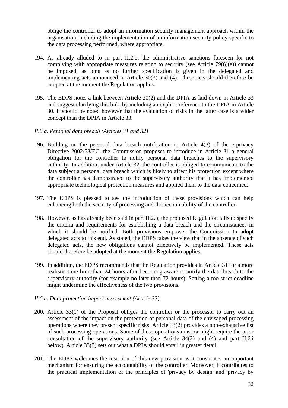oblige the controller to adopt an information security management approach within the organisation, including the implementation of an information security policy specific to the data processing performed, where appropriate.

- 194. As already alluded to in part II.2.b, the administrative sanctions foreseen for not complying with appropriate measures relating to security (see Article 79(6)(e)) cannot be imposed, as long as no further specification is given in the delegated and implementing acts announced in Article 30(3) and (4). These acts should therefore be adopted at the moment the Regulation applies.
- 195. The EDPS notes a link between Article 30(2) and the DPIA as laid down in Article 33 and suggest clarifying this link, by including an explicit reference to the DPIA in Article 30. It should be noted however that the evaluation of risks in the latter case is a wider concept than the DPIA in Article 33.

### *II.6.g. Personal data breach (Articles 31 and 32)*

- 196. Building on the personal data breach notification in Article 4(3) of the e-privacy Directive 2002/58/EC, the Commission proposes to introduce in Article 31 a general obligation for the controller to notify personal data breaches to the supervisory authority. In addition, under Article 32, the controller is obliged to communicate to the data subject a personal data breach which is likely to affect his protection except where the controller has demonstrated to the supervisory authority that it has implemented appropriate technological protection measures and applied them to the data concerned.
- 197. The EDPS is pleased to see the introduction of these provisions which can help enhancing both the security of processing and the accountability of the controller.
- 198. However, as has already been said in part II.2.b, the proposed Regulation fails to specify the criteria and requirements for establishing a data breach and the circumstances in which it should be notified. Both provisions empower the Commission to adopt delegated acts to this end. As stated, the EDPS takes the view that in the absence of such delegated acts, the new obligations cannot effectively be implemented. These acts should therefore be adopted at the moment the Regulation applies.
- 199. In addition, the EDPS recommends that the Regulation provides in Article 31 for a more realistic time limit than 24 hours after becoming aware to notify the data breach to the supervisory authority (for example no later than 72 hours). Setting a too strict deadline might undermine the effectiveness of the two provisions.

#### *II.6.h. Data protection impact assessment (Article 33)*

- 200. Article 33(1) of the Proposal obliges the controller or the processor to carry out an assessment of the impact on the protection of personal data of the envisaged processing operations where they present specific risks. Article 33(2) provides a non-exhaustive list of such processing operations. Some of these operations must or might require the prior consultation of the supervisory authority (see Article 34(2) and (4) and part II.6.i below). Article 33(3) sets out what a DPIA should entail in greater detail.
- 201. The EDPS welcomes the insertion of this new provision as it constitutes an important mechanism for ensuring the accountability of the controller. Moreover, it contributes to the practical implementation of the principles of 'privacy by design' and 'privacy by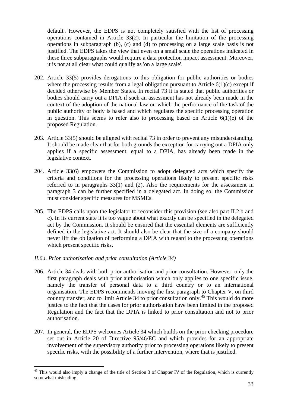default'. However, the EDPS is not completely satisfied with the list of processing operations contained in Article 33(2). In particular the limitation of the processing operations in subparagraph (b), (c) and (d) to processing on a large scale basis is not justified. The EDPS takes the view that even on a small scale the operations indicated in these three subparagraphs would require a data protection impact assessment. Moreover, it is not at all clear what could qualify as 'on a large scale'.

- 202. Article 33(5) provides derogations to this obligation for public authorities or bodies where the processing results from a legal obligation pursuant to Article  $6(1)(c)$  except if decided otherwise by Member States. In recital 73 it is stated that public authorities or bodies should carry out a DPIA if such an assessment has not already been made in the context of the adoption of the national law on which the performance of the task of the public authority or body is based and which regulates the specific processing operation in question. This seems to refer also to processing based on Article  $6(1)(e)$  of the proposed Regulation.
- 203. Article 33(5) should be aligned with recital 73 in order to prevent any misunderstanding. It should be made clear that for both grounds the exception for carrying out a DPIA only applies if a specific assessment, equal to a DPIA, has already been made in the legislative context.
- 204. Article 33(6) empowers the Commission to adopt delegated acts which specify the criteria and conditions for the processing operations likely to present specific risks referred to in paragraphs 33(1) and (2). Also the requirements for the assessment in paragraph 3 can be further specified in a delegated act. In doing so, the Commission must consider specific measures for MSMEs.
- 205. The EDPS calls upon the legislator to reconsider this provision (see also part II.2.b and c). In its current state it is too vague about what exactly can be specified in the delegated act by the Commission. It should be ensured that the essential elements are sufficiently defined in the legislative act. It should also be clear that the size of a company should never lift the obligation of performing a DPIA with regard to the processing operations which present specific risks.
- *II.6.i. Prior authorisation and prior consultation (Article 34)*

- 206. Article 34 deals with both prior authorisation and prior consultation. However, only the first paragraph deals with prior authorisation which only applies to one specific issue, namely the transfer of personal data to a third country or to an international organisation. The EDPS recommends moving the first paragraph to Chapter V, on third country transfer, and to limit Article 34 to prior consultation only.<sup>[45](#page-38-0)</sup> This would do more justice to the fact that the cases for prior authorisation have been limited in the proposed Regulation and the fact that the DPIA is linked to prior consultation and not to prior authorisation.
- 207. In general, the EDPS welcomes Article 34 which builds on the prior checking procedure set out in Article 20 of Directive 95/46/EC and which provides for an appropriate involvement of the supervisory authority prior to processing operations likely to present specific risks, with the possibility of a further intervention, where that is justified.

<span id="page-38-0"></span><sup>&</sup>lt;sup>45</sup> This would also imply a change of the title of Section 3 of Chapter IV of the Regulation, which is currently somewhat misleading.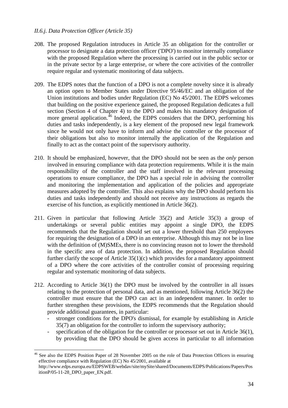### *II.6.j. Data Protection Officer (Article 35)*

- 208. The proposed Regulation introduces in Article 35 an obligation for the controller or processor to designate a data protection officer ('DPO') to monitor internally compliance with the proposed Regulation where the processing is carried out in the public sector or in the private sector by a large enterprise, or where the core activities of the controller require regular and systematic monitoring of data subjects.
- 209. The EDPS notes that the function of a DPO is not a complete novelty since it is already an option open to Member States under Directive 95/46/EC and an obligation of the Union institutions and bodies under Regulation (EC) No 45/2001. The EDPS welcomes that building on the positive experience gained, the proposed Regulation dedicates a full section (Section 4 of Chapter 4) to the DPO and makes his mandatory designation of more general application.<sup>46</sup> Indeed, the EDPS considers that the DPO, performing his duties and tasks independently, is a key element of the proposed new legal framework since he would not only have to inform and advise the controller or the processor of their obligations but also to monitor internally the application of the Regulation and finally to act as the contact point of the supervisory authority.
- 210. It should be emphasized, however, that the DPO should not be seen as the *only* person involved in ensuring compliance with data protection requirements. While it is the main responsibility of the controller and the staff involved in the relevant processing operations to ensure compliance, the DPO has a special role in advising the controller and monitoring the implementation and application of the policies and appropriate measures adopted by the controller. This also explains why the DPO should perform his duties and tasks independently and should not receive any instructions as regards the exercise of his function, as explicitly mentioned in Article 36(2).
- 211. Given in particular that following Article 35(2) and Article 35(3) a group of undertakings or several public entities may appoint a single DPO, the EDPS recommends that the Regulation should set out a lower threshold than 250 employees for requiring the designation of a DPO in an enterprise. Although this may not be in line with the definition of (M)SMEs, there is no convincing reason not to lower the threshold in the specific area of data protection. In addition, the proposed Regulation should further clarify the scope of Article  $35(1)(c)$  which provides for a mandatory appointment of a DPO where the core activities of the controller consist of processing requiring regular and systematic monitoring of data subjects.
- 212. According to Article 36(1) the DPO must be involved by the controller in all issues relating to the protection of personal data, and as mentioned, following Article 36(2) the controller must ensure that the DPO can act in an independent manner. In order to further strengthen these provisions, the EDPS recommends that the Regulation should provide additional guarantees, in particular:
	- stronger conditions for the DPO's dismissal, for example by establishing in Article 35(7) an obligation for the controller to inform the supervisory authority;
	- specification of the obligation for the controller or processor set out in Article 36(1), by providing that the DPO should be given access in particular to all information

<span id="page-39-0"></span><sup>&</sup>lt;sup>46</sup> See also the EDPS Position Paper of 28 November 2005 on the role of Data Protection Officers in ensuring effective compliance with Regulation (EC) No 45/2001, available at

http://www.edps.europa.eu/EDPSWEB/webdav/site/mySite/shared/Documents/EDPS/Publications/Papers/Pos itionP/05-11-28\_DPO\_paper\_EN.pdf.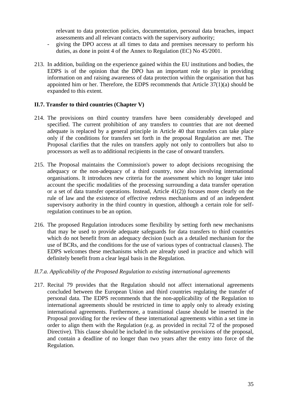relevant to data protection policies, documentation, personal data breaches, impact assessments and all relevant contacts with the supervisory authority;

- giving the DPO access at all times to data and premises necessary to perform his duties, as done in point 4 of the Annex to Regulation (EC) No 45/2001.
- 213. In addition, building on the experience gained within the EU institutions and bodies, the EDPS is of the opinion that the DPO has an important role to play in providing information on and raising awareness of data protection within the organisation that has appointed him or her. Therefore, the EDPS recommends that Article 37(1)(a) should be expanded to this extent.

### **II.7. Transfer to third countries (Chapter V)**

- 214. The provisions on third country transfers have been considerably developed and specified. The current prohibition of any transfers to countries that are not deemed adequate is replaced by a general principle in Article 40 that transfers can take place only if the conditions for transfers set forth in the proposal Regulation are met. The Proposal clarifies that the rules on transfers apply not only to controllers but also to processors as well as to additional recipients in the case of onward transfers.
- 215. The Proposal maintains the Commission's power to adopt decisions recognising the adequacy or the non-adequacy of a third country, now also involving international organisations. It introduces new criteria for the assessment which no longer take into account the specific modalities of the processing surrounding a data transfer operation or a set of data transfer operations. Instead, Article 41(2)) focuses more clearly on the rule of law and the existence of effective redress mechanisms and of an independent supervisory authority in the third country in question, although a certain role for selfregulation continues to be an option.
- 216. The proposed Regulation introduces some flexibility by setting forth new mechanisms that may be used to provide adequate safeguards for data transfers to third countries which do not benefit from an adequacy decision (such as a detailed mechanism for the use of BCRs, and the conditions for the use of various types of contractual clauses). The EDPS welcomes these mechanisms which are already used in practice and which will definitely benefit from a clear legal basis in the Regulation.

#### *II.7.a. Applicability of the Proposed Regulation to existing international agreements*

217. Recital 79 provides that the Regulation should not affect international agreements concluded between the European Union and third countries regulating the transfer of personal data. The EDPS recommends that the non-applicability of the Regulation to international agreements should be restricted in time to apply only to already existing international agreements. Furthermore, a transitional clause should be inserted in the Proposal providing for the review of these international agreements within a set time in order to align them with the Regulation (e.g. as provided in recital 72 of the proposed Directive). This clause should be included in the substantive provisions of the proposal, and contain a deadline of no longer than two years after the entry into force of the Regulation.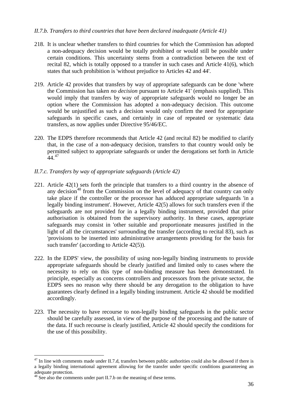### *II.7.b. Transfers to third countries that have been declared inadequate (Article 41)*

- 218. It is unclear whether transfers to third countries for which the Commission has adopted a non-adequacy decision would be totally prohibited or would still be possible under certain conditions. This uncertainty stems from a contradiction between the text of recital 82, which is totally opposed to a transfer in such cases and Article 41(6), which states that such prohibition is 'without prejudice to Articles 42 and 44'.
- 219. Article 42 provides that transfers by way of appropriate safeguards can be done 'where the Commission has taken *no decision* pursuant to Article 41' (emphasis supplied). This would imply that transfers by way of appropriate safeguards would no longer be an option where the Commission has adopted a non-adequacy decision. This outcome would be unjustified as such a decision would only confirm the need for appropriate safeguards in specific cases, and certainly in case of repeated or systematic data transfers, as now applies under Directive 95/46/EC.
- 220. The EDPS therefore recommends that Article 42 (and recital 82) be modified to clarify that, in the case of a non-adequacy decision, transfers to that country would only be permitted subject to appropriate safeguards or under the derogations set forth in Article  $44.47$  $44.47$
- *II.7.c. Transfers by way of appropriate safeguards (Article 42)*
- 221. Article 42(1) sets forth the principle that transfers to a third country in the absence of any decision<sup>48</sup> from the Commission on the level of adequacy of that country can only take place if the controller or the processor has adduced appropriate safeguards 'in a legally binding instrument'. However, Article 42(5) allows for such transfers even if the safeguards are not provided for in a legally binding instrument, provided that prior authorisation is obtained from the supervisory authority. In these cases, appropriate safeguards may consist in 'other suitable and proportionate measures justified in the light of all the circumstances' surrounding the transfer (according to recital 83), such as 'provisions to be inserted into administrative arrangements providing for the basis for such transfer' (according to Article 42(5)).
- 222. In the EDPS' view, the possibility of using non-legally binding instruments to provide appropriate safeguards should be clearly justified and limited only to cases where the necessity to rely on this type of non-binding measure has been demonstrated. In principle, especially as concerns controllers and processors from the private sector, the EDPS sees no reason why there should be any derogation to the obligation to have guarantees clearly defined in a legally binding instrument. Article 42 should be modified accordingly.
- 223. The necessity to have recourse to non-legally binding safeguards in the public sector should be carefully assessed, in view of the purpose of the processing and the nature of the data. If such recourse is clearly justified, Article 42 should specify the conditions for the use of this possibility.

<span id="page-41-0"></span> $47$  In line with comments made under II.7.d, transfers between public authorities could also be allowed if there is a legally binding international agreement allowing for the transfer under specific conditions guaranteeing an adequate protection.

<span id="page-41-1"></span><sup>&</sup>lt;sup>48</sup> See also the comments under part II.7.b on the meaning of these terms.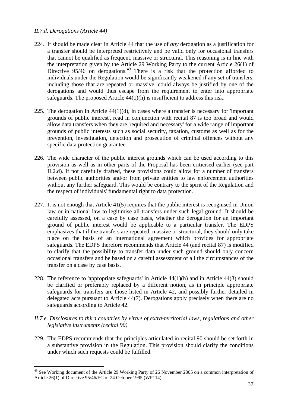### *II.7.d. Derogations (Article 44)*

- 224. It should be made clear in Article 44 that the use of *any* derogation as a justification for a transfer should be interpreted restrictively and be valid only for occasional transfers that cannot be qualified as frequent, massive or structural. This reasoning is in line with the interpretation given by the Article 29 Working Party to the current Article 26(1) of Directive 95/46 on derogations.<sup>[49](#page-42-0)</sup> There is a risk that the protection afforded to individuals under the Regulation would be significantly weakened if any set of transfers, including those that are repeated or massive, could always be justified by one of the derogations and would thus escape from the requirement to enter into appropriate safeguards. The proposed Article 44(1)(h) is insufficient to address this risk.
- 225. The derogation in Article  $44(1)(d)$ , in cases where a transfer is necessary for 'important grounds of public interest', read in conjunction with recital 87 is too broad and would allow data transfers when they are 'required and necessary' for a wide range of important grounds of public interests such as social security, taxation, customs as well as for the prevention, investigation, detection and prosecution of criminal offences without any specific data protection guarantee.
- 226. The wide character of the public interest grounds which can be used according to this provision as well as in other parts of the Proposal has been criticised earlier (see part II.2.d). If not carefully drafted, these provisions could allow for a number of transfers between public authorities and/or from private entities to law enforcement authorities without any further safeguard. This would be contrary to the spirit of the Regulation and the respect of individuals' fundamental right to data protection.
- 227. It is not enough that Article 41(5) requires that the public interest is recognised in Union law or in national law to legitimise all transfers under such legal ground. It should be carefully assessed, on a case by case basis, whether the derogation for an important ground of public interest would be applicable to a particular transfer. The EDPS emphasizes that if the transfers are repeated, massive or structural, they should only take place on the basis of an international agreement which provides for appropriate safeguards. The EDPS therefore recommends that Article 44 (and recital 87) is modified to clarify that the possibility to transfer data under such ground should only concern occasional transfers and be based on a careful assessment of all the circumstances of the transfer on a case by case basis.
- 228. The reference to 'appropriate safeguards' in Article 44(1)(h) and in Article 44(3) should be clarified or preferably replaced by a different notion, as in principle appropriate safeguards for transfers are those listed in Article 42, and possibly further detailed in delegated acts pursuant to Article 44(7). Derogations apply precisely when there are no safeguards according to Article 42.
- *II.7.e. Disclosures to third countries by virtue of extra-territorial laws, regulations and other legislative instruments (recital 90)*
- 229. The EDPS recommends that the principles articulated in recital 90 should be set forth in a substantive provision in the Regulation. This provision should clarify the conditions under which such requests could be fulfilled.

<span id="page-42-0"></span><sup>&</sup>lt;sup>49</sup> See Working document of the Article 29 Working Party of 26 November 2005 on a common interpretation of Article 26(1) of Directive 95/46/EC of 24 October 1995 (WP114).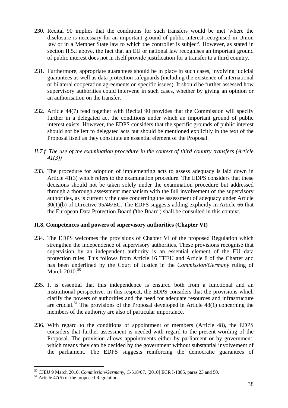- 230. Recital 90 implies that the conditions for such transfers would be met 'where the disclosure is necessary for an important ground of public interest recognised in Union law or in a Member State law to which the controller is subject'. However, as stated in section II.5.f above, the fact that an EU or national law recognises an important ground of public interest does not in itself provide justification for a transfer to a third country.
- 231. Furthermore, appropriate guarantees should be in place in such cases, involving judicial guarantees as well as data protection safeguards (including the existence of international or bilateral cooperation agreements on specific issues). It should be further assessed how supervisory authorities could intervene in such cases, whether by giving an opinion or an authorisation on the transfer.
- 232. Article 44(7) read together with Recital 90 provides that the Commission will specify further in a delegated act the conditions under which an important ground of public interest exists. However, the EDPS considers that the specific grounds of public interest should not be left to delegated acts but should be mentioned explicitly in the text of the Proposal itself as they constitute an essential element of the Proposal.
- *II.7.f. The use of the examination procedure in the context of third country transfers (Article 41(3))*
- 233. The procedure for adoption of implementing acts to assess adequacy is laid down in Article 41(3) which refers to the examination procedure. The EDPS considers that these decisions should not be taken solely under the examination procedure but addressed through a thorough assessment mechanism with the full involvement of the supervisory authorities, as is currently the case concerning the assessment of adequacy under Article 30(1)(b) of Directive 95/46/EC. The EDPS suggests adding explicitly in Article 66 that the European Data Protection Board ('the Board') shall be consulted in this context.

### **II.8. Competences and powers of supervisory authorities (Chapter VI)**

- 234. The EDPS welcomes the provisions of Chapter VI of the proposed Regulation which strengthen the independence of supervisory authorities. These provisions recognise that supervision by an independent authority is an essential element of the EU data protection rules. This follows from Article 16 TFEU and Article 8 of the Charter and has been underlined by the Court of Justice in the *Commission/Germany* ruling of March  $2010.<sup>50</sup>$
- 235. It is essential that this independence is ensured both from a functional and an institutional perspective. In this respect, the EDPS considers that the provisions which clarify the powers of authorities and the need for adequate resources and infrastructure are crucial.<sup>51</sup> The provisions of the Proposal developed in Article  $48(1)$  concerning the members of the authority are also of particular importance.
- 236. With regard to the conditions of appointment of members (Article 48), the EDPS considers that further assessment is needed with regard to the present wording of the Proposal. The provision allows appointments either by parliament or by government, which means they can be decided by the government without substantial involvement of the parliament. The EDPS suggests reinforcing the democratic guarantees of

<span id="page-43-0"></span><sup>&</sup>lt;sup>50</sup> CJEU 9 March 2010, *Commission/Germany*, C-518/07, [2010] ECR I-1885, paras 23 and 50. <sup>51</sup> Article 47(5) of the proposed Regulation.

<span id="page-43-1"></span>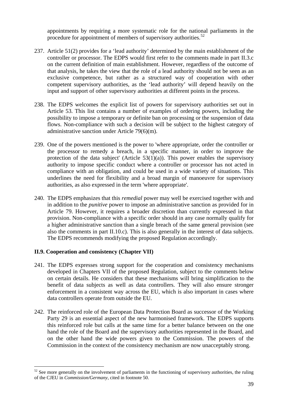appointments by requiring a more systematic role for the national parliaments in the procedure for appointment of members of supervisory authorities. $52$ 

- 237. Article 51(2) provides for a 'lead authority' determined by the main establishment of the controller or processor. The EDPS would first refer to the comments made in part II.3.c on the current definition of main establishment. However, regardless of the outcome of that analysis, he takes the view that the role of a lead authority should not be seen as an exclusive competence, but rather as a structured way of cooperation with other competent supervisory authorities, as the 'lead authority' will depend heavily on the input and support of other supervisory authorities at different points in the process.
- 238. The EDPS welcomes the explicit list of powers for supervisory authorities set out in Article 53. This list contains a number of examples of ordering powers, including the possibility to impose a temporary or definite ban on processing or the suspension of data flows. Non-compliance with such a decision will be subject to the highest category of administrative sanction under Article 79(6)(m).
- 239. One of the powers mentioned is the power to 'where appropriate, order the controller or the processor to remedy a breach, in a specific manner, in order to improve the protection of the data subject' (Article  $53(1)(a)$ ). This power enables the supervisory authority to impose specific conduct where a controller or processor has not acted in compliance with an obligation, and could be used in a wide variety of situations. This underlines the need for flexibility and a broad margin of manoeuvre for supervisory authorities, as also expressed in the term 'where appropriate'.
- 240. The EDPS emphasizes that this *remedial* power may well be exercised together with and in addition to the *punitive* power to impose an administrative sanction as provided for in Article 79. However, it requires a broader discretion than currently expressed in that provision. Non-compliance with a specific order should in any case normally qualify for a higher administrative sanction than a single breach of the same general provision (see also the comments in part II.10.c). This is also generally in the interest of data subjects. The EDPS recommends modifying the proposed Regulation accordingly.

### **II.9. Cooperation and consistency (Chapter VII)**

- 241. The EDPS expresses strong support for the cooperation and consistency mechanisms developed in Chapters VII of the proposed Regulation, subject to the comments below on certain details. He considers that these mechanisms will bring simplification to the benefit of data subjects as well as data controllers. They will also ensure stronger enforcement in a consistent way across the EU, which is also important in cases where data controllers operate from outside the EU.
- 242. The reinforced role of the European Data Protection Board as successor of the Working Party 29 is an essential aspect of the new harmonised framework. The EDPS supports this reinforced role but calls at the same time for a better balance between on the one hand the role of the Board and the supervisory authorities represented in the Board, and on the other hand the wide powers given to the Commission. The powers of the Commission in the context of the consistency mechanism are now unacceptably strong.

<span id="page-44-0"></span> $52$  See more generally on the involvement of parliaments in the functioning of supervisory authorities, the ruling of the CJEU in *Commission/Germany*, cited in footnote 50.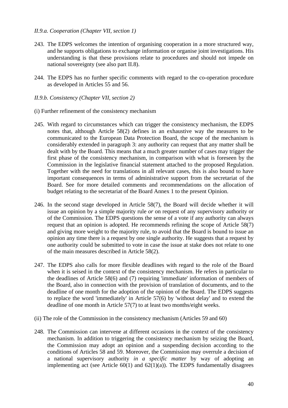#### *II.9.a. Cooperation (Chapter VII, section 1)*

- 243. The EDPS welcomes the intention of organising cooperation in a more structured way, and he supports obligations to exchange information or organise joint investigations. His understanding is that these provisions relate to procedures and should not impede on national sovereignty (see also part II.8).
- 244. The EDPS has no further specific comments with regard to the co-operation procedure as developed in Articles 55 and 56.
- *II.9.b. Consistency (Chapter VII, section 2)*
- (i) Further refinement of the consistency mechanism
- 245. With regard to circumstances which can trigger the consistency mechanism, the EDPS notes that, although Article 58(2) defines in an exhaustive way the measures to be communicated to the European Data Protection Board, the scope of the mechanism is considerably extended in paragraph 3: any authority can request that any matter shall be dealt with by the Board. This means that a much greater number of cases may trigger the first phase of the consistency mechanism, in comparison with what is foreseen by the Commission in the legislative financial statement attached to the proposed Regulation. Together with the need for translations in all relevant cases, this is also bound to have important consequences in terms of administrative support from the secretariat of the Board. See for more detailed comments and recommendations on the allocation of budget relating to the secretariat of the Board Annex 1 to the present Opinion.
- 246. In the second stage developed in Article 58(7), the Board will decide whether it will issue an opinion by a simple majority rule *or* on request of any supervisory authority or of the Commission. The EDPS questions the sense of a vote if any authority can always request that an opinion is adopted. He recommends refining the scope of Article 58(7) and giving more weight to the majority rule, to avoid that the Board is bound to issue an opinion any time there is a request by one single authority. He suggests that a request by one authority could be submitted to vote in case the issue at stake does not relate to one of the main measures described in Article 58(2).
- 247. The EDPS also calls for more flexible deadlines with regard to the role of the Board when it is seised in the context of the consistency mechanism. He refers in particular to the deadlines of Article 58(6) and (7) requiring 'immediate' information of members of the Board, also in connection with the provision of translation of documents, and to the deadline of one month for the adoption of the opinion of the Board. The EDPS suggests to replace the word 'immediately' in Article 57(6) by 'without delay' and to extend the deadline of one month in Article 57(7) to at least two months/eight weeks.
- (ii) The role of the Commission in the consistency mechanism (Articles 59 and 60)
- 248. The Commission can intervene at different occasions in the context of the consistency mechanism. In addition to triggering the consistency mechanism by seizing the Board, the Commission may adopt an opinion and a suspending decision according to the conditions of Articles 58 and 59. Moreover, the Commission may overrule a decision of a national supervisory authority *in a specific matter* by way of adopting an implementing act (see Article  $60(1)$  and  $62(1)(a)$ ). The EDPS fundamentally disagrees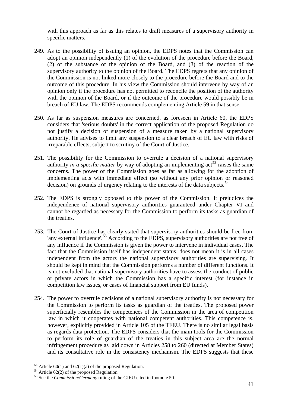with this approach as far as this relates to draft measures of a supervisory authority in specific matters.

- 249. As to the possibility of issuing an opinion, the EDPS notes that the Commission can adopt an opinion independently (1) of the evolution of the procedure before the Board, (2) of the substance of the opinion of the Board, and (3) of the reaction of the supervisory authority to the opinion of the Board. The EDPS regrets that any opinion of the Commission is not linked more closely to the procedure before the Board and to the outcome of this procedure. In his view the Commission should intervene by way of an opinion only if the procedure has not permitted to reconcile the position of the authority with the opinion of the Board, or if the outcome of the procedure would possibly be in breach of EU law. The EDPS recommends complementing Article 59 in that sense.
- 250. As far as suspension measures are concerned, as foreseen in Article 60, the EDPS considers that 'serious doubts' in the correct application of the proposed Regulation do not justify a decision of suspension of a measure taken by a national supervisory authority. He advises to limit any suspension to a clear breach of EU law with risks of irreparable effects, subject to scrutiny of the Court of Justice.
- 251. The possibility for the Commission to overrule a decision of a national supervisory authority *in a specific matter* by way of adopting an implementing  $\arctan 53$  $\arctan 53$  raises the same concerns. The power of the Commission goes as far as allowing for the adoption of implementing acts with immediate effect (so without any prior opinion or reasoned decision) on grounds of urgency relating to the interests of the data subjects.<sup>54</sup>
- 252. The EDPS is strongly opposed to this power of the Commission. It prejudices the independence of national supervisory authorities guaranteed under Chapter VI and cannot be regarded as necessary for the Commission to perform its tasks as guardian of the treaties.
- 253. The Court of Justice has clearly stated that supervisory authorities should be free from 'any external influence'.<sup>55</sup> According to the EDPS, supervisory authorities are not free of any influence if the Commission is given the power to intervene in individual cases. The fact that the Commission itself has independent status, does not mean it is in all cases independent from the actors the national supervisory authorities are supervising. It should be kept in mind that the Commission performs a number of different functions. It is not excluded that national supervisory authorities have to assess the conduct of public or private actors in which the Commission has a specific interest (for instance in competition law issues, or cases of financial support from EU funds).
- 254. The power to overrule decisions of a national supervisory authority is not necessary for the Commission to perform its tasks as guardian of the treaties. The proposed power superficially resembles the competences of the Commission in the area of competition law in which it cooperates with national competent authorities. This competence is, however, explicitly provided in Article 105 of the TFEU. There is no similar legal basis as regards data protection. The EDPS considers that the main tools for the Commission to perform its role of guardian of the treaties in this subject area are the normal infringement procedure as laid down in Articles 258 to 260 (directed at Member States) and its consultative role in the consistency mechanism. The EDPS suggests that these

<span id="page-46-0"></span> $53$  Article 60(1) and 62(1)(a) of the proposed Regulation.

<span id="page-46-1"></span><sup>54</sup> Article 62(2) of the proposed Regulation.

<span id="page-46-2"></span><sup>55</sup> See the *Commission/Germany* ruling of the CJEU cited in footnote 50.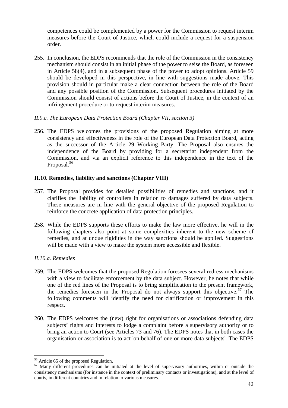competences could be complemented by a power for the Commission to request interim measures before the Court of Justice, which could include a request for a suspension order.

255. In conclusion, the EDPS recommends that the role of the Commission in the consistency mechanism should consist in an initial phase of the power to seise the Board, as foreseen in Article 58(4), and in a subsequent phase of the power to adopt opinions. Article 59 should be developed in this perspective, in line with suggestions made above. This provision should in particular make a clear connection between the role of the Board and any possible position of the Commission. Subsequent procedures initiated by the Commission should consist of actions before the Court of Justice, in the context of an infringement procedure or to request interim measures.

### *II.9.c. The European Data Protection Board (Chapter VII, section 3)*

256. The EDPS welcomes the provisions of the proposed Regulation aiming at more consistency and effectiveness in the role of the European Data Protection Board, acting as the successor of the Article 29 Working Party. The Proposal also ensures the independence of the Board by providing for a secretariat independent from the Commission, and via an explicit reference to this independence in the text of the Proposal.<sup>[56](#page-47-0)</sup>

### **II.10. Remedies, liability and sanctions (Chapter VIII)**

- 257. The Proposal provides for detailed possibilities of remedies and sanctions, and it clarifies the liability of controllers in relation to damages suffered by data subjects. These measures are in line with the general objective of the proposed Regulation to reinforce the concrete application of data protection principles.
- 258. While the EDPS supports these efforts to make the law more effective, he will in the following chapters also point at some complexities inherent to the new scheme of remedies, and at undue rigidities in the way sanctions should be applied. Suggestions will be made with a view to make the system more accessible and flexible.

### *II.10.a. Remedies*

- 259. The EDPS welcomes that the proposed Regulation foresees several redress mechanisms with a view to facilitate enforcement by the data subject. However, he notes that while one of the red lines of the Proposal is to bring simplification to the present framework, the remedies foreseen in the Proposal do not always support this objective.<sup>57</sup> The following comments will identify the need for clarification or improvement in this respect.
- 260. The EDPS welcomes the (new) right for organisations or associations defending data subjects' rights and interests to lodge a complaint before a supervisory authority or to bring an action to Court (see Articles 73 and 76). The EDPS notes that in both cases the organisation or association is to act 'on behalf of one or more data subjects'. The EDPS

<sup>&</sup>lt;sup>56</sup> Article 65 of the proposed Regulation.

<span id="page-47-1"></span><span id="page-47-0"></span><sup>&</sup>lt;sup>57</sup> Many different procedures can be initiated at the level of supervisory authorities, within or outside the consistency mechanisms (for instance in the context of preliminary contacts or investigations), and at the level of courts, in different countries and in relation to various measures.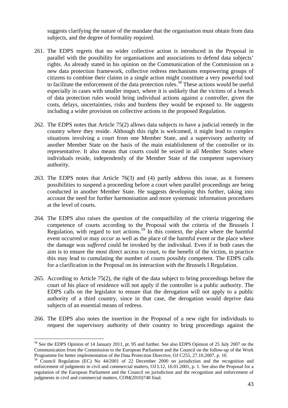suggests clarifying the nature of the mandate that the organisation must obtain from data subjects, and the degree of formality required.

- 261. The EDPS regrets that no wider collective action is introduced in the Proposal in parallel with the possibility for organisations and associations to defend data subjects' rights. As already stated in his opinion on the Communication of the Commission on a new data protection framework, collective redress mechanisms empowering groups of citizens to combine their claims in a single action might constitute a very powerful tool to facilitate the enforcement of the data protection rules.<sup>[58](#page-48-0)</sup> These actions would be useful especially in cases with smaller impact, where it is unlikely that the victims of a breach of data protection rules would bring individual actions against a controller, given the costs, delays, uncertainties, risks and burdens they would be exposed to. He suggests including a wider provision on collective actions in the proposed Regulation.
- 262. The EDPS notes that Article 75(2) allows data subjects to have a judicial remedy in the country where they reside. Although this right is welcomed, it might lead to complex situations involving a court from one Member State, and a supervisory authority of another Member State on the basis of the main establishment of the controller or its representative. It also means that courts could be seized in all Member States where individuals reside, independently of the Member State of the competent supervisory authority.
- 263. The EDPS notes that Article 76(3) and (4) partly address this issue, as it foresees possibilities to suspend a proceeding before a court when parallel proceedings are being conducted in another Member State. He suggests developing this further, taking into account the need for further harmonisation and more systematic information procedures at the level of courts.
- 264. The EDPS also raises the question of the compatibility of the criteria triggering the competence of courts according to the Proposal with the criteria of the Brussels I Regulation, with regard to tort actions.<sup>[59](#page-48-1)</sup> In this context, the place where the harmful event occurred or may *occur* as well as the place of the harmful event or the place where the damage was *suffered* could be invoked by the individual. Even if in both cases the aim is to ensure the most direct access to court, to the benefit of the victim, in practice this may lead to cumulating the number of courts possibly competent. The EDPS calls for a clarification in the Proposal on its interaction with the Brussels I Regulation.
- 265. According to Article 75(2), the right of the data subject to bring proceedings before the court of his place of residence will not apply if the controller is a public authority. The EDPS calls on the legislator to ensure that the derogation will not apply to a public authority of a third country, since in that case, the derogation would deprive data subjects of an essential means of redress.
- 266. The EDPS also notes the insertion in the Proposal of a new right for individuals to request the supervisory authority of their country to bring proceedings against the

<u>.</u>

<span id="page-48-0"></span><sup>&</sup>lt;sup>58</sup> See the EDPS Opinion of 14 January 2011, pt. 95 and further. See also EDPS Opinion of 25 July 2007 on the Communication from the Commission to the European Parliament and the Council on the follow-up of the Work Programme for better implementation of the Data Protection Directive, OJ C255, 27.10.2007, p. 10.

<span id="page-48-1"></span><sup>&</sup>lt;sup>59</sup> Council Regulation (EC) No 44/2001 of 22 December 2000 on jurisdiction and the recognition and enforcement of judgments in civil and commercial matters, OJ L12, 16.01.2001, p. 1. See also the Proposal for a regulation of the European Parliament and the Council on jurisdiction and the recognition and enforcement of judgments in civil and commercial matters, COM(2010)748 final.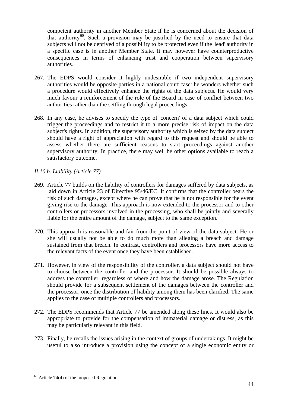competent authority in another Member State if he is concerned about the decision of that authority<sup>60</sup>. Such a provision may be justified by the need to ensure that data subjects will not be deprived of a possibility to be protected even if the 'lead' authority in a specific case is in another Member State. It may however have counterproductive consequences in terms of enhancing trust and cooperation between supervisory authorities.

- 267. The EDPS would consider it highly undesirable if two independent supervisory authorities would be opposite parties in a national court case: he wonders whether such a procedure would effectively enhance the rights of the data subjects. He would very much favour a reinforcement of the role of the Board in case of conflict between two authorities rather than the settling through legal proceedings.
- 268. In any case, he advises to specify the type of 'concern' of a data subject which could trigger the proceedings and to restrict it to a more precise risk of impact on the data subject's rights. In addition, the supervisory authority which is seized by the data subject should have a right of appreciation with regard to this request and should be able to assess whether there are sufficient reasons to start proceedings against another supervisory authority. In practice, there may well be other options available to reach a satisfactory outcome.

# *II.10.b. Liability (Article 77)*

- 269. Article 77 builds on the liability of controllers for damages suffered by data subjects, as laid down in Article 23 of Directive 95/46/EC. It confirms that the controller bears the risk of such damages, except where he can prove that he is not responsible for the event giving rise to the damage. This approach is now extended to the processor and to other controllers or processors involved in the processing, who shall be jointly and severally liable for the entire amount of the damage, subject to the same exception.
- 270. This approach is reasonable and fair from the point of view of the data subject. He or she will usually not be able to do much more than alleging a breach and damage sustained from that breach. In contrast, controllers and processors have more access to the relevant facts of the event once they have been established.
- 271. However, in view of the responsibility of the controller, a data subject should not have to choose between the controller and the processor. It should be possible always to address the controller, regardless of where and how the damage arose. The Regulation should provide for a subsequent settlement of the damages between the controller and the processor, once the distribution of liability among them has been clarified. The same applies to the case of multiple controllers and processors.
- 272. The EDPS recommends that Article 77 be amended along these lines. It would also be appropriate to provide for the compensation of immaterial damage or distress, as this may be particularly relevant in this field.
- 273. Finally, he recalls the issues arising in the context of groups of undertakings. It might be useful to also introduce a provision using the concept of a single economic entity or

<span id="page-49-0"></span> $60$  Article 74(4) of the proposed Regulation.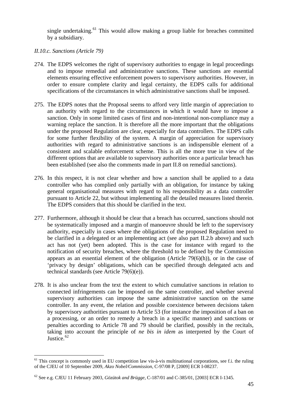single undertaking.<sup>61</sup> This would allow making a group liable for breaches committed by a subsidiary.

*II.10.c. Sanctions (Article 79)* 

- 274. The EDPS welcomes the right of supervisory authorities to engage in legal proceedings and to impose remedial and administrative sanctions. These sanctions are essential elements ensuring effective enforcement powers to supervisory authorities. However, in order to ensure complete clarity and legal certainty, the EDPS calls for additional specifications of the circumstances in which administrative sanctions shall be imposed.
- 275. The EDPS notes that the Proposal seems to afford very little margin of appreciation to an authority with regard to the circumstances in which it would have to impose a sanction. Only in some limited cases of first and non-intentional non-compliance may a warning replace the sanction. It is therefore all the more important that the obligations under the proposed Regulation are clear, especially for data controllers. The EDPS calls for some further flexibility of the system. A margin of appreciation for supervisory authorities with regard to administrative sanctions is an indispensible element of a consistent and scalable enforcement scheme. This is all the more true in view of the different options that are available to supervisory authorities once a particular breach has been established (see also the comments made in part II.8 on remedial sanctions).
- 276. In this respect, it is not clear whether and how a sanction shall be applied to a data controller who has complied only partially with an obligation, for instance by taking general organisational measures with regard to his responsibility as a data controller pursuant to Article 22, but without implementing all the detailed measures listed therein. The EDPS considers that this should be clarified in the text.
- 277. Furthermore, although it should be clear that a breach has occurred, sanctions should not be systematically imposed and a margin of manoeuvre should be left to the supervisory authority, especially in cases where the obligations of the proposed Regulation need to be clarified in a delegated or an implementing act (see also part II.2.b above) and such act has not (yet) been adopted. This is the case for instance with regard to the notification of security breaches, where the threshold to be defined by the Commission appears as an essential element of the obligation (Article 79(6)(h)), or in the case of 'privacy by design' obligations, which can be specified through delegated acts and technical standards (see Article 79(6)(e)).
- 278. It is also unclear from the text the extent to which cumulative sanctions in relation to connected infringements can be imposed on the same controller, and whether several supervisory authorities can impose the same administrative sanction on the same controller. In any event, the relation and possible coexistence between decisions taken by supervisory authorities pursuant to Article 53 (for instance the imposition of a ban on a processing, or an order to remedy a breach in a specific manner) and sanctions or penalties according to Article 78 and 79 should be clarified, possibly in the recitals, taking into account the principle of *ne bis in idem* as interpreted by the Court of Justice.<sup>[62](#page-50-1)</sup>

<span id="page-50-0"></span> $61$  This concept is commonly used in EU competition law vis-à-vis multinational corporations, see f.i. the ruling of the CJEU of 10 September 2009, *Akzo Nobel/Commission*, C-97/08 P, [2009] ECR I-08237.

<span id="page-50-1"></span><sup>62</sup> See e.g. CJEU 11 February 2003, *Gözütok and Brügge*, C-187/01 and C-385/01, [2003] ECR I-1345.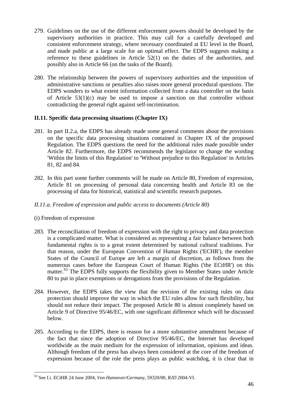- 279. Guidelines on the use of the different enforcement powers should be developed by the supervisory authorities in practice. This may call for a carefully developed and consistent enforcement strategy, where necessary coordinated at EU level in the Board, and made public at a large scale for an optimal effect. The EDPS suggests making a reference to these guidelines in Article 52(1) on the duties of the authorities, and possibly also in Article 66 (on the tasks of the Board).
- 280. The relationship between the powers of supervisory authorities and the imposition of administrative sanctions or penalties also raises more general procedural questions. The EDPS wonders to what extent information collected from a data controller on the basis of Article 53(1)(c) may be used to impose a sanction on that controller without contradicting the general right against self-incrimination.

# **II.11. Specific data processing situations (Chapter IX)**

- 281. In part II.2.a, the EDPS has already made some general comments about the provisions on the specific data processing situations contained in Chapter IX of the proposed Regulation. The EDPS questions the need for the additional rules made possible under Article 82. Furthermore, the EDPS recommends the legislator to change the wording 'Within the limits of this Regulation' to 'Without prejudice to this Regulation' in Articles 81, 82 and 84.
- 282. In this part some further comments will be made on Article 80, Freedom of expression, Article 81 on processing of personal data concerning health and Article 83 on the processing of data for historical, statistical and scientific research purposes.

### *II.11.a. Freedom of expression and public access to documents (Article 80)*

### (i) Freedom of expression

- 283. The reconciliation of freedom of expression with the right to privacy and data protection is a complicated matter. What is considered as representing a fair balance between both fundamental rights is to a great extent determined by national cultural traditions. For that reason, under the European Convention of Human Rights ('ECHR'), the member States of the Council of Europe are left a margin of discretion, as follows from the numerous cases before the European Court of Human Rights ('the ECtHR') on this matter.<sup>[63](#page-51-0)</sup> The EDPS fully supports the flexibility given to Member States under Article 80 to put in place exemptions or derogations from the provisions of the Regulation.
- 284. However, the EDPS takes the view that the revision of the existing rules on data protection should improve the way in which the EU rules allow for such flexibility, but should not reduce their impact. The proposed Article 80 is almost completely based on Article 9 of Directive 95/46/EC, with one significant difference which will be discussed below.
- 285. According to the EDPS, there is reason for a more substantive amendment because of the fact that since the adoption of Directive 95/46/EC, the Internet has developed worldwide as the main medium for the expression of information, opinions and ideas. Although freedom of the press has always been considered at the core of the freedom of expression because of the role the press plays as public watchdog, it is clear that in

<span id="page-51-0"></span><sup>63</sup> See f.i. ECtHR 24 June 2004, *Von Hannover/Germany*, 59320/00, *RJD* 2004-VI.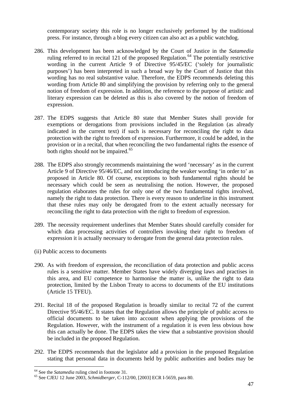contemporary society this role is no longer exclusively performed by the traditional press. For instance, through a blog every citizen can also act as a public watchdog.

- 286. This development has been acknowledged by the Court of Justice in the *Satamedia* ruling referred to in recital 121 of the proposed Regulation.<sup>64</sup> The potentially restrictive wording in the current Article 9 of Directive 95/45/EC ('solely for journalistic purposes') has been interpreted in such a broad way by the Court of Justice that this wording has no real substantive value. Therefore, the EDPS recommends deleting this wording from Article 80 and simplifying the provision by referring only to the general notion of freedom of expression. In addition, the reference to the purpose of artistic and literary expression can be deleted as this is also covered by the notion of freedom of expression.
- 287. The EDPS suggests that Article 80 state that Member States shall provide for exemptions or derogations from provisions included in the Regulation (as already indicated in the current text) if such is necessary for reconciling the right to data protection with the right to freedom of expression. Furthermore, it could be added, in the provision or in a recital, that when reconciling the two fundamental rights the essence of both rights should not be impaired.<sup>[65](#page-52-1)</sup>
- 288. The EDPS also strongly recommends maintaining the word 'necessary' as in the current Article 9 of Directive 95/46/EC, and not introducing the weaker wording 'in order to' as proposed in Article 80. Of course, exceptions to both fundamental rights should be necessary which could be seen as neutralising the notion. However, the proposed regulation elaborates the rules for only one of the two fundamental rights involved, namely the right to data protection. There is every reason to underline in this instrument that these rules may only be derogated from to the extent actually necessary for reconciling the right to data protection with the right to freedom of expression.
- 289. The necessity requirement underlines that Member States should carefully consider for which data processing activities of controllers invoking their right to freedom of expression it is actually necessary to derogate from the general data protection rules.
- (ii) Public access to documents
- 290. As with freedom of expression, the reconciliation of data protection and public access rules is a sensitive matter. Member States have widely diverging laws and practises in this area, and EU competence to harmonise the matter is, unlike the right to data protection, limited by the Lisbon Treaty to access to documents of the EU institutions (Article 15 TFEU).
- 291. Recital 18 of the proposed Regulation is broadly similar to recital 72 of the current Directive 95/46/EC. It states that the Regulation allows the principle of public access to official documents to be taken into account when applying the provisions of the Regulation. However, with the instrument of a regulation it is even less obvious how this can actually be done. The EDPS takes the view that a substantive provision should be included in the proposed Regulation.
- 292. The EDPS recommends that the legislator add a provision in the proposed Regulation stating that personal data in documents held by public authorities and bodies may be

<span id="page-52-1"></span><span id="page-52-0"></span><sup>64</sup> See the *Satamedia* ruling cited in footnote 31. 65 See CJEU 12 June 2003, *Schmidberger*, C-112/00, [2003] ECR I-5659, para 80.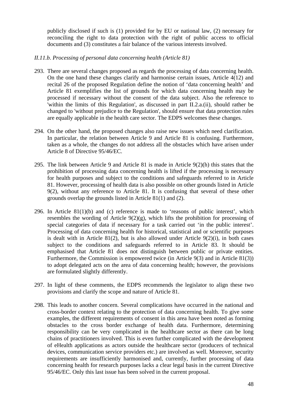publicly disclosed if such is (1) provided for by EU or national law, (2) necessary for reconciling the right to data protection with the right of public access to official documents and (3) constitutes a fair balance of the various interests involved.

#### *II.11.b. Processing of personal data concerning health (Article 81)*

- 293. There are several changes proposed as regards the processing of data concerning health. On the one hand these changes clarify and harmonise certain issues, Article 4(12) and recital 26 of the proposed Regulation define the notion of 'data concerning health' and Article 81 exemplifies the list of grounds for which data concerning health may be processed if necessary without the consent of the data subject. Also the reference to 'within the limits of this Regulation', as discussed in part II.2.a.(ii), should rather be changed to 'without prejudice to the Regulation', should ensure that data protection rules are equally applicable in the health care sector. The EDPS welcomes these changes.
- 294. On the other hand, the proposed changes also raise new issues which need clarification. In particular, the relation between Article 9 and Article 81 is confusing. Furthermore, taken as a whole, the changes do not address all the obstacles which have arisen under Article 8 of Directive 95/46/EC.
- 295. The link between Article 9 and Article 81 is made in Article 9(2)(h) this states that the prohibition of processing data concerning health is lifted if the processing is necessary for health purposes and subject to the conditions and safeguards referred to in Article 81. However, processing of health data is also possible on other grounds listed in Article 9(2), without any reference to Article 81. It is confusing that several of these other grounds overlap the grounds listed in Article 81(1) and (2).
- 296. In Article  $81(1)(b)$  and (c) reference is made to 'reasons of public interest', which resembles the wording of Article  $9(2)(g)$ , which lifts the prohibition for processing of special categories of data if necessary for a task carried out 'in the public interest'. Processing of data concerning health for historical, statistical and or scientific purposes is dealt with in Article 81(2), but is also allowed under Article 9(2)(i), in both cases subject to the conditions and safeguards referred to in Article 83. It should be emphasised that Article 81 does not distinguish between public or private entities. Furthermore, the Commission is empowered twice (in Article 9(3) and in Article 81(3)) to adopt delegated acts on the area of data concerning health; however, the provisions are formulated slightly differently.
- 297. In light of these comments, the EDPS recommends the legislator to align these two provisions and clarify the scope and nature of Article 81.
- 298. This leads to another concern. Several complications have occurred in the national and cross-border context relating to the protection of data concerning health. To give some examples, the different requirements of consent in this area have been noted as forming obstacles to the cross border exchange of health data. Furthermore, determining responsibility can be very complicated in the healthcare sector as there can be long chains of practitioners involved. This is even further complicated with the development of eHealth applications as actors outside the healthcare sector (producers of technical devices, communication service providers etc.) are involved as well. Moreover, security requirements are insufficiently harmonised and, currently, further processing of data concerning health for research purposes lacks a clear legal basis in the current Directive 95/46/EC. Only this last issue has been solved in the current proposal.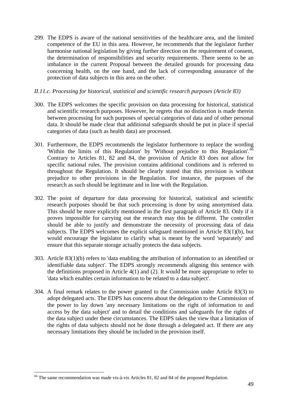299. The EDPS is aware of the national sensitivities of the healthcare area, and the limited competence of the EU in this area. However, he recommends that the legislator further harmonise national legislation by giving further direction on the requirement of consent, the determination of responsibilities and security requirements. There seems to be an imbalance in the current Proposal between the detailed grounds for processing data concerning health, on the one hand, and the lack of corresponding assurance of the protection of data subjects in this area on the other.

### *II.11.c. Processing for historical, statistical and scientific research purposes (Article 83)*

- 300. The EDPS welcomes the specific provision on data processing for historical, statistical and scientific research purposes. However, he regrets that no distinction is made therein between processing for such purposes of special categories of data and of other personal data. It should be made clear that additional safeguards should be put in place if special categories of data (such as health data) are processed.
- 301. Furthermore, the EDPS recommends the legislator furthermore to replace the wording 'Within the limits of this Regulation' by 'Without prejudice to this Regulation'.<sup>[66](#page-54-0)</sup> Contrary to Articles 81, 82 and 84, the provision of Article 83 does not allow for specific national rules. The provision contains additional conditions and is referred to throughout the Regulation. It should be clearly stated that this provision is without prejudice to other provisions in the Regulation. For instance, the purposes of the research as such should be legitimate and in line with the Regulation.
- 302. The point of departure for data processing for historical, statistical and scientific research purposes should be that such processing is done by using anonymised data. This should be more explicitly mentioned in the first paragraph of Article 83. Only if it proves impossible for carrying out the research may this be different. The controller should be able to justify and demonstrate the necessity of processing data of data subjects. The EDPS welcomes the explicit safeguard mentioned in Article 83(1)(b), but would encourage the legislator to clarify what is meant by the word 'separately' and ensure that this separate storage actually protects the data subjects.
- 303. Article 83(1)(b) refers to 'data enabling the attribution of information to an identified or identifiable data subject'. The EDPS strongly recommends aligning this sentence with the definitions proposed in Article 4(1) and (2). It would be more appropriate to refer to 'data which enables certain information to be related to a data subject'.
- 304. A final remark relates to the power granted to the Commission under Article 83(3) to adopt delegated acts. The EDPS has concerns about the delegation to the Commission of the power to lay down 'any necessary limitations on the right of information to and access by the data subject' and to detail the conditions and safeguards for the rights of the data subject under these circumstances. The EDPS takes the view that a limitation of the rights of data subjects should not be done through a delegated act. If there are any necessary limitations they should be included in the provision itself.

<span id="page-54-0"></span><sup>&</sup>lt;sup>66</sup> The same recommendation was made vis-à-vis Articles 81, 82 and 84 of the proposed Regulation.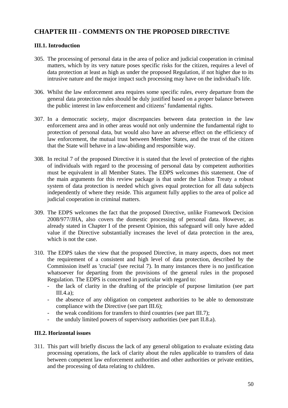# **CHAPTER III - COMMENTS ON THE PROPOSED DIRECTIVE**

# **III.1. Introduction**

- 305. The processing of personal data in the area of police and judicial cooperation in criminal matters, which by its very nature poses specific risks for the citizen, requires a level of data protection at least as high as under the proposed Regulation, if not higher due to its intrusive nature and the major impact such processing may have on the individual's life.
- 306. Whilst the law enforcement area requires some specific rules, every departure from the general data protection rules should be duly justified based on a proper balance between the public interest in law enforcement and citizens' fundamental rights.
- 307. In a democratic society, major discrepancies between data protection in the law enforcement area and in other areas would not only undermine the fundamental right to protection of personal data, but would also have an adverse effect on the efficiency of law enforcement, the mutual trust between Member States, and the trust of the citizen that the State will behave in a law-abiding and responsible way.
- 308. In recital 7 of the proposed Directive it is stated that the level of protection of the rights of individuals with regard to the processing of personal data by competent authorities must be equivalent in all Member States. The EDPS welcomes this statement. One of the main arguments for this review package is that under the Lisbon Treaty a robust system of data protection is needed which gives equal protection for all data subjects independently of where they reside. This argument fully applies to the area of police ad judicial cooperation in criminal matters.
- 309. The EDPS welcomes the fact that the proposed Directive, unlike Framework Decision 2008/977/JHA, also covers the domestic processing of personal data. However, as already stated in Chapter I of the present Opinion, this safeguard will only have added value if the Directive substantially increases the level of data protection in the area, which is not the case.
- 310. The EDPS takes the view that the proposed Directive, in many aspects, does not meet the requirement of a consistent and high level of data protection, described by the Commission itself as 'crucial' (see recital 7). In many instances there is no justification whatsoever for departing from the provisions of the general rules in the proposed Regulation. The EDPS is concerned in particular with regard to:
	- the lack of clarity in the drafting of the principle of purpose limitation (see part  $III.4.a$ :
	- the absence of any obligation on competent authorities to be able to demonstrate compliance with the Directive (see part III.6);
	- the weak conditions for transfers to third countries (see part III.7);
	- the unduly limited powers of supervisory authorities (see part II.8.a).

### **III.2. Horizontal issues**

311. This part will briefly discuss the lack of any general obligation to evaluate existing data processing operations, the lack of clarity about the rules applicable to transfers of data between competent law enforcement authorities and other authorities or private entities, and the processing of data relating to children.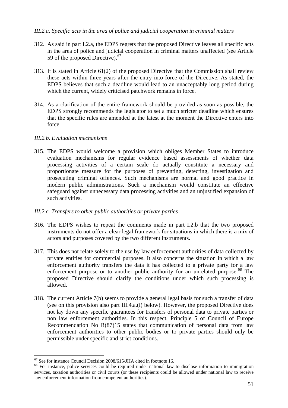### *III.2.a. Specific acts in the area of police and judicial cooperation in criminal matters*

- 312. As said in part I.2.a, the EDPS regrets that the proposed Directive leaves all specific acts in the area of police and judicial cooperation in criminal matters unaffected (see Article 59 of the proposed Directive). $67$
- 313. It is stated in Article 61(2) of the proposed Directive that the Commission shall review these acts within three years after the entry into force of the Directive. As stated, the EDPS believes that such a deadline would lead to an unacceptably long period during which the current, widely criticised patchwork remains in force.
- 314. As a clarification of the entire framework should be provided as soon as possible, the EDPS strongly recommends the legislator to set a much stricter deadline which ensures that the specific rules are amended at the latest at the moment the Directive enters into force.

#### *III.2.b. Evaluation mechanisms*

315. The EDPS would welcome a provision which obliges Member States to introduce evaluation mechanisms for regular evidence based assessments of whether data processing activities of a certain scale do actually constitute a necessary and proportionate measure for the purposes of preventing, detecting, investigation and prosecuting criminal offences. Such mechanisms are normal and good practice in modern public administrations. Such a mechanism would constitute an effective safeguard against unnecessary data processing activities and an unjustified expansion of such activities.

### *III.2.c. Transfers to other public authorities or private parties*

- 316. The EDPS wishes to repeat the comments made in part I.2.b that the two proposed instruments do not offer a clear legal framework for situations in which there is a mix of actors and purposes covered by the two different instruments.
- 317. This does not relate solely to the use by law enforcement authorities of data collected by private entities for commercial purposes. It also concerns the situation in which a law enforcement authority transfers the data it has collected to a private party for a law enforcement purpose or to another public authority for an unrelated purpose.<sup>[68](#page-56-1)</sup> The proposed Directive should clarify the conditions under which such processing is allowed.
- 318. The current Article 7(b) seems to provide a general legal basis for such a transfer of data (see on this provision also part III.4.a.(i) below). However, the proposed Directive does not lay down any specific guarantees for transfers of personal data to private parties or non law enforcement authorities. In this respect, Principle 5 of Council of Europe Recommendation No R(87)15 states that communication of personal data from law enforcement authorities to other public bodies or to private parties should only be permissible under specific and strict conditions.

<sup>1</sup>  $67$  See for instance Council Decision 2008/615/JHA cited in footnote 16.

<span id="page-56-1"></span><span id="page-56-0"></span><sup>&</sup>lt;sup>68</sup> For instance, police services could be required under national law to disclose information to immigration services, taxation authorities or civil courts (or these recipients could be allowed under national law to receive law enforcement information from competent authorities).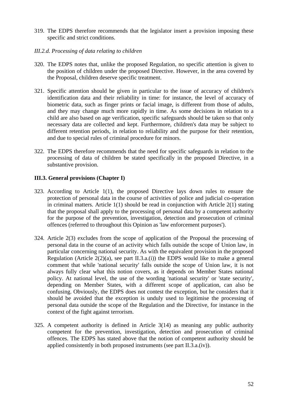- 319. The EDPS therefore recommends that the legislator insert a provision imposing these specific and strict conditions.
- *III.2.d. Processing of data relating to children*
- 320. The EDPS notes that, unlike the proposed Regulation, no specific attention is given to the position of children under the proposed Directive. However, in the area covered by the Proposal, children deserve specific treatment.
- 321. Specific attention should be given in particular to the issue of accuracy of children's identification data and their reliability in time: for instance, the level of accuracy of biometric data, such as finger prints or facial image, is different from those of adults, and they may change much more rapidly in time. As some decisions in relation to a child are also based on age verification, specific safeguards should be taken so that only necessary data are collected and kept. Furthermore, children's data may be subject to different retention periods, in relation to reliability and the purpose for their retention, and due to special rules of criminal procedure for minors.
- 322. The EDPS therefore recommends that the need for specific safeguards in relation to the processing of data of children be stated specifically in the proposed Directive, in a substantive provision.

### **III.3. General provisions (Chapter I)**

- 323. According to Article 1(1), the proposed Directive lays down rules to ensure the protection of personal data in the course of activities of police and judicial co-operation in criminal matters. Article 1(1) should be read in conjunction with Article 2(1) stating that the proposal shall apply to the processing of personal data by a competent authority for the purpose of the prevention, investigation, detection and prosecution of criminal offences (referred to throughout this Opinion as 'law enforcement purposes').
- 324. Article 2(3) excludes from the scope of application of the Proposal the processing of personal data in the course of an activity which falls outside the scope of Union law, in particular concerning national security. As with the equivalent provision in the proposed Regulation (Article  $2(2)(a)$ , see part II.3.a.(i)) the EDPS would like to make a general comment that while 'national security' falls outside the scope of Union law, it is not always fully clear what this notion covers, as it depends on Member States national policy. At national level, the use of the wording 'national security' or 'state security', depending on Member States, with a different scope of application, can also be confusing. Obviously, the EDPS does not contest the exception, but he considers that it should be avoided that the exception is unduly used to legitimise the processing of personal data outside the scope of the Regulation and the Directive, for instance in the context of the fight against terrorism.
- 325. A competent authority is defined in Article 3(14) as meaning any public authority competent for the prevention, investigation, detection and prosecution of criminal offences. The EDPS has stated above that the notion of competent authority should be applied consistently in both proposed instruments (see part II.3.a.(iv)).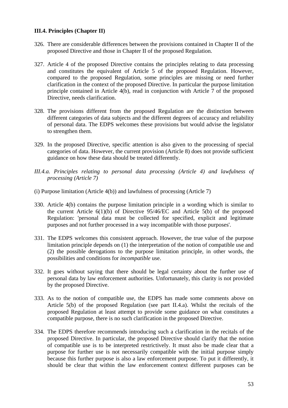#### **III.4. Principles (Chapter II)**

- 326. There are considerable differences between the provisions contained in Chapter II of the proposed Directive and those in Chapter II of the proposed Regulation.
- 327. Article 4 of the proposed Directive contains the principles relating to data processing and constitutes the equivalent of Article 5 of the proposed Regulation. However, compared to the proposed Regulation, some principles are missing or need further clarification in the context of the proposed Directive. In particular the purpose limitation principle contained in Article 4(b), read in conjunction with Article 7 of the proposed Directive, needs clarification.
- 328. The provisions different from the proposed Regulation are the distinction between different categories of data subjects and the different degrees of accuracy and reliability of personal data. The EDPS welcomes these provisions but would advise the legislator to strengthen them.
- 329. In the proposed Directive, specific attention is also given to the processing of special categories of data. However, the current provision (Article 8) does not provide sufficient guidance on how these data should be treated differently.
- *III.4.a. Principles relating to personal data processing (Article 4) and lawfulness of processing (Article 7)*
- (i) Purpose limitation (Article 4(b)) and lawfulness of processing (Article 7)
- 330. Article 4(b) contains the purpose limitation principle in a wording which is similar to the current Article  $6(1)(b)$  of Directive  $95/46/EC$  and Article  $5(b)$  of the proposed Regulation: 'personal data must be collected for specified, explicit and legitimate purposes and not further processed in a way incompatible with those purposes'.
- 331. The EDPS welcomes this consistent approach. However, the true value of the purpose limitation principle depends on (1) the interpretation of the notion of compatible use and (2) the possible derogations to the purpose limitation principle, in other words, the possibilities and conditions for *incompatible* use.
- 332. It goes without saying that there should be legal certainty about the further use of personal data by law enforcement authorities. Unfortunately, this clarity is not provided by the proposed Directive.
- 333. As to the notion of compatible use, the EDPS has made some comments above on Article 5(b) of the proposed Regulation (see part II.4.a). Whilst the recitals of the proposed Regulation at least attempt to provide some guidance on what constitutes a compatible purpose, there is no such clarification in the proposed Directive.
- 334. The EDPS therefore recommends introducing such a clarification in the recitals of the proposed Directive. In particular, the proposed Directive should clarify that the notion of compatible use is to be interpreted restrictively. It must also be made clear that a purpose for further use is not necessarily compatible with the initial purpose simply because this further purpose is also a law enforcement purpose. To put it differently, it should be clear that within the law enforcement context different purposes can be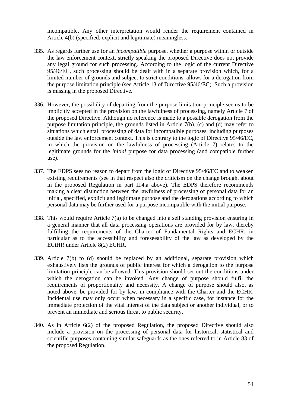incompatible. Any other interpretation would render the requirement contained in Article 4(b) (specified, explicit and legitimate) meaningless.

- 335. As regards further use for an *incompatible* purpose, whether a purpose within or outside the law enforcement context, strictly speaking the proposed Directive does not provide any legal ground for such processing. According to the logic of the current Directive 95/46/EC, such processing should be dealt with in a separate provision which, for a limited number of grounds and subject to strict conditions, allows for a derogation from the purpose limitation principle (see Article 13 of Directive 95/46/EC). Such a provision is missing in the proposed Directive.
- 336. However, the possibility of departing from the purpose limitation principle seems to be implicitly accepted in the provision on the lawfulness of processing, namely Article 7 of the proposed Directive. Although no reference is made to a possible derogation from the purpose limitation principle, the grounds listed in Article 7(b), (c) and (d) may refer to situations which entail processing of data for incompatible purposes, including purposes outside the law enforcement context. This is contrary to the logic of Directive 95/46/EC, in which the provision on the lawfulness of processing (Article 7) relates to the legitimate grounds for the *initial* purpose for data processing (and compatible further use).
- 337. The EDPS sees no reason to depart from the logic of Directive 95/46/EC and to weaken existing requirements (see in that respect also the criticism on the change brought about in the proposed Regulation in part II.4.a above). The EDPS therefore recommends making a clear distinction between the lawfulness of processing of personal data for an initial, specified, explicit and legitimate purpose and the derogations according to which personal data may be further used for a purpose incompatible with the initial purpose.
- 338. This would require Article 7(a) to be changed into a self standing provision ensuring in a general manner that all data processing operations are provided for by law, thereby fulfilling the requirements of the Charter of Fundamental Rights and ECHR, in particular as to the accessibility and foreseeability of the law as developed by the ECtHR under Article 8(2) ECHR.
- 339. Article 7(b) to (d) should be replaced by an additional, separate provision which exhaustively lists the grounds of public interest for which a derogation to the purpose limitation principle can be allowed. This provision should set out the conditions under which the derogation can be invoked. Any change of purpose should fulfil the requirements of proportionality and necessity. A change of purpose should also, as noted above, be provided for by law, in compliance with the Charter and the ECHR. Incidental use may only occur when necessary in a specific case, for instance for the immediate protection of the vital interest of the data subject or another individual, or to prevent an immediate and serious threat to public security.
- 340. As in Article 6(2) of the proposed Regulation, the proposed Directive should also include a provision on the processing of personal data for historical, statistical and scientific purposes containing similar safeguards as the ones referred to in Article 83 of the proposed Regulation.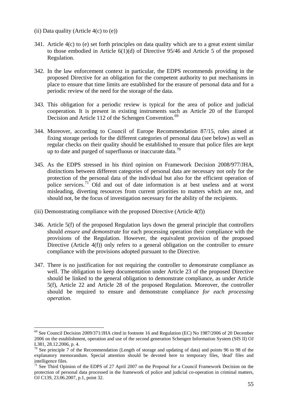(ii) Data quality (Article  $4(c)$  to  $(e)$ )

- 341. Article 4(c) to (e) set forth principles on data quality which are to a great extent similar to those embodied in Article 6(1)(d) of Directive 95/46 and Article 5 of the proposed Regulation.
- 342. In the law enforcement context in particular, the EDPS recommends providing in the proposed Directive for an obligation for the competent authority to put mechanisms in place to ensure that time limits are established for the erasure of personal data and for a periodic review of the need for the storage of the data.
- 343. This obligation for a periodic review is typical for the area of police and judicial cooperation. It is present in existing instruments such as Article 20 of the Europol Decision and Article 112 of the Schengen Convention.<sup>[69](#page-60-0)</sup>
- 344. Moreover, according to Council of Europe Recommendation 87/15, rules aimed at fixing storage periods for the different categories of personal data (see below) as well as regular checks on their quality should be established to ensure that police files are kept up to date and purged of superfluous or inaccurate data.<sup>70</sup>
- 345. As the EDPS stressed in his third opinion on Framework Decision 2008/977/JHA, distinctions between different categories of personal data are necessary not only for the protection of the personal data of the individual but also for the efficient operation of police services.[71](#page-60-2) Old and out of date information is at best useless and at worst misleading, diverting resources from current priorities to matters which are not, and should not, be the focus of investigation necessary for the ability of the recipients.
- (iii) Demonstrating compliance with the proposed Directive (Article 4(f))
- 346. Article 5(f) of the proposed Regulation lays down the general principle that controllers should *ensure and demonstrate* for each processing operation their compliance with the provisions of the Regulation. However, the equivalent provision of the proposed Directive (Article 4(f)) only refers to a general obligation on the controller to *ensure* compliance with the provisions adopted pursuant to the Directive.
- 347. There is no justification for not requiring the controller to *demonstrate* compliance as well. The obligation to keep documentation under Article 23 of the proposed Directive should be linked to the general obligation to demonstrate compliance, as under Article 5(f), Article 22 and Article 28 of the proposed Regulation. Moreover, the controller should be required to ensure and demonstrate compliance *for each processing operation*.

<span id="page-60-0"></span><sup>&</sup>lt;sup>69</sup> See Council Decision 2009/371/JHA cited in footnote 16 and Regulation (EC) No 1987/2006 of 20 December 2006 on the establishment, operation and use of the second generation Schengen Information System (SIS II) OJ L381, 28.12.2006, p. 4.

<span id="page-60-1"></span> $\frac{70}{70}$  See principle 7 of the Recommendation (Length of storage and updating of data) and points 96 to 98 of the explanatory memorandum. Special attention should be devoted here to temporary files, 'dead' files and intelligence files.

<span id="page-60-2"></span> $71$  See Third Opinion of the EDPS of 27 April 2007 on the Proposal for a Council Framework Decision on the protection of personal data processed in the framework of police and judicial co-operation in criminal matters, OJ C139, 23.06.2007, p.1, point 32.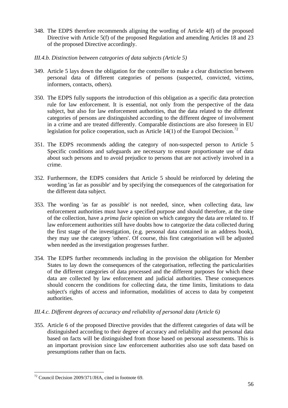- 348. The EDPS therefore recommends aligning the wording of Article 4(f) of the proposed Directive with Article 5(f) of the proposed Regulation and amending Articles 18 and 23 of the proposed Directive accordingly.
- *III.4.b. Distinction between categories of data subjects (Article 5)*
- 349. Article 5 lays down the obligation for the controller to make a clear distinction between personal data of different categories of persons (suspected, convicted, victims, informers, contacts, others).
- 350. The EDPS fully supports the introduction of this obligation as a specific data protection rule for law enforcement. It is essential, not only from the perspective of the data subject, but also for law enforcement authorities, that the data related to the different categories of persons are distinguished according to the different degree of involvement in a crime and are treated differently. Comparable distinctions are also foreseen in EU legislation for police cooperation, such as Article 14(1) of the Europol Decision.<sup>[72](#page-61-0)</sup>
- 351. The EDPS recommends adding the category of non-suspected person to Article 5 Specific conditions and safeguards are necessary to ensure proportionate use of data about such persons and to avoid prejudice to persons that are not actively involved in a crime.
- 352. Furthermore, the EDPS considers that Article 5 should be reinforced by deleting the wording 'as far as possible' and by specifying the consequences of the categorisation for the different data subject.
- 353. The wording 'as far as possible' is not needed, since, when collecting data, law enforcement authorities must have a specified purpose and should therefore, at the time of the collection, have a *prima facie* opinion on which category the data are related to. If law enforcement authorities still have doubts how to categorize the data collected during the first stage of the investigation, (e.g. personal data contained in an address book), they may use the category 'others'. Of course, this first categorisation will be adjusted when needed as the investigation progresses further.
- 354. The EDPS further recommends including in the provision the obligation for Member States to lay down the consequences of the categorisation, reflecting the particularities of the different categories of data processed and the different purposes for which these data are collected by law enforcement and judicial authorities. These consequences should concern the conditions for collecting data, the time limits, limitations to data subject's rights of access and information, modalities of access to data by competent authorities.

### *III.4.c. Different degrees of accuracy and reliability of personal data (Article 6)*

355. Article 6 of the proposed Directive provides that the different categories of data will be distinguished according to their degree of accuracy and reliability and that personal data based on facts will be distinguished from those based on personal assessments. This is an important provision since law enforcement authorities also use soft data based on presumptions rather than on facts.

<span id="page-61-0"></span><sup>72</sup> Council Decision 2009/371/JHA, cited in footnote 69.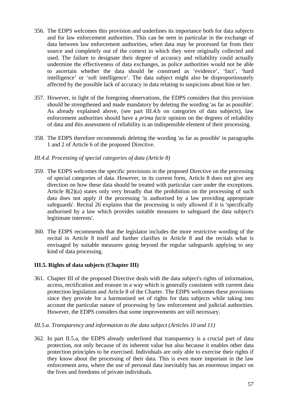- 356. The EDPS welcomes this provision and underlines its importance both for data subjects and for law enforcement authorities. This can be seen in particular in the exchange of data between law enforcement authorities, when data may be processed far from their source and completely out of the context in which they were originally collected and used. The failure to designate their degree of accuracy and reliability could actually undermine the effectiveness of data exchanges, as police authorities would not be able to ascertain whether the data should be construed as 'evidence', 'fact', 'hard intelligence' or 'soft intelligence'. The data subject might also be disproportionately affected by the possible lack of accuracy in data relating to suspicions about him or her.
- 357. However, in light of the foregoing observations, the EDPS considers that this provision should be strengthened and made mandatory by deleting the wording 'as far as possible'. As already explained above, (see part III.4.b on categories of data subjects), law enforcement authorities should have a *prima facie* opinion on the degrees of reliability of data and this assessment of reliability is an indispensible element of their processing.
- 358. The EDPS therefore recommends deleting the wording 'as far as possible' in paragraphs 1 and 2 of Article 6 of the proposed Directive.

### *III.4.d. Processing of special categories of data (Article 8)*

- 359. The EDPS welcomes the specific provisions in the proposed Directive on the processing of special categories of data. However, in its current form, Article 8 does not give any direction on how these data should be treated with particular care under the exceptions. Article  $8(2)(a)$  states only very broadly that the prohibition on the processing of such data does not apply if the processing 'is authorised by a law providing appropriate safeguards'. Recital 26 explains that the processing is only allowed if it is 'specifically authorised by a law which provides suitable measures to safeguard the data subject's legitimate interests'.
- 360. The EDPS recommends that the legislator includes the more restrictive wording of the recital in Article 8 itself and further clarifies in Article 8 and the recitals what is envisaged by suitable measures going beyond the regular safeguards applying to any kind of data processing.

# **III.5. Rights of data subjects (Chapter III)**

361. Chapter III of the proposed Directive deals with the data subject's rights of information, access, rectification and erasure in a way which is generally consistent with current data protection legislation and Article 8 of the Charter. The EDPS welcomes these provisions since they provide for a harmonised set of rights for data subjects while taking into account the particular nature of processing by law enforcement and judicial authorities. However, the EDPS considers that some improvements are still necessary.

### *III.5.a. Transparency and information to the data subject (Articles 10 and 11)*

362. In part II.5.a, the EDPS already underlined that transparency is a crucial part of data protection, not only because of its inherent value but also because it enables other data protection principles to be exercised. Individuals are only able to exercise their rights if they know about the processing of their data. This is even more important in the law enforcement area, where the use of personal data inevitably has an enormous impact on the lives and freedoms of private individuals.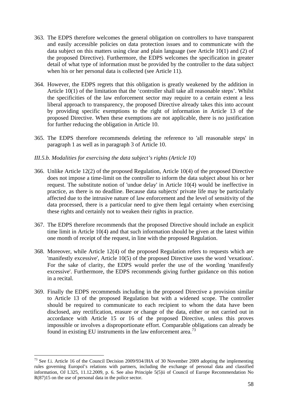- 363. The EDPS therefore welcomes the general obligation on controllers to have transparent and easily accessible policies on data protection issues and to communicate with the data subject on this matters using clear and plain language (see Article 10(1) and (2) of the proposed Directive). Furthermore, the EDPS welcomes the specification in greater detail of what type of information must be provided by the controller to the data subject when his or her personal data is collected (see Article 11).
- 364. However, the EDPS regrets that this obligation is greatly weakened by the addition in Article 10(1) of the limitation that the 'controller shall take all reasonable steps'. Whilst the specificities of the law enforcement sector may require to a certain extent a less liberal approach to transparency, the proposed Directive already takes this into account by providing specific exemptions to the right of information in Article 13 of the proposed Directive. When these exemptions are not applicable, there is no justification for further reducing the obligation in Article 10.
- 365. The EDPS therefore recommends deleting the reference to 'all reasonable steps' in paragraph 1 as well as in paragraph 3 of Article 10.

### *III.5.b. Modalities for exercising the data subject's rights (Article 10)*

- 366. Unlike Article 12(2) of the proposed Regulation, Article 10(4) of the proposed Directive does not impose a time-limit on the controller to inform the data subject about his or her request. The substitute notion of 'undue delay' in Article 10(4) would be ineffective in practice, as there is no deadline. Because data subjects' private life may be particularly affected due to the intrusive nature of law enforcement and the level of sensitivity of the data processed, there is a particular need to give them legal certainty when exercising these rights and certainly not to weaken their rights in practice.
- 367. The EDPS therefore recommends that the proposed Directive should include an explicit time limit in Article 10(4) and that such information should be given at the latest within one month of receipt of the request, in line with the proposed Regulation.
- 368. Moreover, while Article 12(4) of the proposed Regulation refers to requests which are 'manifestly excessive', Article 10(5) of the proposed Directive uses the word 'vexatious'. For the sake of clarity, the EDPS would prefer the use of the wording 'manifestly excessive'. Furthermore, the EDPS recommends giving further guidance on this notion in a recital.
- 369. Finally the EDPS recommends including in the proposed Directive a provision similar to Article 13 of the proposed Regulation but with a widened scope. The controller should be required to communicate to each recipient to whom the data have been disclosed, any rectification, erasure or change of the data, either or not carried out in accordance with Article 15 or 16 of the proposed Directive, unless this proves impossible or involves a disproportionate effort. Comparable obligations can already be found in existing EU instruments in the law enforcement area.<sup>[73](#page-63-0)</sup>

<span id="page-63-0"></span> $73$  See f.i. Article 16 of the Council Decision 2009/934/JHA of 30 November 2009 adopting the implementing rules governing Europol's relations with partners, including the exchange of personal data and classified information, OJ L325, 11.12.2009, p. 6. See also Principle 5(5)ii of Council of Europe Recommendation No R(87)15 on the use of personal data in the police sector.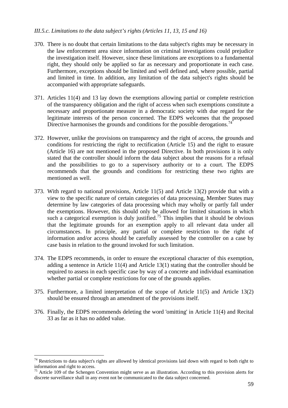### *III.5.c. Limitations to the data subject's rights (Articles 11, 13, 15 and 16)*

- 370. There is no doubt that certain limitations to the data subject's rights may be necessary in the law enforcement area since information on criminal investigations could prejudice the investigation itself. However, since these limitations are exceptions to a fundamental right, they should only be applied so far as necessary and proportionate in each case. Furthermore, exceptions should be limited and well defined and, where possible, partial and limited in time. In addition, any limitation of the data subject's rights should be accompanied with appropriate safeguards.
- 371. Articles 11(4) and 13 lay down the exemptions allowing partial or complete restriction of the transparency obligation and the right of access when such exemptions constitute a necessary and proportionate measure in a democratic society with due regard for the legitimate interests of the person concerned. The EDPS welcomes that the proposed Directive harmonises the grounds and conditions for the possible derogations.<sup>[74](#page-64-0)</sup>
- 372. However, unlike the provisions on transparency and the right of access, the grounds and conditions for restricting the right to rectification (Article 15) and the right to erasure (Article 16) are not mentioned in the proposed Directive. In both provisions it is only stated that the controller should inform the data subject about the reasons for a refusal and the possibilities to go to a supervisory authority or to a court. The EDPS recommends that the grounds and conditions for restricting these two rights are mentioned as well.
- 373. With regard to national provisions, Article 11(5) and Article 13(2) provide that with a view to the specific nature of certain categories of data processing, Member States may determine by law categories of data processing which may wholly or partly fall under the exemptions. However, this should only be allowed for limited situations in which such a categorical exemption is duly justified.<sup>[75](#page-64-1)</sup> This implies that it should be obvious that the legitimate grounds for an exemption apply to all relevant data under all circumstances. In principle, any partial or complete restriction to the right of information and/or access should be carefully assessed by the controller on a case by case basis in relation to the ground invoked for such limitation.
- 374. The EDPS recommends, in order to ensure the exceptional character of this exemption, adding a sentence in Article 11(4) and Article 13(1) stating that the controller should be required to assess in each specific case by way of a concrete and individual examination whether partial or complete restrictions for one of the grounds applies.
- 375. Furthermore, a limited interpretation of the scope of Article 11(5) and Article 13(2) should be ensured through an amendment of the provisions itself.
- 376. Finally, the EDPS recommends deleting the word 'omitting' in Article 11(4) and Recital 33 as far as it has no added value.

<span id="page-64-0"></span> $74$  Restrictions to data subject's rights are allowed by identical provisions laid down with regard to both right to information and right to access.

<span id="page-64-1"></span> $75$  Article 109 of the Schengen Convention might serve as an illustration. According to this provision alerts for discrete surveillance shall in any event not be communicated to the data subject concerned.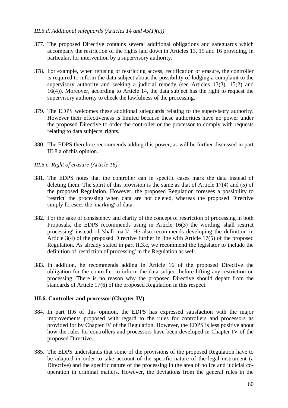### *III.5.d. Additional safeguards (Articles 14 and 45(1)(c))*

- 377. The proposed Directive contains several additional obligations and safeguards which accompany the restriction of the rights laid down in Articles 13, 15 and 16 providing, in particular, for intervention by a supervisory authority.
- 378. For example, when refusing or restricting access, rectification or erasure, the controller is required to inform the data subject about the possibility of lodging a complaint to the supervisory authority and seeking a judicial remedy (see Articles 13(3), 15(2) and 16(4)). Moreover, according to Article 14, the data subject has the right to request the supervisory authority to check the lawfulness of the processing.
- 379. The EDPS welcomes these additional safeguards relating to the supervisory authority. However their effectiveness is limited because these authorities have no power under the proposed Directive to order the controller or the processor to comply with requests relating to data subjects' rights.
- 380. The EDPS therefore recommends adding this power, as will be further discussed in part III.8.a of this opinion.

### *III.5.e. Right of erasure (Article 16)*

- 381. The EDPS notes that the controller can in specific cases mark the data instead of deleting them. The spirit of this provision is the same as that of Article 17(4) and (5) of the proposed Regulation. However, the proposed Regulation foresees a possibility to 'restrict' the processing when data are not deleted, whereas the proposed Directive simply foresees the 'marking' of data.
- 382. For the sake of consistency and clarity of the concept of restriction of processing in both Proposals, the EDPS recommends using in Article 16(3) the wording 'shall restrict processing' instead of 'shall mark'. He also recommends developing the definition in Article 3(4) of the proposed Directive further in line with Article 17(5) of the proposed Regulation. As already stated in part II.3.c, we recommend the legislator to include the definition of 'restriction of processing' in the Regulation as well.
- 383. In addition, he recommends adding in Article 16 of the proposed Directive the obligation for the controller to inform the data subject before lifting any restriction on processing. There is no reason why the proposed Directive should depart from the standards of Article 17(6) of the proposed Regulation in this respect.

#### **III.6. Controller and processor (Chapter IV)**

- 384. In part II.6 of this opinion, the EDPS has expressed satisfaction with the major improvements proposed with regard to the rules for controllers and processors as provided for by Chapter IV of the Regulation. However, the EDPS is less positive about how the rules for controllers and processors have been developed in Chapter IV of the proposed Directive.
- 385. The EDPS understands that some of the provisions of the proposed Regulation have to be adapted in order to take account of the specific nature of the legal instrument (a Directive) and the specific nature of the processing in the area of police and judicial cooperation in criminal matters. However, the deviations from the general rules in the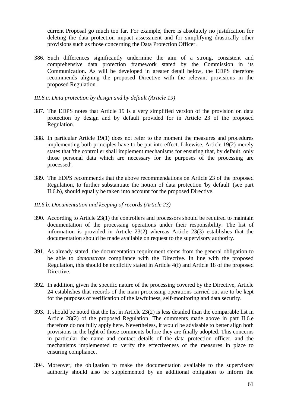current Proposal go much too far. For example, there is absolutely no justification for deleting the data protection impact assessment and for simplifying drastically other provisions such as those concerning the Data Protection Officer.

- 386. Such differences significantly undermine the aim of a strong, consistent and comprehensive data protection framework stated by the Commission in its Communication. As will be developed in greater detail below, the EDPS therefore recommends aligning the proposed Directive with the relevant provisions in the proposed Regulation.
- *III.6.a. Data protection by design and by default (Article 19)*
- 387. The EDPS notes that Article 19 is a very simplified version of the provision on data protection by design and by default provided for in Article 23 of the proposed Regulation.
- 388. In particular Article 19(1) does not refer to the moment the measures and procedures implementing both principles have to be put into effect. Likewise, Article 19(2) merely states that 'the controller shall implement mechanisms for ensuring that, by default, only those personal data which are necessary for the purposes of the processing are processed'.
- 389. The EDPS recommends that the above recommendations on Article 23 of the proposed Regulation, to further substantiate the notion of data protection 'by default' (see part II.6.b), should equally be taken into account for the proposed Directive.
- *III.6.b. Documentation and keeping of records (Article 23)*
- 390. According to Article 23(1) the controllers and processors should be required to maintain documentation of the processing operations under their responsibility. The list of information is provided in Article 23(2) whereas Article 23(3) establishes that the documentation should be made available on request to the supervisory authority.
- 391. As already stated, the documentation requirement stems from the general obligation to be able to *demonstrate* compliance with the Directive. In line with the proposed Regulation, this should be explicitly stated in Article 4(f) and Article 18 of the proposed Directive.
- 392. In addition, given the specific nature of the processing covered by the Directive, Article 24 establishes that records of the main processing operations carried out are to be kept for the purposes of verification of the lawfulness, self-monitoring and data security.
- 393. It should be noted that the list in Article 23(2) is less detailed than the comparable list in Article 28(2) of the proposed Regulation. The comments made above in part II.6.e therefore do not fully apply here. Nevertheless, it would be advisable to better align both provisions in the light of those comments before they are finally adopted. This concerns in particular the name and contact details of the data protection officer, and the mechanisms implemented to verify the effectiveness of the measures in place to ensuring compliance.
- 394. Moreover, the obligation to make the documentation available to the supervisory authority should also be supplemented by an additional obligation to inform the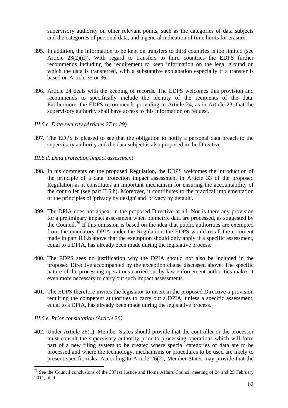supervisory authority on other relevant points, such as the categories of data subjects and the categories of personal data, and a general indication of time limits for erasure.

- 395. In addition, the information to be kept on transfers to third countries is too limited (see Article 23(2)(d)). With regard to transfers to third countries the EDPS further recommends including the requirement to keep information on the legal ground on which the data is transferred, with a substantive explanation especially if a transfer is based on Article 35 or 36.
- 396. Article 24 deals with the keeping of records. The EDPS welcomes this provision and recommends to specifically include the identity of the recipients of the data. Furthermore, the EDPS recommends providing in Article 24, as in Article 23, that the supervisory authority shall have access to this information on request.
- *III.6.c. Data security (Articles 27 to 29)*
- 397. The EDPS is pleased to see that the obligation to notify a personal data breach to the supervisory authority and the data subject is also proposed in the Directive.

### *III.6.d. Data protection impact assessment*

- 398. In his comments on the proposed Regulation, the EDPS welcomes the introduction of the principle of a data protection impact assessment in Article 33 of the proposed Regulation as it constitutes an important mechanism for ensuring the accountability of the controller (see part II.6.h). Moreover, it contributes to the practical implementation of the principles of 'privacy by design' and 'privacy by default'.
- 399. The DPIA does not appear in the proposed Directive at all. Nor is there any provision for a preliminary impact assessment when biometric data are processed, as suggested by the Council.<sup>76</sup> If this omission is based on the idea that public authorities are exempted from the mandatory DPIA under the Regulation, the EDPS would recall the comment made in part II.6.h above that the exemption should only apply if a specific assessment, equal to a DPIA, has already been made during the legislative process.
- 400. The EDPS sees no justification why the DPIA should not also be included in the proposed Directive accompanied by the exception clause discussed above. The specific nature of the processing operations carried out by law enforcement authorities makes it even more necessary to carry out such impact assessments.
- 401. The EDPS therefore invites the legislator to insert in the proposed Directive a provision requiring the competent authorities to carry out a DPIA, unless a specific assessment, equal to a DPIA, has already been made during the legislative process.

### *III.6.e. Prior consultation (Article 26)*

1

402. Under Article 26(1), Member States should provide that the controller or the processor must consult the supervisory authority prior to processing operations which will form part of a new filing system to be created where special categories of data are to be processed and where the technology, mechanisms or procedures to be used are likely to present specific risks. According to Article 26(2), Member States may provide that the

<span id="page-67-0"></span> $76$  See the Council conclusions of the 3071st Justice and Home Affairs Council meeting of 24 and 25 February 2011, pt. 9.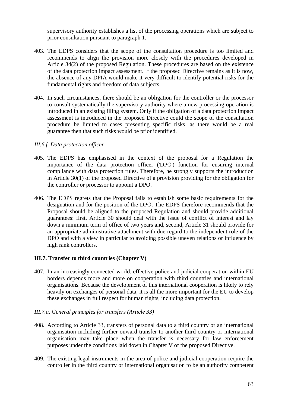supervisory authority establishes a list of the processing operations which are subject to prior consultation pursuant to paragraph 1.

- 403. The EDPS considers that the scope of the consultation procedure is too limited and recommends to align the provision more closely with the procedures developed in Article 34(2) of the proposed Regulation. These procedures are based on the existence of the data protection impact assessment. If the proposed Directive remains as it is now, the absence of any DPIA would make it very difficult to identify potential risks for the fundamental rights and freedom of data subjects.
- 404. In such circumstances, there should be an obligation for the controller or the processor to consult systematically the supervisory authority where a new processing operation is introduced in an existing filing system. Only if the obligation of a data protection impact assessment is introduced in the proposed Directive could the scope of the consultation procedure be limited to cases presenting specific risks, as there would be a real guarantee then that such risks would be prior identified.

### *III.6.f. Data protection officer*

- 405. The EDPS has emphasised in the context of the proposal for a Regulation the importance of the data protection officer ('DPO') function for ensuring internal compliance with data protection rules. Therefore, he strongly supports the introduction in Article 30(1) of the proposed Directive of a provision providing for the obligation for the controller or processor to appoint a DPO.
- 406. The EDPS regrets that the Proposal fails to establish some basic requirements for the designation and for the position of the DPO. The EDPS therefore recommends that the Proposal should be aligned to the proposed Regulation and should provide additional guarantees: first, Article 30 should deal with the issue of conflict of interest and lay down a minimum term of office of two years and, second, Article 31 should provide for an appropriate administrative attachment with due regard to the independent role of the DPO and with a view in particular to avoiding possible uneven relations or influence by high rank controllers.

### **III.7. Transfer to third countries (Chapter V)**

407. In an increasingly connected world, effective police and judicial cooperation within EU borders depends more and more on cooperation with third countries and international organisations. Because the development of this international cooperation is likely to rely heavily on exchanges of personal data, it is all the more important for the EU to develop these exchanges in full respect for human rights, including data protection.

#### *III.7.a. General principles for transfers (Article 33)*

- 408. According to Article 33, transfers of personal data to a third country or an international organisation including further onward transfer to another third country or international organisation may take place when the transfer is necessary for law enforcement purposes under the conditions laid down in Chapter V of the proposed Directive.
- 409. The existing legal instruments in the area of police and judicial cooperation require the controller in the third country or international organisation to be an authority competent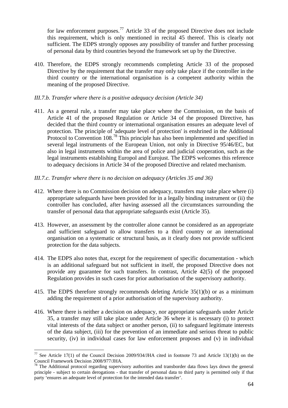for law enforcement purposes.<sup>77</sup> Article 33 of the proposed Directive does not include this requirement, which is only mentioned in recital 45 thereof. This is clearly not sufficient. The EDPS strongly opposes any possibility of transfer and further processing of personal data by third countries beyond the framework set up by the Directive.

- 410. Therefore, the EDPS strongly recommends completing Article 33 of the proposed Directive by the requirement that the transfer may only take place if the controller in the third country or the international organisation is a competent authority within the meaning of the proposed Directive.
- *III.7.b. Transfer where there is a positive adequacy decision (Article 34)*
- 411. As a general rule, a transfer may take place where the Commission, on the basis of Article 41 of the proposed Regulation or Article 34 of the proposed Directive, has decided that the third country or international organisation ensures an adequate level of protection. The principle of 'adequate level of protection' is enshrined in the Additional Protocol to Convention 108<sup>78</sup>. This principle has also been implemented and specified in several legal instruments of the European Union, not only in Directive 95/46/EC, but also in legal instruments within the area of police and judicial cooperation, such as the legal instruments establishing Europol and Eurojust. The EDPS welcomes this reference to adequacy decisions in Article 34 of the proposed Directive and related mechanism.
- *III.7.c. Transfer where there is no decision on adequacy (Articles 35 and 36)*
- 412. Where there is no Commission decision on adequacy, transfers may take place where (i) appropriate safeguards have been provided for in a legally binding instrument or (ii) the controller has concluded, after having assessed all the circumstances surrounding the transfer of personal data that appropriate safeguards exist (Article 35).
- 413. However, an assessment by the controller alone cannot be considered as an appropriate and sufficient safeguard to allow transfers to a third country or an international organisation on a systematic or structural basis, as it clearly does not provide sufficient protection for the data subjects.
- 414. The EDPS also notes that, except for the requirement of specific documentation which is an additional safeguard but not sufficient in itself, the proposed Directive does not provide any guarantee for such transfers. In contrast, Article 42(5) of the proposed Regulation provides in such cases for prior authorisation of the supervisory authority.
- 415. The EDPS therefore strongly recommends deleting Article 35(1)(b) or as a minimum adding the requirement of a prior authorisation of the supervisory authority.
- 416. Where there is neither a decision on adequacy, nor appropriate safeguards under Article 35, a transfer may still take place under Article 36 where it is necessary (i) to protect vital interests of the data subject or another person, (ii) to safeguard legitimate interests of the data subject, (iii) for the prevention of an immediate and serious threat to public security, (iv) in individual cases for law enforcement proposes and (v) in individual

<u>.</u>

<span id="page-69-0"></span><sup>&</sup>lt;sup>77</sup> See Article 17(1) of the Council Decision 2009/934/JHA cited in footnote 73 and Article 13(1)(b) on the Council Framework Decision 2008/977/JHA.<br><sup>78</sup> The Additional protocol regarding supervisory authorities and transborder data flows lays down the general <sup>78</sup>

<span id="page-69-1"></span>principle - subject to certain derogations - that transfer of personal data to third party is permitted only if that party 'ensures an adequate level of protection for the intended data transfer'.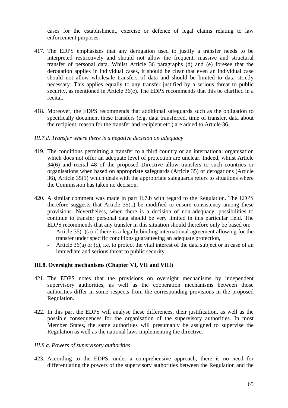cases for the establishment, exercise or defence of legal claims relating to law enforcement purposes.

- 417. The EDPS emphasizes that any derogation used to justify a transfer needs to be interpreted restrictively and should not allow the frequent, massive and structural transfer of personal data. Whilst Article 36 paragraphs (d) and (e) foresee that the derogation applies in individual cases, it should be clear that even an individual case should not allow wholesale transfers of data and should be limited to data strictly necessary. This applies equally to any transfer justified by a serious threat to public security, as mentioned in Article 36(c). The EDPS recommends that this be clarified in a recital.
- 418. Moreover, the EDPS recommends that additional safeguards such as the obligation to specifically document these transfers (e.g. data transferred, time of transfer, data about the recipient, reason for the transfer and recipient etc.) are added to Article 36.

#### *III.7.d. Transfer where there is a negative decision on adequacy*

- 419. The conditions permitting a transfer to a third country or an international organisation which does not offer an adequate level of protection are unclear. Indeed, whilst Article 34(6) and recital 48 of the proposed Directive allow transfers to such countries or organisations when based on appropriate safeguards (Article 35) or derogations (Article 36), Article 35(1) which deals with the appropriate safeguards refers to situations where the Commission has taken no decision.
- 420. A similar comment was made in part II.7.b with regard to the Regulation. The EDPS therefore suggests that Article 35(1) be modified to ensure consistency among these provisions. Nevertheless, when there is a decision of non-adequacy, possibilities to continue to transfer personal data should be very limited in this particular field. The EDPS recommends that any transfer in this situation should therefore only be based on:
	- Article 35(1)(a) if there is a legally binding international agreement allowing for the transfer under specific conditions guaranteeing an adequate protection,
	- Article 36(a) or (c), i.e. to protect the vital interest of the data subject or in case of an immediate and serious threat to public security.

#### **III.8. Oversight mechanisms (Chapter VI, VII and VIII)**

- 421. The EDPS notes that the provisions on oversight mechanisms by independent supervisory authorities, as well as the cooperation mechanisms between those authorities differ in some respects from the corresponding provisions in the proposed Regulation.
- 422. In this part the EDPS will analyse these differences, their justification, as well as the possible consequences for the organisation of the supervisory authorities. In most Member States, the same authorities will presumably be assigned to supervise the Regulation as well as the national laws implementing the directive.

#### *III.8.a. Powers of supervisory authorities*

423. According to the EDPS, under a comprehensive approach, there is no need for differentiating the powers of the supervisory authorities between the Regulation and the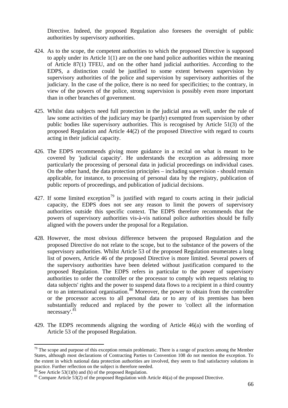Directive. Indeed, the proposed Regulation also foresees the oversight of public authorities by supervisory authorities.

- 424. As to the scope, the competent authorities to which the proposed Directive is supposed to apply under its Article 1(1) are on the one hand police authorities within the meaning of Article 87(1) TFEU, and on the other hand judicial authorities. According to the EDPS, a distinction could be justified to some extent between supervision by supervisory authorities of the police and supervision by supervisory authorities of the judiciary. In the case of the police, there is no need for specificities; to the contrary, in view of the powers of the police, strong supervision is possibly even more important than in other branches of government.
- 425. Whilst data subjects need full protection in the judicial area as well, under the rule of law some activities of the judiciary may be (partly) exempted from supervision by other public bodies like supervisory authorities. This is recognised by Article 51(3) of the proposed Regulation and Article 44(2) of the proposed Directive with regard to courts acting in their judicial capacity.
- 426. The EDPS recommends giving more guidance in a recital on what is meant to be covered by 'judicial capacity'. He understands the exception as addressing more particularly the processing of personal data in judicial proceedings on individual cases. On the other hand, the data protection principles – including supervision - should remain applicable, for instance, to processing of personal data by the registry, publication of public reports of proceedings, and publication of judicial decisions.
- 427. If some limited exception<sup>[79](#page-71-0)</sup> is justified with regard to courts acting in their judicial capacity, the EDPS does not see any reason to limit the powers of supervisory authorities outside this specific context. The EDPS therefore recommends that the powers of supervisory authorities vis-à-vis national police authorities should be fully aligned with the powers under the proposal for a Regulation.
- 428. However, the most obvious difference between the proposed Regulation and the proposed Directive do not relate to the scope, but to the substance of the powers of the supervisory authorities. Whilst Article 53 of the proposed Regulation enumerates a long list of powers, Article 46 of the proposed Directive is more limited. Several powers of the supervisory authorities have been deleted without justification compared to the proposed Regulation. The EDPS refers in particular to the power of supervisory authorities to order the controller or the processor to comply with requests relating to data subjects' rights and the power to suspend data flows to a recipient in a third country or to an international organisation. $80$  Moreover, the power to obtain from the controller or the processor access to all personal data or to any of its premises has been substantially reduced and replaced by the power to 'collect all the information necessary'.[81](#page-71-2)
- 429. The EDPS recommends aligning the wording of Article 46(a) with the wording of Article 53 of the proposed Regulation.

<span id="page-71-0"></span> $79$  The scope and purpose of this exception remain problematic. There is a range of practices among the Member States, although most declarations of Contracting Parties to Convention 108 do not mention the exception. To the extent in which national data protection authorities are involved, they seem to find satisfactory solutions in practice. Further reflection on the subject is therefore needed.  $\frac{80}{10}$  See Article 53(1)(b) and (h) of the proposed Regulation.

<span id="page-71-1"></span>

<span id="page-71-2"></span> $81$  Compare Article 53(2) of the proposed Regulation with Article 46(a) of the proposed Directive.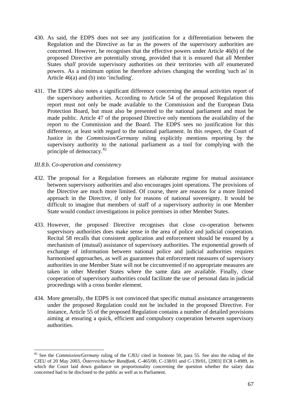- 430. As said, the EDPS does not see any justification for a differentiation between the Regulation and the Directive as far as the powers of the supervisory authorities are concerned. However, he recognises that the effective powers under Article 46(b) of the proposed Directive are potentially strong, provided that it is ensured that all Member States *shall* provide supervisory authorities on their territories with *all* enumerated powers. As a minimum option he therefore advises changing the wording 'such as' in Article 46(a) and (b) into 'including'.
- 431. The EDPS also notes a significant difference concerning the annual activities report of the supervisory authorities. According to Article 54 of the proposed Regulation this report must not only be made available to the Commission and the European Data Protection Board, but must also be presented to the national parliament and must be made public. Article 47 of the proposed Directive only mentions the availability of the report to the Commission and the Board. The EDPS sees no justification for this difference, at least with regard to the national parliament. In this respect, the Court of Justice in the *Commission/Germany* ruling explicitly mentions reporting by the supervisory authority to the national parliament as a tool for complying with the principle of democracy.[82](#page-72-0)

#### *III.8.b. Co-operation and consistency*

1

- 432. The proposal for a Regulation foresees an elaborate regime for mutual assistance between supervisory authorities and also encourages joint operations. The provisions of the Directive are much more limited. Of course, there are reasons for a more limited approach in the Directive, if only for reasons of national sovereignty. It would be difficult to imagine that members of staff of a supervisory authority in one Member State would conduct investigations in police premises in other Member States.
- 433. However, the proposed Directive recognises that close co-operation between supervisory authorities does make sense in the area of police and judicial cooperation. Recital 58 recalls that consistent application and enforcement should be ensured by a mechanism of (mutual) assistance of supervisory authorities. The exponential growth of exchange of information between national police and judicial authorities requires harmonised approaches, as well as guarantees that enforcement measures of supervisory authorities in one Member State will not be circumvented if no appropriate measures are taken in other Member States where the same data are available. Finally, close cooperation of supervisory authorities could facilitate the use of personal data in judicial proceedings with a cross border element.
- 434. More generally, the EDPS is not convinced that specific mutual assistance arrangements under the proposed Regulation could not be included in the proposed Directive. For instance, Article 55 of the proposed Regulation contains a number of detailed provisions aiming at ensuring a quick, efficient and compulsory cooperation between supervisory authorities.

<span id="page-72-0"></span><sup>82</sup> See the *Commission/Germany* ruling of the CJEU cited in footnote 50, para 55. See also the ruling of the CJEU of 20 May 2003, *Österreichischer Rundfunk*, C-465/00, C-138/01 and C-139/01, [2003] ECR I-4989, in which the Court laid down guidance on proportionality concerning the question whether the salary data concerned had to be disclosed to the public as well as to Parliament.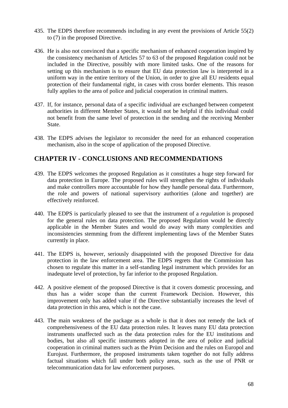- 435. The EDPS therefore recommends including in any event the provisions of Article 55(2) to (7) in the proposed Directive.
- 436. He is also not convinced that a specific mechanism of enhanced cooperation inspired by the consistency mechanism of Articles 57 to 63 of the proposed Regulation could not be included in the Directive, possibly with more limited tasks. One of the reasons for setting up this mechanism is to ensure that EU data protection law is interpreted in a uniform way in the entire territory of the Union, in order to give all EU residents equal protection of their fundamental right, in cases with cross border elements. This reason fully applies to the area of police and judicial cooperation in criminal matters.
- 437. If, for instance, personal data of a specific individual are exchanged between competent authorities in different Member States, it would not be helpful if this individual could not benefit from the same level of protection in the sending and the receiving Member State.
- 438. The EDPS advises the legislator to reconsider the need for an enhanced cooperation mechanism, also in the scope of application of the proposed Directive.

# **CHAPTER IV - CONCLUSIONS AND RECOMMENDATIONS**

- 439. The EDPS welcomes the proposed Regulation as it constitutes a huge step forward for data protection in Europe. The proposed rules will strengthen the rights of individuals and make controllers more accountable for how they handle personal data. Furthermore, the role and powers of national supervisory authorities (alone and together) are effectively reinforced.
- 440. The EDPS is particularly pleased to see that the instrument of a *regulation* is proposed for the general rules on data protection. The proposed Regulation would be directly applicable in the Member States and would do away with many complexities and inconsistencies stemming from the different implementing laws of the Member States currently in place.
- 441. The EDPS is, however, seriously disappointed with the proposed Directive for data protection in the law enforcement area. The EDPS regrets that the Commission has chosen to regulate this matter in a self-standing legal instrument which provides for an inadequate level of protection, by far inferior to the proposed Regulation.
- 442. A positive element of the proposed Directive is that it covers domestic processing, and thus has a wider scope than the current Framework Decision. However, this improvement only has added value if the Directive substantially increases the level of data protection in this area, which is not the case.
- 443. The main weakness of the package as a whole is that it does not remedy the lack of comprehensiveness of the EU data protection rules. It leaves many EU data protection instruments unaffected such as the data protection rules for the EU institutions and bodies, but also all specific instruments adopted in the area of police and judicial cooperation in criminal matters such as the Prüm Decision and the rules on Europol and Eurojust. Furthermore, the proposed instruments taken together do not fully address factual situations which fall under both policy areas, such as the use of PNR or telecommunication data for law enforcement purposes.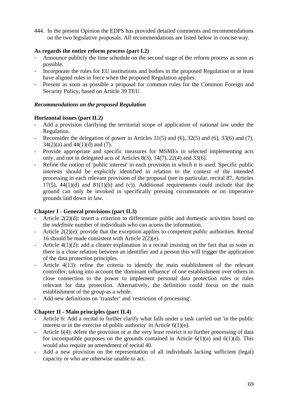444. In the present Opinion the EDPS has provided detailed comments and recommendations on the two legislative proposals. All recommendations are listed below in concise way.

## **As regards the entire reform process (part I.2)**

- Announce publicly the time schedule on the second stage of the reform process as soon as possible.
- Incorporate the rules for EU institutions and bodies in the proposed Regulation or at least have aligned rules in force when the proposed Regulation applies.
- Present as soon as possible a proposal for common rules for the Common Foreign and Security Policy, based on Article 39 TEU.

## *Recommendations on the proposed Regulation*

# **Horizontal issues (part II.2)**

- Add a provision clarifying the territorial scope of application of national law under the Regulation.
- Reconsider the delegation of power in Articles  $31(5)$  and  $(6)$ ,  $32(5)$  and  $(6)$ ,  $33(6)$  and  $(7)$ ,  $34(2)(a)$  and  $44(1)(d)$  and  $(7)$ .
- Provide appropriate and specific measures for MSMEs in selected implementing acts only, and not in delegated acts of Articles 8(3), 14(7), 22(4) and 33(6).
- Refine the notion of 'public interest' in each provision in which it is used. Specific public interests should be explicitly identified in relation to the context of the intended processing in each relevant provision of the proposal (see in particular, recital 87, Articles 17(5),  $44(1)(d)$  and  $81(1)(b)$  and (c)). Additional requirements could include that the ground can only be invoked in specifically pressing circumstances or on imperative grounds laid down in law.

# **Chapter I - General provisions (part II.3)**

- Article 2(2)(d): insert a criterion to differentiate public and domestic activities based on the *indefinite* number of individuals who can access the information.
- Article 2(2)(e): provide that the exception applies to competent *public* authorities. Recital 16 should be made consistent with Article 2(2)(e).
- Article  $4(1)(2)$ : add a clearer explanation in a recital insisting on the fact that as soon as there is a close relation between an identifier and a person this will trigger the application of the data protection principles.
- Article 4(13): refine the criteria to identify the main establishment of the relevant controller, taking into account the 'dominant influence' of one establishment over others in close connection to the power to implement personal data protection rules or rules relevant for data protection. Alternatively, the definition could focus on the main establishment of the group as a whole.
- Add new definitions on 'transfer' and 'restriction of processing'.

# **Chapter II - Main principles (part II.4)**

- Article 6: Add a recital to further clarify what falls under a task carried out 'in the public interest or in the exercise of public authority' in Article 6(1)(e).
- Article 6(4): delete the provision or at the very least restrict it to further processing of data for incompatible purposes on the grounds contained in Article  $6(1)(a)$  and  $6(1)(d)$ . This would also require an amendment of recital 40.
- Add a new provision on the representation of all individuals lacking sufficient (legal) capacity or who are otherwise unable to act.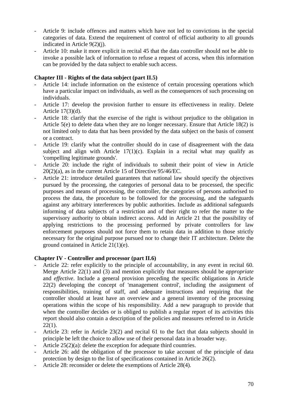- Article 9: include offences and matters which have not led to convictions in the special categories of data. Extend the requirement of control of official authority to all grounds indicated in Article 9(2)(j).
- Article 10: make it more explicit in recital 45 that the data controller should not be able to invoke a possible lack of information to refuse a request of access, when this information can be provided by the data subject to enable such access.

# **Chapter III - Rights of the data subject (part II.5)**

- Article 14: include information on the existence of certain processing operations which have a particular impact on individuals, as well as the consequences of such processing on individuals.
- Article 17: develop the provision further to ensure its effectiveness in reality. Delete Article 17(3)(d).
- Article 18: clarify that the exercise of the right is without prejudice to the obligation in Article 5(e) to delete data when they are no longer necessary. Ensure that Article 18(2) is not limited only to data that has been provided by the data subject on the basis of consent or a contract.
- Article 19: clarify what the controller should do in case of disagreement with the data subject and align with Article  $17(1)(c)$ . Explain in a recital what may qualify as 'compelling legitimate grounds'.
- Article 20: include the right of individuals to submit their point of view in Article 20(2)(a), as in the current Article 15 of Directive 95/46/EC.
- Article 21: introduce detailed guarantees that national law should specify the objectives pursued by the processing, the categories of personal data to be processed, the specific purposes and means of processing, the controller, the categories of persons authorised to process the data, the procedure to be followed for the processing, and the safeguards against any arbitrary interferences by public authorities. Include as additional safeguards informing of data subjects of a restriction and of their right to refer the matter to the supervisory authority to obtain indirect access. Add in Article 21 that the possibility of applying restrictions to the processing performed by private controllers for law enforcement purposes should not force them to retain data in addition to those strictly necessary for the original purpose pursued nor to change their IT architecture. Delete the ground contained in Article 21(1)(e).

## **Chapter IV - Controller and processor (part II.6)**

- Article 22: refer explicitly to the principle of accountability, in any event in recital 60. Merge Article 22(1) and (3) and mention explicitly that measures should be *appropriate* and *effective*. Include a general provision preceding the specific obligations in Article 22(2) developing the concept of 'management control', including the assignment of responsibilities, training of staff, and adequate instructions and requiring that the controller should at least have an overview and a general inventory of the processing operations within the scope of his responsibility. Add a new paragraph to provide that when the controller decides or is obliged to publish a regular report of its activities this report should also contain a description of the policies and measures referred to in Article  $22(1)$ .
- Article 23: refer in Article 23(2) and recital 61 to the fact that data subjects should in principle be left the choice to allow use of their personal data in a broader way.
- Article  $25(2)(a)$ : delete the exception for adequate third countries.
- Article 26: add the obligation of the processor to take account of the principle of data protection by design to the list of specifications contained in Article 26(2).
- Article 28: reconsider or delete the exemptions of Article 28(4).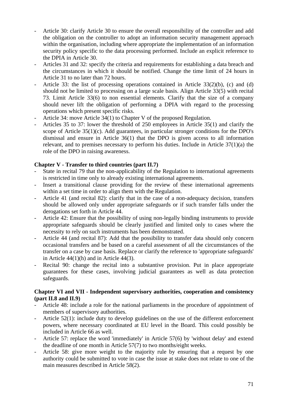- Article 30: clarify Article 30 to ensure the overall responsibility of the controller and add the obligation on the controller to adopt an information security management approach within the organisation, including where appropriate the implementation of an information security policy specific to the data processing performed. Include an explicit reference to the DPIA in Article 30.
- Articles 31 and 32: specify the criteria and requirements for establishing a data breach and the circumstances in which it should be notified. Change the time limit of 24 hours in Article 31 to no later than 72 hours.
- Article 33: the list of processing operations contained in Article 33(2)(b), (c) and (d) should not be limited to processing on a large scale basis. Align Article 33(5) with recital 73. Limit Article 33(6) to non essential elements. Clarify that the size of a company should never lift the obligation of performing a DPIA with regard to the processing operations which present specific risks.
- Article 34: move Article 34(1) to Chapter V of the proposed Regulation.
- Articles 35 to 37: lower the threshold of 250 employees in Article 35(1) and clarify the scope of Article 35(1)(c). Add guarantees, in particular stronger conditions for the DPO's dismissal and ensure in Article 36(1) that the DPO is given access to all information relevant, and to premises necessary to perform his duties. Include in Article 37(1)(a) the role of the DPO in raising awareness.

#### **Chapter V - Transfer to third countries (part II.7)**

- State in recital 79 that the non-applicability of the Regulation to international agreements is restricted in time only to already existing international agreements.
- Insert a transitional clause providing for the review of these international agreements within a set time in order to align them with the Regulation.
- Article 41 (and recital 82): clarify that in the case of a non-adequacy decision, transfers should be allowed only under appropriate safeguards or if such transfer falls under the derogations set forth in Article 44.
- Article 42: Ensure that the possibility of using non-legally binding instruments to provide appropriate safeguards should be clearly justified and limited only to cases where the necessity to rely on such instruments has been demonstrated.
- Article 44 (and recital 87): Add that the possibility to transfer data should only concern occasional transfers and be based on a careful assessment of all the circumstances of the transfer on a case by case basis. Replace or clarify the reference to 'appropriate safeguards' in Article 44(1)(h) and in Article 44(3).
- Recital 90: change the recital into a substantive provision. Put in place appropriate guarantees for these cases, involving judicial guarantees as well as data protection safeguards.

#### **Chapter VI and VII - Independent supervisory authorities, cooperation and consistency (part II.8 and II.9)**

- Article 48: include a role for the national parliaments in the procedure of appointment of members of supervisory authorities.
- Article 52(1): include duty to develop guidelines on the use of the different enforcement powers, where necessary coordinated at EU level in the Board. This could possibly be included in Article 66 as well.
- Article 57: replace the word 'immediately' in Article 57(6) by 'without delay' and extend the deadline of one month in Article 57(7) to two months/eight weeks.
- Article 58: give more weight to the majority rule by ensuring that a request by one authority could be submitted to vote in case the issue at stake does not relate to one of the main measures described in Article 58(2).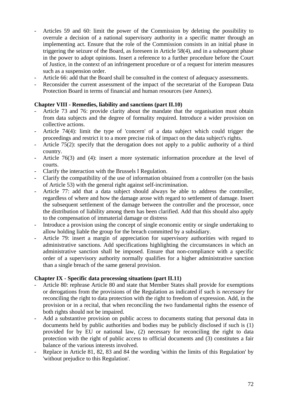- Articles 59 and 60: limit the power of the Commission by deleting the possibility to overrule a decision of a national supervisory authority in a specific matter through an implementing act. Ensure that the role of the Commission consists in an initial phase in triggering the seizure of the Board, as foreseen in Article 58(4), and in a subsequent phase in the power to adopt opinions. Insert a reference to a further procedure before the Court of Justice, in the context of an infringement procedure or of a request for interim measures such as a suspension order.
- Article 66: add that the Board shall be consulted in the context of adequacy assessments.
- Reconsider the current assessment of the impact of the secretariat of the European Data Protection Board in terms of financial and human resources (see Annex).

## **Chapter VIII - Remedies, liability and sanctions (part II.10)**

- Article 73 and 76: provide clarity about the mandate that the organisation must obtain from data subjects and the degree of formality required. Introduce a wider provision on collective actions.
- Article 74(4): limit the type of 'concern' of a data subject which could trigger the proceedings and restrict it to a more precise risk of impact on the data subject's rights.
- Article 75(2): specify that the derogation does not apply to a public authority of a third country.
- Article 76(3) and (4): insert a more systematic information procedure at the level of courts.
- Clarify the interaction with the Brussels I Regulation.
- Clarify the compatibility of the use of information obtained from a controller (on the basis of Article 53) with the general right against self-incrimination.
- Article 77: add that a data subject should always be able to address the controller, regardless of where and how the damage arose with regard to settlement of damage. Insert the subsequent settlement of the damage between the controller and the processor, once the distribution of liability among them has been clarified. Add that this should also apply to the compensation of immaterial damage or distress
- Introduce a provision using the concept of single economic entity or single undertaking to allow holding liable the group for the breach committed by a subsidiary.
- Article 79: insert a margin of appreciation for supervisory authorities with regard to administrative sanctions. Add specifications highlighting the circumstances in which an administrative sanction shall be imposed. Ensure that non-compliance with a specific order of a supervisory authority normally qualifies for a higher administrative sanction than a single breach of the same general provision.

## **Chapter IX - Specific data processing situations (part II.11)**

- Article 80: rephrase Article 80 and state that Member States shall provide for exemptions or derogations from the provisions of the Regulation as indicated if such is *necessary* for reconciling the right to data protection with the right to freedom of expression. Add, in the provision or in a recital, that when reconciling the two fundamental rights the essence of both rights should not be impaired.
- Add a substantive provision on public access to documents stating that personal data in documents held by public authorities and bodies may be publicly disclosed if such is (1) provided for by EU or national law, (2) necessary for reconciling the right to data protection with the right of public access to official documents and (3) constitutes a fair balance of the various interests involved.
- Replace in Article 81, 82, 83 and 84 the wording 'within the limits of this Regulation' by 'without prejudice to this Regulation'.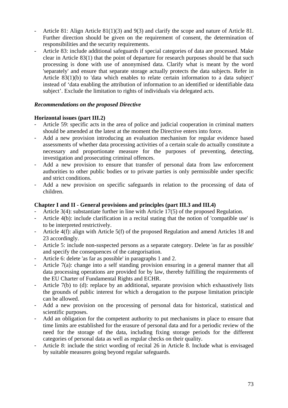- Article 81: Align Article 81(1)(3) and 9(3) and clarify the scope and nature of Article 81. Further direction should be given on the requirement of consent, the determination of responsibilities and the security requirements.
- Article 83: include additional safeguards if special categories of data are processed. Make clear in Article 83(1) that the point of departure for research purposes should be that such processing is done with use of anonymised data. Clarify what is meant by the word 'separately' and ensure that separate storage actually protects the data subjects. Refer in Article 83(1)(b) to 'data which enables to relate certain information to a data subject' instead of 'data enabling the attribution of information to an identified or identifiable data subject'. Exclude the limitation to rights of individuals via delegated acts.

#### *Recommendations on the proposed Directive*

#### **Horizontal issues (part III.2)**

- Article 59: specific acts in the area of police and judicial cooperation in criminal matters should be amended at the latest at the moment the Directive enters into force.
- Add a new provision introducing an evaluation mechanism for regular evidence based assessments of whether data processing activities of a certain scale do actually constitute a necessary and proportionate measure for the purposes of preventing, detecting, investigation and prosecuting criminal offences.
- Add a new provision to ensure that transfer of personal data from law enforcement authorities to other public bodies or to private parties is only permissible under specific and strict conditions.
- Add a new provision on specific safeguards in relation to the processing of data of children.

#### **Chapter I and II - General provisions and principles (part III.3 and III.4)**

- Article 3(4): substantiate further in line with Article 17(5) of the proposed Regulation.
- Article 4(b): include clarification in a recital stating that the notion of 'compatible use' is to be interpreted restrictively.
- Article 4(f): align with Article 5(f) of the proposed Regulation and amend Articles 18 and 23 accordingly.
- Article 5: include non-suspected persons as a separate category. Delete 'as far as possible' and specify the consequences of the categorisation.
- Article 6: delete 'as far as possible' in paragraphs 1 and 2.
- Article 7(a): change into a self standing provision ensuring in a general manner that all data processing operations are provided for by law, thereby fulfilling the requirements of the EU Charter of Fundamental Rights and ECHR.
- Article 7(b) to (d): replace by an additional, separate provision which exhaustively lists the grounds of public interest for which a derogation to the purpose limitation principle can be allowed.
- Add a new provision on the processing of personal data for historical, statistical and scientific purposes.
- Add an obligation for the competent authority to put mechanisms in place to ensure that time limits are established for the erasure of personal data and for a periodic review of the need for the storage of the data, including fixing storage periods for the different categories of personal data as well as regular checks on their quality.
- Article 8: include the strict wording of recital 26 in Article 8. Include what is envisaged by suitable measures going beyond regular safeguards.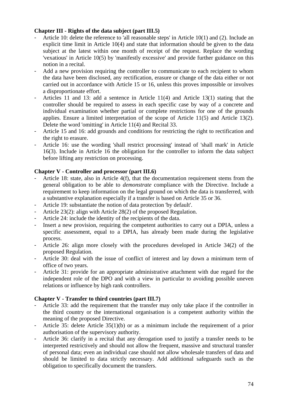#### **Chapter III - Rights of the data subject (part III.5)**

- Article 10: delete the reference to 'all reasonable steps' in Article 10(1) and (2). Include an explicit time limit in Article 10(4) and state that information should be given to the data subject at the latest within one month of receipt of the request. Replace the wording 'vexatious' in Article 10(5) by 'manifestly excessive' and provide further guidance on this notion in a recital.
- Add a new provision requiring the controller to communicate to each recipient to whom the data have been disclosed, any rectification, erasure or change of the data either or not carried out in accordance with Article 15 or 16, unless this proves impossible or involves a disproportionate effort.
- Articles 11 and 13: add a sentence in Article 11(4) and Article 13(1) stating that the controller should be required to assess in each specific case by way of a concrete and individual examination whether partial or complete restrictions for one of the grounds applies. Ensure a limited interpretation of the scope of Article 11(5) and Article 13(2). Delete the word 'omitting' in Article 11(4) and Recital 33.
- Article 15 and 16: add grounds and conditions for restricting the right to rectification and the right to erasure.
- Article 16: use the wording 'shall restrict processing' instead of 'shall mark' in Article 16(3). Include in Article 16 the obligation for the controller to inform the data subject before lifting any restriction on processing.

## **Chapter V - Controller and processor (part III.6)**

- Article 18: state, also in Article 4(f), that the documentation requirement stems from the general obligation to be able to *demonstrate* compliance with the Directive. Include a requirement to keep information on the legal ground on which the data is transferred, with a substantive explanation especially if a transfer is based on Article 35 or 36.
- Article 19: substantiate the notion of data protection 'by default'.
- Article 23(2): align with Article 28(2) of the proposed Regulation.
- Article 24: include the identity of the recipients of the data.
- Insert a new provision, requiring the competent authorities to carry out a DPIA, unless a specific assessment, equal to a DPIA, has already been made during the legislative process.
- Article 26: align more closely with the procedures developed in Article 34(2) of the proposed Regulation.
- Article 30: deal with the issue of conflict of interest and lay down a minimum term of office of two years.
- Article 31: provide for an appropriate administrative attachment with due regard for the independent role of the DPO and with a view in particular to avoiding possible uneven relations or influence by high rank controllers.

## **Chapter V - Transfer to third countries (part III.7)**

- Article 33: add the requirement that the transfer may only take place if the controller in the third country or the international organisation is a competent authority within the meaning of the proposed Directive.
- Article 35: delete Article 35(1)(b) or as a minimum include the requirement of a prior authorisation of the supervisory authority.
- Article 36: clarify in a recital that any derogation used to justify a transfer needs to be interpreted restrictively and should not allow the frequent, massive and structural transfer of personal data; even an individual case should not allow wholesale transfers of data and should be limited to data strictly necessary. Add additional safeguards such as the obligation to specifically document the transfers.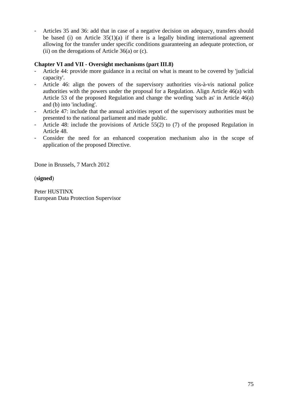- Articles 35 and 36: add that in case of a negative decision on adequacy, transfers should be based (i) on Article  $35(1)(a)$  if there is a legally binding international agreement allowing for the transfer under specific conditions guaranteeing an adequate protection, or (ii) on the derogations of Article  $36(a)$  or (c).

# **Chapter VI and VII - Oversight mechanisms (part III.8)**

- Article 44: provide more guidance in a recital on what is meant to be covered by 'judicial capacity'.
- Article 46: align the powers of the supervisory authorities vis-à-vis national police authorities with the powers under the proposal for a Regulation. Align Article 46(a) with Article 53 of the proposed Regulation and change the wording 'such as' in Article 46(a) and (b) into 'including'.
- Article 47: include that the annual activities report of the supervisory authorities must be presented to the national parliament and made public.
- Article 48: include the provisions of Article 55(2) to (7) of the proposed Regulation in Article 48.
- Consider the need for an enhanced cooperation mechanism also in the scope of application of the proposed Directive.

Done in Brussels, 7 March 2012

(**signed**)

Peter HUSTINX European Data Protection Supervisor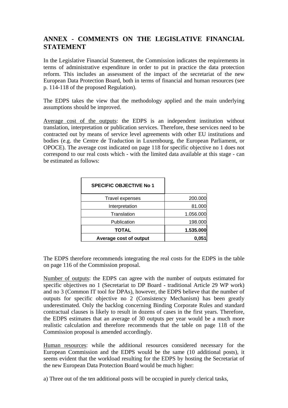# **ANNEX - COMMENTS ON THE LEGISLATIVE FINANCIAL STATEMENT**

In the Legislative Financial Statement, the Commission indicates the requirements in terms of administrative expenditure in order to put in practice the data protection reform. This includes an assessment of the impact of the secretariat of the new European Data Protection Board, both in terms of financial and human resources (see p. 114-118 of the proposed Regulation).

The EDPS takes the view that the methodology applied and the main underlying assumptions should be improved.

Average cost of the outputs: the EDPS is an independent institution without translation, interpretation or publication services. Therefore, these services need to be contracted out by means of service level agreements with other EU institutions and bodies (e.g. the Centre de Traduction in Luxembourg, the European Parliament, or OPOCE). The average cost indicated on page 118 for specific objective no 1 does not correspond to our real costs which - with the limited data available at this stage - can be estimated as follows:

| <b>SPECIFIC OBJECTIVE No 1</b> |           |
|--------------------------------|-----------|
| Travel expenses                | 200.000   |
| Interpretation                 | 81.000    |
| Translation                    | 1.056.000 |
| Publication                    | 198.000   |
| TOTAL                          | 1.535.000 |
| Average cost of output         | 0.05      |

The EDPS therefore recommends integrating the real costs for the EDPS in the table on page 116 of the Commission proposal.

Number of outputs: the EDPS can agree with the number of outputs estimated for specific objectives no 1 (Secretariat to DP Board - traditional Article 29 WP work) and no 3 (Common IT tool for DPAs), however, the EDPS believe that the number of outputs for specific objective no 2 (Consistency Mechanism) has been greatly underestimated. Only the backlog concerning Binding Corporate Rules and standard contractual clauses is likely to result in dozens of cases in the first years. Therefore, the EDPS estimates that an average of 30 outputs per year would be a much more realistic calculation and therefore recommends that the table on page 118 of the Commission proposal is amended accordingly.

Human resources: while the additional resources considered necessary for the European Commission and the EDPS would be the same (10 additional posts), it seems evident that the workload resulting for the EDPS by hosting the Secretariat of the new European Data Protection Board would be much higher:

a) Three out of the ten additional posts will be occupied in purely clerical tasks,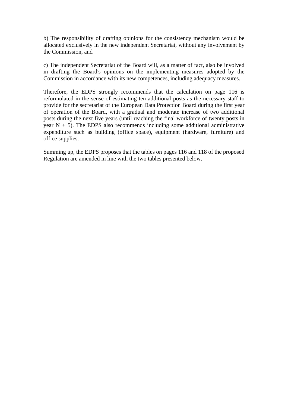b) The responsibility of drafting opinions for the consistency mechanism would be allocated exclusively in the new independent Secretariat, without any involvement by the Commission, and

c) The independent Secretariat of the Board will, as a matter of fact, also be involved in drafting the Board's opinions on the implementing measures adopted by the Commission in accordance with its new competences, including adequacy measures.

Therefore, the EDPS strongly recommends that the calculation on page 116 is reformulated in the sense of estimating ten additional posts as the necessary staff to provide for the secretariat of the European Data Protection Board during the first year of operation of the Board, with a gradual and moderate increase of two additional posts during the next five years (until reaching the final workforce of twenty posts in year  $N + 5$ ). The EDPS also recommends including some additional administrative expenditure such as building (office space), equipment (hardware, furniture) and office supplies.

Summing up, the EDPS proposes that the tables on pages 116 and 118 of the proposed Regulation are amended in line with the two tables presented below.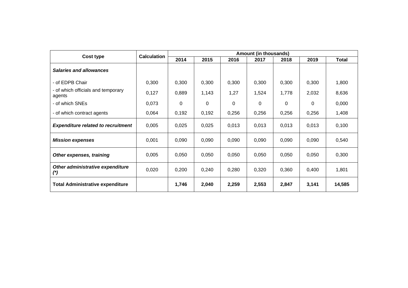| Cost type                                     | <b>Calculation</b> | <b>Amount (in thousands)</b> |               |          |                |          |          |              |  |  |  |  |
|-----------------------------------------------|--------------------|------------------------------|---------------|----------|----------------|----------|----------|--------------|--|--|--|--|
|                                               |                    | 2014                         | 2015          |          | 2017           | 2018     | 2019     | <b>Total</b> |  |  |  |  |
| <b>Salaries and allowances</b>                |                    |                              |               |          |                |          |          |              |  |  |  |  |
| - of EDPB Chair                               | 0,300              | 0,300                        | 0,300         | 0,300    | 0,300          | 0,300    | 0,300    | 1,800        |  |  |  |  |
| - of which officials and temporary<br>agents  | 0,127              | 0,889                        | 1,27<br>1,143 |          | 1,524<br>1,778 |          | 2,032    | 8,636        |  |  |  |  |
| - of which SNEs                               | 0,073              | 0                            | 0             | $\Omega$ | $\Omega$       | $\Omega$ | $\Omega$ | 0,000        |  |  |  |  |
| - of which contract agents                    | 0,064              | 0,192                        | 0,192         | 0,256    | 0,256          | 0,256    | 0,256    | 1,408        |  |  |  |  |
| <b>Expenditure related to recruitment</b>     | 0,005              | 0,025                        | 0,025         | 0,013    | 0,013          | 0,013    | 0,013    | 0,100        |  |  |  |  |
| <b>Mission expenses</b>                       | 0,001              | 0,090                        | 0,090         | 0,090    | 0,090          | 0,090    | 0,090    | 0,540        |  |  |  |  |
| Other expenses, training                      | 0,005              | 0,050                        | 0,050         | 0,050    | 0,050          | 0,050    | 0,050    | 0,300        |  |  |  |  |
| Other administrative expenditure<br>$^{\ast}$ | 0,020              | 0,200                        | 0,240         | 0,280    | 0,320          | 0,360    | 0,400    | 1,801        |  |  |  |  |
| <b>Total Administrative expenditure</b>       |                    | 1,746                        | 2,040         | 2,259    | 2,553          | 2,847    | 3,141    | 14,585       |  |  |  |  |